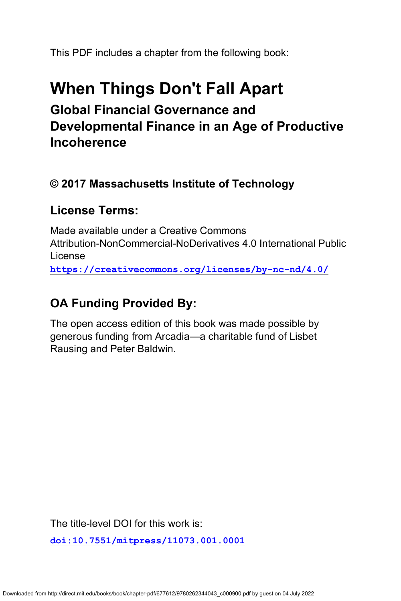This PDF includes a chapter from the following book:

# **When Things Don't Fall Apart Global Financial Governance and Developmental Finance in an Age of Productive Incoherence**

### **© 2017 Massachusetts Institute of Technology**

### **License Terms:**

Made available under a Creative Commons Attribution-NonCommercial-NoDerivatives 4.0 International Public License **<https://creativecommons.org/licenses/by-nc-nd/4.0/>**

## **OA Funding Provided By:**

The open access edition of this book was made possible by generous funding from Arcadia—a charitable fund of Lisbet Rausing and Peter Baldwin.

The title-level DOI for this work is:

**[doi:10.7551/mitpress/11073.001.0001](https://doi.org/10.7551/mitpress/11073.001.0001)**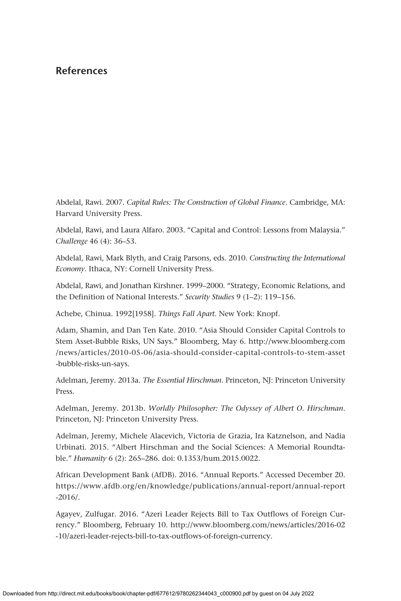Abdelal, Rawi. 2007. *Capital Rules: The Construction of Global Finance*. Cambridge, MA: Harvard University Press.

Abdelal, Rawi, and Laura Alfaro. 2003. "Capital and Control: Lessons from Malaysia." *Challenge* 46 (4): 36–53.

Abdelal, Rawi, Mark Blyth, and Craig Parsons, eds. 2010. *Constructing the International Economy*. Ithaca, NY: Cornell University Press.

Abdelal, Rawi, and Jonathan Kirshner. 1999–2000. "Strategy, Economic Relations, and the Definition of National Interests." *Security Studies* 9 (1–2): 119–156.

Achebe, Chinua. 1992[1958]. *Things Fall Apart*. New York: Knopf.

Adam, Shamin, and Dan Ten Kate. 2010. "Asia Should Consider Capital Controls to Stem Asset-Bubble Risks, UN Says." Bloomberg, May 6. [http://www.bloomberg.com](http://www.bloomberg.com/news/articles/2010-05-06/asia-should-consider-capital-controls-to-stem-asset-bubble-risks-un-says) [/news/articles/2010-05-06/asia-should-consider-capital-controls-to-stem-asset](http://www.bloomberg.com/news/articles/2010-05-06/asia-should-consider-capital-controls-to-stem-asset-bubble-risks-un-says) [-bubble-risks-un-says](http://www.bloomberg.com/news/articles/2010-05-06/asia-should-consider-capital-controls-to-stem-asset-bubble-risks-un-says).

Adelman, Jeremy. 2013a. *The Essential Hirschman*. Princeton, NJ: Princeton University Press.

Adelman, Jeremy. 2013b. *Worldly Philosopher: The Odyssey of Albert O. Hirschman*. Princeton, NJ: Princeton University Press.

Adelman, Jeremy, Michele Alacevich, Victoria de Grazia, Ira Katznelson, and Nadia Urbinati. 2015. "Albert Hirschman and the Social Sciences: A Memorial Roundtable." *Humanity* 6 (2): 265–286. doi: 0.1353/hum.2015.0022.

African Development Bank (AfDB). 2016. "Annual Reports." Accessed December 20. [https://www.afdb.org/en/knowledge/publications/annual-report/annual-report](https://www.afdb.org/en/knowledge/publications/annual-report/annual-report-2016/) [-2016/](https://www.afdb.org/en/knowledge/publications/annual-report/annual-report-2016/).

Agayev, Zulfugar. 2016. "Azeri Leader Rejects Bill to Tax Outflows of Foreign Currency." Bloomberg, February 10. [http://www.bloomberg.com/news/articles/2016-02](http://www.bloomberg.com/news/articles/2016-02-10/azeri-leader-rejects-bill-to-tax-outflows-of-foreign-currency) [-10/azeri-leader-rejects-bill-to-tax-outflows-of-foreign-currency](http://www.bloomberg.com/news/articles/2016-02-10/azeri-leader-rejects-bill-to-tax-outflows-of-foreign-currency).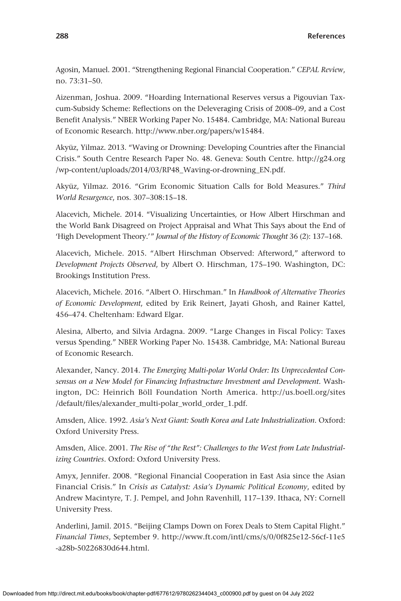Agosin, Manuel. 2001. "Strengthening Regional Financial Cooperation." *CEPAL Review*, no. 73:31–50.

Aizenman, Joshua. 2009. "Hoarding International Reserves versus a Pigouvian Taxcum-Subsidy Scheme: Reflections on the Deleveraging Crisis of 2008–09, and a Cost Benefit Analysis." NBER Working Paper No. 15484. Cambridge, MA: National Bureau of Economic Research.<http://www.nber.org/papers/w15484>.

Akyüz, Yilmaz. 2013. "Waving or Drowning: Developing Countries after the Financial Crisis." South Centre Research Paper No. 48. Geneva: South Centre. [http://g24.org](http://g24.org/wp-content/uploads/2014/03/RP48_Waving-or-drowning_EN.pdf) [/wp-content/uploads/2014/03/RP48\\_Waving-or-drowning\\_EN.pdf](http://g24.org/wp-content/uploads/2014/03/RP48_Waving-or-drowning_EN.pdf).

Akyüz, Yilmaz. 2016. "Grim Economic Situation Calls for Bold Measures." *Third World Resurgence*, nos. 307–308:15–18.

Alacevich, Michele. 2014. "Visualizing Uncertainties, or How Albert Hirschman and the World Bank Disagreed on Project Appraisal and What This Says about the End of 'High Development Theory.'" *Journal of the History of Economic Thought* 36 (2): 137–168.

Alacevich, Michele. 2015. "Albert Hirschman Observed: Afterword," afterword to *Development Projects Observed*, by Albert O. Hirschman, 175–190. Washington, DC: Brookings Institution Press.

Alacevich, Michele. 2016. "Albert O. Hirschman." In *Handbook of Alternative Theories of Economic Development*, edited by Erik Reinert, Jayati Ghosh, and Rainer Kattel, 456–474. Cheltenham: Edward Elgar.

Alesina, Alberto, and Silvia Ardagna. 2009. "Large Changes in Fiscal Policy: Taxes versus Spending." NBER Working Paper No. 15438. Cambridge, MA: National Bureau of Economic Research.

Alexander, Nancy. 2014. *The Emerging Multi-polar World Order: Its Unprecedented Consensus on a New Model for Financing Infrastructure Investment and Development*. Washington, DC: Heinrich Böll Foundation North America. [http://us.boell.org/sites](http://us.boell.org/sites/default/files/alexander_multi-polar_world_order_1.pdf) [/default/files/alexander\\_multi-polar\\_world\\_order\\_1.pdf](http://us.boell.org/sites/default/files/alexander_multi-polar_world_order_1.pdf).

Amsden, Alice. 1992. *Asia's Next Giant: South Korea and Late Industrialization*. Oxford: Oxford University Press.

Amsden, Alice. 2001. *The Rise of "the Rest": Challenges to the West from Late Industrializing Countries*. Oxford: Oxford University Press.

Amyx, Jennifer. 2008. "Regional Financial Cooperation in East Asia since the Asian Financial Crisis." In *Crisis as Catalyst: Asia's Dynamic Political Economy*, edited by Andrew Macintyre, T. J. Pempel, and John Ravenhill, 117–139. Ithaca, NY: Cornell University Press.

Anderlini, Jamil. 2015. "Beijing Clamps Down on Forex Deals to Stem Capital Flight." *Financial Times*, September 9. [http://www.ft.com/intl/cms/s/0/0f825e12-56cf-11e5](http://www.ft.com/intl/cms/s/0/0f825e12-56cf-11e5-a28b-50226830d644.html) [-a28b-50226830d644.html.](http://www.ft.com/intl/cms/s/0/0f825e12-56cf-11e5-a28b-50226830d644.html)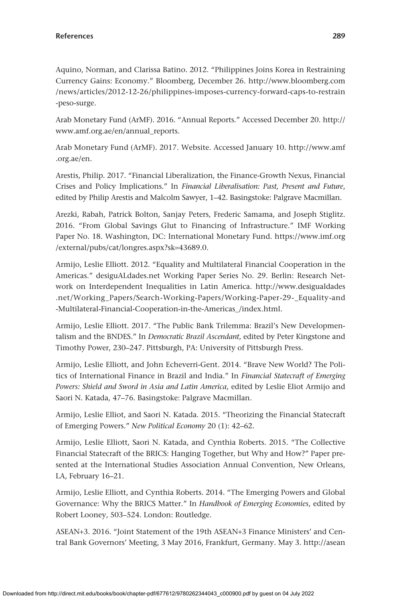Aquino, Norman, and Clarissa Batino. 2012. "Philippines Joins Korea in Restraining Currency Gains: Economy." Bloomberg, December 26. [http://www.bloomberg.com](http://www.bloomberg.com/news/articles/2012-12-26/philippines-imposes-currency-forward-caps-to-restrain-peso-surge) [/news/articles/2012-12-26/philippines-imposes-currency-forward-caps-to-restrain](http://www.bloomberg.com/news/articles/2012-12-26/philippines-imposes-currency-forward-caps-to-restrain-peso-surge) [-peso-surge](http://www.bloomberg.com/news/articles/2012-12-26/philippines-imposes-currency-forward-caps-to-restrain-peso-surge).

Arab Monetary Fund (ArMF). 2016. "Annual Reports." Accessed December 20. [http://](http://www.amf.org.ae/en/annual_reports) [www.amf.org.ae/en/annual\\_reports](http://www.amf.org.ae/en/annual_reports).

Arab Monetary Fund (ArMF). 2017. Website. Accessed January 10. [http://www.amf](http://www.amf.org.ae/en) [.org.ae/en.](http://www.amf.org.ae/en)

Arestis, Philip. 2017. "Financial Liberalization, the Finance-Growth Nexus, Financial Crises and Policy Implications." In *Financial Liberalisation: Past, Present and Future*, edited by Philip Arestis and Malcolm Sawyer, 1–42. Basingstoke: Palgrave Macmillan.

Arezki, Rabah, Patrick Bolton, Sanjay Peters, Frederic Samama, and Joseph Stiglitz. 2016. "From Global Savings Glut to Financing of Infrastructure." IMF Working Paper No. 18. Washington, DC: International Monetary Fund. [https://www.imf.org](https://www.imf.org/external/pubs/cat/longres.aspx?sk=43689.0) [/external/pubs/cat/longres.aspx?sk](https://www.imf.org/external/pubs/cat/longres.aspx?sk=43689.0)=43689.0.

Armijo, Leslie Elliott. 2012. "Equality and Multilateral Financial Cooperation in the Americas." [desiguALdades.net](http://desiguALdades.net) Working Paper Series No. 29. Berlin: Research Network on Interdependent Inequalities in Latin America. [http://www.desigualdades](http://www.desigualdades.net/Working_Papers/Search-Working-Papers/Working-Paper-29-_Equality-and-Multilateral-Financial-Cooperation-in-the-Americas_/index.html) [.net/Working\\_Papers/Search-Working-Papers/Working-Paper-29-\\_Equality-and](http://www.desigualdades.net/Working_Papers/Search-Working-Papers/Working-Paper-29-_Equality-and-Multilateral-Financial-Cooperation-in-the-Americas_/index.html) [-Multilateral-Financial-Cooperation-in-the-Americas\\_/index.html](http://www.desigualdades.net/Working_Papers/Search-Working-Papers/Working-Paper-29-_Equality-and-Multilateral-Financial-Cooperation-in-the-Americas_/index.html).

Armijo, Leslie Elliott. 2017. "The Public Bank Trilemma: Brazil's New Developmentalism and the BNDES." In *Democratic Brazil Ascendant*, edited by Peter Kingstone and Timothy Power, 230–247. Pittsburgh, PA: University of Pittsburgh Press.

Armijo, Leslie Elliott, and John Echeverri-Gent. 2014. "Brave New World? The Politics of International Finance in Brazil and India." In *Financial Statecraft of Emerging Powers: Shield and Sword in Asia and Latin America*, edited by Leslie Eliot Armijo and Saori N. Katada, 47–76. Basingstoke: Palgrave Macmillan.

Armijo, Leslie Elliot, and Saori N. Katada. 2015. "Theorizing the Financial Statecraft of Emerging Powers." *New Political Economy* 20 (1): 42–62.

Armijo, Leslie Elliott, Saori N. Katada, and Cynthia Roberts. 2015. "The Collective Financial Statecraft of the BRICS: Hanging Together, but Why and How?" Paper presented at the International Studies Association Annual Convention, New Orleans, LA, February 16–21.

Armijo, Leslie Elliott, and Cynthia Roberts. 2014. "The Emerging Powers and Global Governance: Why the BRICS Matter." In *Handbook of Emerging Economies*, edited by Robert Looney, 503–524. London: Routledge.

ASEAN+3. 2016. "Joint Statement of the 19th ASEAN+3 Finance Ministers' and Central Bank Governors' Meeting, 3 May 2016, Frankfurt, Germany. May 3. [http://asean](http://asean.org/joint-statement-19th-asean3-finance-ministers-central-bank-governors-meeting-3-may-2016-frankfurt-germany/)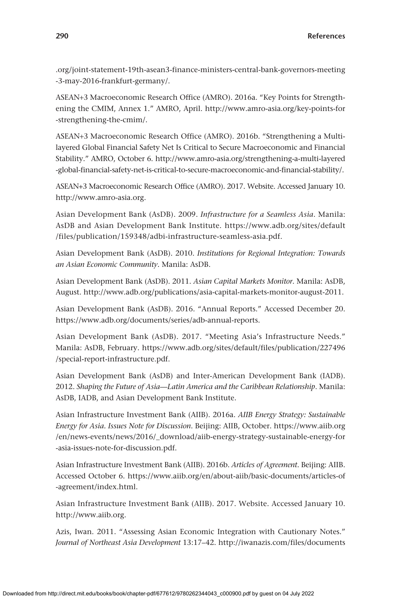[.org/joint-statement-19th-asean3-finance-ministers-central-bank-governors-meeting](http://asean.org/joint-statement-19th-asean3-finance-ministers-central-bank-governors-meeting-3-may-2016-frankfurt-germany/) [-3-may-2016-frankfurt-germany/.](http://asean.org/joint-statement-19th-asean3-finance-ministers-central-bank-governors-meeting-3-may-2016-frankfurt-germany/)

ASEAN+3 Macroeconomic Research Office (AMRO). 2016a. "Key Points for Strengthening the CMIM, Annex 1." AMRO, April. [http://www.amro-asia.org/key-points-for](http://www.amro-asia.org/key-points-for-strengthening-the-cmim/) [-strengthening-the-cmim/.](http://www.amro-asia.org/key-points-for-strengthening-the-cmim/)

ASEAN+3 Macroeconomic Research Office (AMRO). 2016b. "Strengthening a Multilayered Global Financial Safety Net Is Critical to Secure Macroeconomic and Financial Stability." AMRO, October 6. [http://www.amro-asia.org/strengthening-a-multi-layered](http://www.amro-asia.org/strengthening-a-multi-layered-global-financial-safety-net-is-critical-to-secure-macroeconomic-and-financial-stability/) [-global-financial-safety-net-is-critical-to-secure-macroeconomic-and-financial-stability/](http://www.amro-asia.org/strengthening-a-multi-layered-global-financial-safety-net-is-critical-to-secure-macroeconomic-and-financial-stability/).

ASEAN+3 Macroeconomic Research Office (AMRO). 2017. Website. Accessed January 10. <http://www.amro-asia.org>.

Asian Development Bank (AsDB). 2009. *Infrastructure for a Seamless Asia*. Manila: AsDB and Asian Development Bank Institute. [https://www.adb.org/sites/default](https://www.adb.org/sites/default/files/publication/159348/adbi-infrastructure-seamless-asia.pdf) [/files/publication/159348/adbi-infrastructure-seamless-asia.pdf.](https://www.adb.org/sites/default/files/publication/159348/adbi-infrastructure-seamless-asia.pdf)

Asian Development Bank (AsDB). 2010. *Institutions for Regional Integration: Towards an Asian Economic Community.* Manila: AsDB.

Asian Development Bank (AsDB). 2011. *Asian Capital Markets Monitor*. Manila: AsDB, August.<http://www.adb.org/publications/asia-capital-markets-monitor-august-2011>.

Asian Development Bank (AsDB). 2016. "Annual Reports." Accessed December 20. [https://www.adb.org/documents/series/adb-annual-reports.](https://www.adb.org/documents/series/adb-annual-reports)

Asian Development Bank (AsDB). 2017. "Meeting Asia's Infrastructure Needs." Manila: AsDB, February. [https://www.adb.org/sites/default/files/publication/227496](https://www.adb.org/sites/default/files/publication/227496/special-report-infrastructure.pdf) [/special-report-infrastructure.pdf.](https://www.adb.org/sites/default/files/publication/227496/special-report-infrastructure.pdf)

Asian Development Bank (AsDB) and Inter-American Development Bank (IADB). 2012. *Shaping the Future of Asia—Latin America and the Caribbean Relationship*. Manila: AsDB, IADB, and Asian Development Bank Institute.

Asian Infrastructure Investment Bank (AIIB). 2016a. *AIIB Energy Strategy: Sustainable Energy for Asia. Issues Note for Discussion*. Beijing: AIIB, October. [https://www.aiib.org](https://www.aiib.org/en/news-events/news/2016/_download/aiib-energy-strategy-sustainable-energy-for-asia-issues-note-for-discussion.pdf) [/en/news-events/news/2016/\\_download/aiib-energy-strategy-sustainable-energy-for](https://www.aiib.org/en/news-events/news/2016/_download/aiib-energy-strategy-sustainable-energy-for-asia-issues-note-for-discussion.pdf) [-asia-issues-note-for-discussion.pdf](https://www.aiib.org/en/news-events/news/2016/_download/aiib-energy-strategy-sustainable-energy-for-asia-issues-note-for-discussion.pdf).

Asian Infrastructure Investment Bank (AIIB). 2016b. *Articles of Agreement*. Beijing: AIIB. Accessed October 6. [https://www.aiib.org/en/about-aiib/basic-documents/articles-of](https://www.aiib.org/en/about-aiib/basic-documents/articles-of-agreement/index.html) [-agreement/index.html](https://www.aiib.org/en/about-aiib/basic-documents/articles-of-agreement/index.html).

Asian Infrastructure Investment Bank (AIIB). 2017. Website. Accessed January 10. [http://www.aiib.org.](http://www.aiib.org)

Azis, Iwan. 2011. "Assessing Asian Economic Integration with Cautionary Notes." *Journal of Northeast Asia Development* 13:17–42. [http://iwanazis.com/files/documents](http://iwanazis.com/files/documents/Iwan-Azis-Paper-Assessing-Asian-Economic-Integration-with-Cautionary-Notes2011.pdf)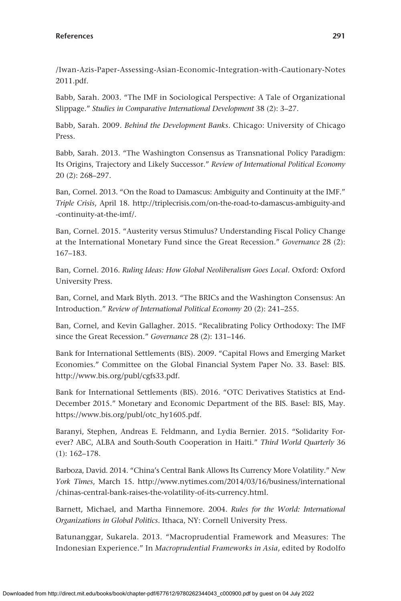[/Iwan-Azis-Paper-Assessing-Asian-Economic-Integration-with-Cautionary-Notes](http://iwanazis.com/files/documents/Iwan-Azis-Paper-Assessing-Asian-Economic-Integration-with-Cautionary-Notes2011.pdf) [2011.pdf.](http://iwanazis.com/files/documents/Iwan-Azis-Paper-Assessing-Asian-Economic-Integration-with-Cautionary-Notes2011.pdf)

Babb, Sarah. 2003. "The IMF in Sociological Perspective: A Tale of Organizational Slippage." *Studies in Comparative International Development* 38 (2): 3–27.

Babb, Sarah. 2009. *Behind the Development Banks*. Chicago: University of Chicago Press.

Babb, Sarah. 2013. "The Washington Consensus as Transnational Policy Paradigm: Its Origins, Trajectory and Likely Successor." *Review of International Political Economy* 20 (2): 268–297.

Ban, Cornel. 2013. "On the Road to Damascus: Ambiguity and Continuity at the IMF." *Triple Crisis*, April 18. [http://triplecrisis.com/on-the-road-to-damascus-ambiguity-and](http://triplecrisis.com/on-the-road-to-damascus-ambiguity-and-continuity-at-the-imf/) [-continuity-at-the-imf/.](http://triplecrisis.com/on-the-road-to-damascus-ambiguity-and-continuity-at-the-imf/)

Ban, Cornel. 2015. "Austerity versus Stimulus? Understanding Fiscal Policy Change at the International Monetary Fund since the Great Recession." *Governance* 28 (2): 167–183.

Ban, Cornel. 2016. *Ruling Ideas: How Global Neoliberalism Goes Local*. Oxford: Oxford University Press.

Ban, Cornel, and Mark Blyth. 2013. "The BRICs and the Washington Consensus: An Introduction." *Review of International Political Economy* 20 (2): 241–255.

Ban, Cornel, and Kevin Gallagher. 2015. "Recalibrating Policy Orthodoxy: The IMF since the Great Recession." *Governance* 28 (2): 131–146.

Bank for International Settlements (BIS). 2009. "Capital Flows and Emerging Market Economies." Committee on the Global Financial System Paper No. 33. Basel: BIS. [http://www.bis.org/publ/cgfs33.pdf.](http://www.bis.org/publ/cgfs33.pdf)

Bank for International Settlements (BIS). 2016. "OTC Derivatives Statistics at End-December 2015." Monetary and Economic Department of the BIS. Basel: BIS, May. [https://www.bis.org/publ/otc\\_hy1605.pdf.](https://www.bis.org/publ/otc_hy1605.pdf)

Baranyi, Stephen, Andreas E. Feldmann, and Lydia Bernier. 2015. "Solidarity Forever? ABC, ALBA and South-South Cooperation in Haiti." *Third World Quarterly* 36 (1): 162–178.

Barboza, David. 2014. "China's Central Bank Allows Its Currency More Volatility." *New York Times*, March 15. [http://www.nytimes.com/2014/03/16/business/international](http://www.nytimes.com/2014/03/16/business/international/chinas-central-bank-raises-the-volatility-of-its-currency.html) [/chinas-central-bank-raises-the-volatility-of-its-currency.html.](http://www.nytimes.com/2014/03/16/business/international/chinas-central-bank-raises-the-volatility-of-its-currency.html)

Barnett, Michael, and Martha Finnemore. 2004. *Rules for the World: International Organizations in Global Politics*. Ithaca, NY: Cornell University Press.

Batunanggar, Sukarela. 2013. "Macroprudential Framework and Measures: The Indonesian Experience." In *Macroprudential Frameworks in Asia*, edited by Rodolfo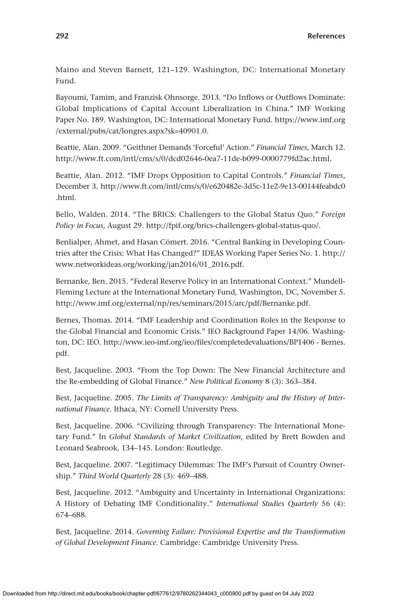Maino and Steven Barnett, 121–129. Washington, DC: International Monetary Fund.

Bayoumi, Tamim, and Franzisk Ohnsorge. 2013. "Do Inflows or Outflows Dominate: Global Implications of Capital Account Liberalization in China." IMF Working Paper No. 189. Washington, DC: International Monetary Fund. [https://www.imf.org](https://www.imf.org/external/pubs/cat/longres.aspx?sk=40901.0) [/external/pubs/cat/longres.aspx?sk](https://www.imf.org/external/pubs/cat/longres.aspx?sk=40901.0)=40901.0.

Beattie, Alan. 2009. "Geithner Demands 'Forceful' Action." *Financial Times*, March 12. <http://www.ft.com/intl/cms/s/0/dcd02646-0ea7-11de-b099-0000779fd2ac.html>.

Beattie, Alan. 2012. "IMF Drops Opposition to Capital Controls." *Financial Times*, December 3. [http://www.ft.com/intl/cms/s/0/e620482e-3d5c-11e2-9e13-00144feabdc0](http://www.ft.com/intl/cms/s/0/e620482e-3d5c-11e2-9e13-00144feabdc0.html) [.html.](http://www.ft.com/intl/cms/s/0/e620482e-3d5c-11e2-9e13-00144feabdc0.html)

Bello, Walden. 2014. "The BRICS: Challengers to the Global Status Quo." *Foreign Policy in Focus*, August 29.<http://fpif.org/brics-challengers-global-status-quo/>.

Benlialper, Ahmet, and Hasan Cömert. 2016. "Central Banking in Developing Countries after the Crisis: What Has Changed?" IDEAS Working Paper Series No. 1. [http://](http://www.networkideas.org/working/jan2016/01_2016.pdf) [www.networkideas.org/working/jan2016/01\\_2016.pdf.](http://www.networkideas.org/working/jan2016/01_2016.pdf)

Bernanke, Ben. 2015. "Federal Reserve Policy in an International Context." Mundell-Fleming Lecture at the International Monetary Fund, Washington, DC, November 5. <http://www.imf.org/external/np/res/seminars/2015/arc/pdf/Bernanke.pdf>.

Bernes, Thomas. 2014. "IMF Leadership and Coordination Roles in the Response to the Global Financial and Economic Crisis." IEO Background Paper 14/06. Washington, DC: IEO.<http://www.ieo-imf.org/ieo/files/completedevaluations/BP1406>- Bernes. pdf.

Best, Jacqueline. 2003. "From the Top Down: The New Financial Architecture and the Re-embedding of Global Finance." *New Political Economy* 8 (3): 363–384.

Best, Jacqueline. 2005. *The Limits of Transparency: Ambiguity and the History of International Finance*. Ithaca, NY: Cornell University Press.

Best, Jacqueline. 2006. "Civilizing through Transparency: The International Monetary Fund." In *Global Standards of Market Civilization*, edited by Brett Bowden and Leonard Seabrook, 134–145. London: Routledge.

Best, Jacqueline. 2007. "Legitimacy Dilemmas: The IMF's Pursuit of Country Ownership." *Third World Quarterly* 28 (3): 469–488.

Best, Jacqueline. 2012. "Ambiguity and Uncertainty in International Organizations: A History of Debating IMF Conditionality." *International Studies Quarterly* 56 (4): 674–688.

Best, Jacqueline. 2014. *Governing Failure: Provisional Expertise and the Transformation of Global Development Finance*. Cambridge: Cambridge University Press.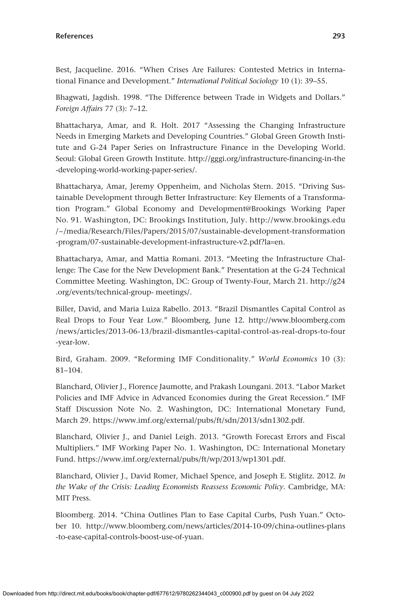Best, Jacqueline. 2016. "When Crises Are Failures: Contested Metrics in International Finance and Development." *International Political Sociology* 10 (1): 39–55.

Bhagwati, Jagdish. 1998. "The Difference between Trade in Widgets and Dollars." *Foreign Affairs* 77 (3): 7–12.

Bhattacharya, Amar, and R. Holt. 2017 "Assessing the Changing Infrastructure Needs in Emerging Markets and Developing Countries." Global Green Growth Institute and G-24 Paper Series on Infrastructure Finance in the Developing World. Seoul: Global Green Growth Institute. [http://gggi.org/infrastructure-financing-in-the](http://gggi.org/infrastructure-financing-in-the-developing-world-working-paper-series/) [-developing-world-working-paper-series/](http://gggi.org/infrastructure-financing-in-the-developing-world-working-paper-series/).

Bhattacharya, Amar, Jeremy Oppenheim, and Nicholas Stern. 2015. "Driving Sustainable Development through Better Infrastructure: Key Elements of a Transformation Program." Global Economy and Development@Brookings Working Paper No. 91. Washington, DC: Brookings Institution, July. [http://www.brookings.edu](http://www.brookings.edu/~/media/Research/Files/Papers/2015/07/sustainable-development-transformation-program/07-sustainable-development-infrastructure-v2.pdf?la=en) [/~/media/Research/Files/Papers/2015/07/sustainable-development-transformation](http://www.brookings.edu/~/media/Research/Files/Papers/2015/07/sustainable-development-transformation-program/07-sustainable-development-infrastructure-v2.pdf?la=en) [-program/07-sustainable-development-infrastructure-v2.pdf?la](http://www.brookings.edu/~/media/Research/Files/Papers/2015/07/sustainable-development-transformation-program/07-sustainable-development-infrastructure-v2.pdf?la=en)=en.

Bhattacharya, Amar, and Mattia Romani. 2013. "Meeting the Infrastructure Challenge: The Case for the New Development Bank." Presentation at the G-24 Technical Committee Meeting. Washington, DC: Group of Twenty-Four, March 21. [http://g24](http://g24.org/events/technical-group-) [.org/events/technical-group-](http://g24.org/events/technical-group-) meetings/.

Biller, David, and Maria Luiza Rabello. 2013. "Brazil Dismantles Capital Control as Real Drops to Four Year Low." Bloomberg, June 12. [http://www.bloomberg.com](http://www.bloomberg.com/news/articles/2013-06-13/brazil-dismantles-capital-control-as-real-drops-to-four-year-low) [/news/articles/2013-06-13/brazil-dismantles-capital-control-as-real-drops-to-four](http://www.bloomberg.com/news/articles/2013-06-13/brazil-dismantles-capital-control-as-real-drops-to-four-year-low) [-year-low](http://www.bloomberg.com/news/articles/2013-06-13/brazil-dismantles-capital-control-as-real-drops-to-four-year-low).

Bird, Graham. 2009. "Reforming IMF Conditionality." *World Economics* 10 (3): 81–104.

Blanchard, Olivier J., Florence Jaumotte, and Prakash Loungani. 2013. "Labor Market Policies and IMF Advice in Advanced Economies during the Great Recession." IMF Staff Discussion Note No. 2. Washington, DC: International Monetary Fund, March 29. <https://www.imf.org/external/pubs/ft/sdn/2013/sdn1302.pdf>.

Blanchard, Olivier J., and Daniel Leigh. 2013. "Growth Forecast Errors and Fiscal Multipliers." IMF Working Paper No. 1. Washington, DC: International Monetary Fund. [https://www.imf.org/external/pubs/ft/wp/2013/wp1301.pdf.](https://www.imf.org/external/pubs/ft/wp/2013/wp1301.pdf)

Blanchard, Olivier J., David Romer, Michael Spence, and Joseph E. Stiglitz. 2012. *In the Wake of the Crisis: Leading Economists Reassess Economic Policy*. Cambridge, MA: MIT Press.

Bloomberg. 2014. "China Outlines Plan to Ease Capital Curbs, Push Yuan." October 10. [http://www.bloomberg.com/news/articles/2014-10-09/china-outlines-plans](http://www.bloomberg.com/news/articles/2014-10-09/china-outlines-plans-to-ease-capital-controls-boost-use-of-yuan) [-to-ease-capital-controls-boost-use-of-yuan](http://www.bloomberg.com/news/articles/2014-10-09/china-outlines-plans-to-ease-capital-controls-boost-use-of-yuan).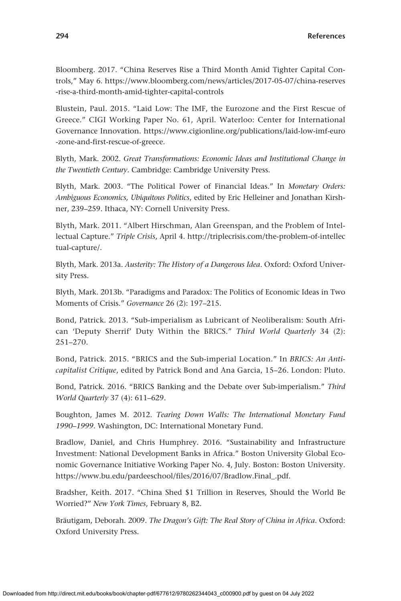Bloomberg. 2017. "China Reserves Rise a Third Month Amid Tighter Capital Controls," May 6. [https://www.bloomberg.com/news/articles/2017-05-07/china-reserves](https://www.bloomberg.com/news/articles/2017-05-07/china-reserves-rise-a-third-month-amid-tighter-capital-controls) [-rise-a-third-month-amid-tighter-capital-controls](https://www.bloomberg.com/news/articles/2017-05-07/china-reserves-rise-a-third-month-amid-tighter-capital-controls)

Blustein, Paul. 2015. "Laid Low: The IMF, the Eurozone and the First Rescue of Greece." CIGI Working Paper No. 61, April. Waterloo: Center for International Governance Innovation. [https://www.cigionline.org/publications/laid-low-imf-euro](https://www.cigionline.org/publications/laid-low-imf-euro-zone-and-first-rescue-of-greece) [-zone-and-first-rescue-of-greece.](https://www.cigionline.org/publications/laid-low-imf-euro-zone-and-first-rescue-of-greece)

Blyth, Mark. 2002. *Great Transformations: Economic Ideas and Institutional Change in the Twentieth Century*. Cambridge: Cambridge University Press.

Blyth, Mark. 2003. "The Political Power of Financial Ideas." In *Monetary Orders: Ambiguous Economics, Ubiquitous Politics*, edited by Eric Helleiner and Jonathan Kirshner, 239–259. Ithaca, NY: Cornell University Press.

Blyth, Mark. 2011. "Albert Hirschman, Alan Greenspan, and the Problem of Intellectual Capture." *Triple Crisis*, April 4. [http://triplecrisis.com/the-problem-of-intellec](http://triplecrisis.com/the-problem-of-intellectual-capture/) [tual-capture/.](http://triplecrisis.com/the-problem-of-intellectual-capture/)

Blyth, Mark. 2013a. *Austerity: The History of a Dangerous Idea*. Oxford: Oxford University Press.

Blyth, Mark. 2013b. "Paradigms and Paradox: The Politics of Economic Ideas in Two Moments of Crisis." *Governance* 26 (2): 197–215.

Bond, Patrick. 2013. "Sub-imperialism as Lubricant of Neoliberalism: South African 'Deputy Sherrif' Duty Within the BRICS." *Third World Quarterly* 34 (2): 251–270.

Bond, Patrick. 2015. "BRICS and the Sub-imperial Location." In *BRICS: An Anti-capitalist Critique*, edited by Patrick Bond and Ana Garcia, 15–26. London: Pluto.

Bond, Patrick. 2016. "BRICS Banking and the Debate over Sub-imperialism." *Third World Quarterly* 37 (4): 611–629.

Boughton, James M. 2012. *Tearing Down Walls: The International Monetary Fund 1990–1999*. Washington, DC: International Monetary Fund.

Bradlow, Daniel, and Chris Humphrey. 2016. "Sustainability and Infrastructure Investment: National Development Banks in Africa." Boston University Global Economic Governance Initiative Working Paper No. 4, July. Boston: Boston University. [https://www.bu.edu/pardeeschool/files/2016/07/Bradlow.Final\\_.pdf.](https://www.bu.edu/pardeeschool/files/2016/07/Bradlow.Final_.pdf)

Bradsher, Keith. 2017. "China Shed \$1 Trillion in Reserves, Should the World Be Worried?" *New York Times*, February 8, B2.

Bräutigam, Deborah. 2009. *The Dragon's Gift: The Real Story of China in Africa*. Oxford: Oxford University Press.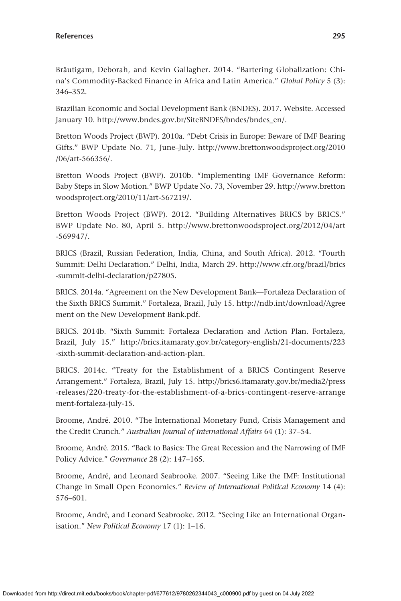Bräutigam, Deborah, and Kevin Gallagher. 2014. "Bartering Globalization: China's Commodity-Backed Finance in Africa and Latin America." *Global Policy* 5 (3): 346–352.

Brazilian Economic and Social Development Bank (BNDES). 2017. Website. Accessed January 10. [http://www.bndes.gov.br/SiteBNDES/bndes/bndes\\_en/.](http://www.bndes.gov.br/SiteBNDES/bndes/bndes_en/)

Bretton Woods Project (BWP). 2010a. "Debt Crisis in Europe: Beware of IMF Bearing Gifts." BWP Update No. 71, June–July. [http://www.brettonwoodsproject.org/2010](http://www.brettonwoodsproject.org/2010/06/art-566356/) [/06/art-566356/.](http://www.brettonwoodsproject.org/2010/06/art-566356/)

Bretton Woods Project (BWP). 2010b. "Implementing IMF Governance Reform: Baby Steps in Slow Motion." BWP Update No. 73, November 29. [http://www.bretton](http://www.brettonwoodsproject.org/2010/11/art-567219/) [woodsproject.org/2010/11/art-567219/](http://www.brettonwoodsproject.org/2010/11/art-567219/).

Bretton Woods Project (BWP). 2012. "Building Alternatives BRICS by BRICS." BWP Update No. 80, April 5. [http://www.brettonwoodsproject.org/2012/04/art](http://www.brettonwoodsproject.org/2012/04/art-569947/) [-569947/](http://www.brettonwoodsproject.org/2012/04/art-569947/).

BRICS (Brazil, Russian Federation, India, China, and South Africa). 2012. "Fourth Summit: Delhi Declaration." Delhi, India, March 29. [http://www.cfr.org/brazil/brics](http://www.cfr.org/brazil/brics-summit-delhi-declaration/p27805) [-summit-delhi-declaration/p27805.](http://www.cfr.org/brazil/brics-summit-delhi-declaration/p27805)

BRICS. 2014a. "Agreement on the New Development Bank—Fortaleza Declaration of the Sixth BRICS Summit." Fortaleza, Brazil, July 15. [http://ndb.int/download/Agree](http://ndb.int/download/Agreement) [ment](http://ndb.int/download/Agreement) on the New Development Bank.pdf.

BRICS. 2014b. "Sixth Summit: Fortaleza Declaration and Action Plan. Fortaleza, Brazil, July 15." [http://brics.itamaraty.gov.br/category-english/21-documents/223](http://brics.itamaraty.gov.br/category-english/21-documents/223-sixth-summit-declaration-and-action-plan) [-sixth-summit-declaration-and-action-plan.](http://brics.itamaraty.gov.br/category-english/21-documents/223-sixth-summit-declaration-and-action-plan)

BRICS. 2014c. "Treaty for the Establishment of a BRICS Contingent Reserve Arrangement." Fortaleza, Brazil, July 15. [http://brics6.itamaraty.gov.br/media2/press](http://brics6.itamaraty.gov.br/media2/press-releases/220-treaty-for-the-establishment-of-a-brics-contingent-reserve-arrangement-fortaleza-july-15) [-releases/220-treaty-for-the-establishment-of-a-brics-contingent-reserve-arrange](http://brics6.itamaraty.gov.br/media2/press-releases/220-treaty-for-the-establishment-of-a-brics-contingent-reserve-arrangement-fortaleza-july-15) [ment-fortaleza-july-15.](http://brics6.itamaraty.gov.br/media2/press-releases/220-treaty-for-the-establishment-of-a-brics-contingent-reserve-arrangement-fortaleza-july-15)

Broome, André. 2010. "The International Monetary Fund, Crisis Management and the Credit Crunch." *Australian Journal of International Affairs* 64 (1): 37–54.

Broome, André. 2015. "Back to Basics: The Great Recession and the Narrowing of IMF Policy Advice." *Governance* 28 (2): 147–165.

Broome, André, and Leonard Seabrooke. 2007. "Seeing Like the IMF: Institutional Change in Small Open Economies." *Review of International Political Economy* 14 (4): 576–601.

Broome, André, and Leonard Seabrooke. 2012. "Seeing Like an International Organisation." *New Political Economy* 17 (1): 1–16.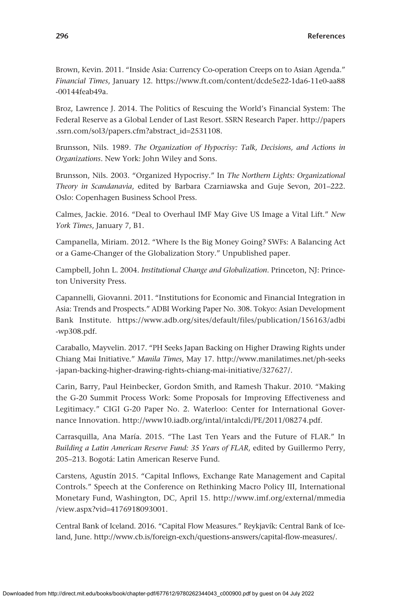Brown, Kevin. 2011. "Inside Asia: Currency Co-operation Creeps on to Asian Agenda." *Financial Times*, January 12. [https://www.ft.com/content/dcde5e22-1da6-11e0-aa88](https://www.ft.com/content/dcde5e22-1da6-11e0-aa88-00144feab49a) [-00144feab49a](https://www.ft.com/content/dcde5e22-1da6-11e0-aa88-00144feab49a).

Broz, Lawrence J. 2014. The Politics of Rescuing the World's Financial System: The Federal Reserve as a Global Lender of Last Resort. SSRN Research Paper. [http://papers](http://papers.ssrn.com/sol3/papers.cfm?abstract_id=2531108) [.ssrn.com/sol3/papers.cfm?abstract\\_id](http://papers.ssrn.com/sol3/papers.cfm?abstract_id=2531108)=2531108.

Brunsson, Nils. 1989. *The Organization of Hypocrisy: Talk, Decisions, and Actions in Organizations*. New York: John Wiley and Sons.

Brunsson, Nils. 2003. "Organized Hypocrisy." In *The Northern Lights: Organizational Theory in Scandanavia*, edited by Barbara Czarniawska and Guje Sevon, 201–222. Oslo: Copenhagen Business School Press.

Calmes, Jackie. 2016. "Deal to Overhaul IMF May Give US Image a Vital Lift." *New York Times*, January 7, B1.

Campanella, Miriam. 2012. "Where Is the Big Money Going? SWFs: A Balancing Act or a Game-Changer of the Globalization Story." Unpublished paper.

Campbell, John L. 2004. *Institutional Change and Globalization*. Princeton, NJ: Princeton University Press.

Capannelli, Giovanni. 2011. "Institutions for Economic and Financial Integration in Asia: Trends and Prospects." ADBI Working Paper No. 308. Tokyo: Asian Development Bank Institute. [https://www.adb.org/sites/default/files/publication/156163/adbi](https://www.adb.org/sites/default/files/publication/156163/adbi-wp308.pdf) [-wp308.pdf](https://www.adb.org/sites/default/files/publication/156163/adbi-wp308.pdf).

Caraballo, Mayvelin. 2017. "PH Seeks Japan Backing on Higher Drawing Rights under Chiang Mai Initiative." *Manila Times*, May 17. [http://www.manilatimes.net/ph-seeks](http://www.manilatimes.net/ph-seeks-japan-backing-higher-drawing-rights-chiang-mai-initiative/327627/) [-japan-backing-higher-drawing-rights-chiang-mai-initiative/327627/.](http://www.manilatimes.net/ph-seeks-japan-backing-higher-drawing-rights-chiang-mai-initiative/327627/)

Carin, Barry, Paul Heinbecker, Gordon Smith, and Ramesh Thakur. 2010. "Making the G-20 Summit Process Work: Some Proposals for Improving Effectiveness and Legitimacy." CIGI G-20 Paper No. 2. Waterloo: Center for International Governance Innovation. <http://www10.iadb.org/intal/intalcdi/PE/2011/08274.pdf>.

Carrasquilla, Ana María. 2015. "The Last Ten Years and the Future of FLAR." In *Building a Latin American Reserve Fund: 35 Years of FLAR*, edited by Guillermo Perry, 205–213. Bogotá: Latin American Reserve Fund.

Carstens, Agustín 2015. "Capital Inflows, Exchange Rate Management and Capital Controls." Speech at the Conference on Rethinking Macro Policy III, International Monetary Fund, Washington, DC, April 15. [http://www.imf.org/external/mmedia](http://www.imf.org/external/mmedia/view.aspx?vid=4176918093001) /view.aspx?vid=[4176918093001.](http://www.imf.org/external/mmedia/view.aspx?vid=4176918093001)

Central Bank of Iceland. 2016. "Capital Flow Measures." Reykjavík: Central Bank of Iceland, June.<http://www.cb.is/foreign-exch/questions-answers/capital-flow-measures/>.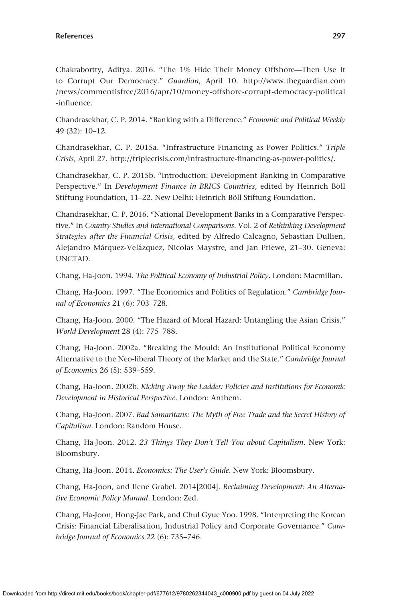Chakrabortty, Aditya. 2016. "The 1% Hide Their Money Offshore—Then Use It to Corrupt Our Democracy." *Guardian*, April 10. [http://www.theguardian.com](http://www.theguardian.com/news/commentisfree/2016/apr/10/money-offshore-corrupt-democracy-political-influence) [/news/commentisfree/2016/apr/10/money-offshore-corrupt-democracy-political](http://www.theguardian.com/news/commentisfree/2016/apr/10/money-offshore-corrupt-democracy-political-influence) [-influence](http://www.theguardian.com/news/commentisfree/2016/apr/10/money-offshore-corrupt-democracy-political-influence).

Chandrasekhar, C. P. 2014. "Banking with a Difference." *Economic and Political Weekly* 49 (32): 10–12.

Chandrasekhar, C. P. 2015a. "Infrastructure Financing as Power Politics." *Triple Crisis*, April 27.<http://triplecrisis.com/infrastructure-financing-as-power-politics/>.

Chandrasekhar, C. P. 2015b. "Introduction: Development Banking in Comparative Perspective." In *Development Finance in BRICS Countries*, edited by Heinrich Böll Stiftung Foundation, 11–22. New Delhi: Heinrich Böll Stiftung Foundation.

Chandrasekhar, C. P. 2016. "National Development Banks in a Comparative Perspective." In *Country Studies and International Comparisons*. Vol. 2 of *Rethinking Development Strategies after the Financial Crisis*, edited by Alfredo Calcagno, Sebastian Dullien, Alejandro Márquez-Velázquez, Nicolas Maystre, and Jan Priewe, 21–30. Geneva: UNCTAD.

Chang, Ha-Joon. 1994. *The Political Economy of Industrial Policy*. London: Macmillan.

Chang, Ha-Joon. 1997. "The Economics and Politics of Regulation." *Cambridge Journal of Economics* 21 (6): 703–728.

Chang, Ha-Joon. 2000. "The Hazard of Moral Hazard: Untangling the Asian Crisis." *World Development* 28 (4): 775–788.

Chang, Ha-Joon. 2002a. "Breaking the Mould: An Institutional Political Economy Alternative to the Neo-liberal Theory of the Market and the State." *Cambridge Journal of Economics* 26 (5): 539–559.

Chang, Ha-Joon. 2002b. *Kicking Away the Ladder: Policies and Institutions for Economic Development in Historical Perspective*. London: Anthem.

Chang, Ha-Joon. 2007. *Bad Samaritans: The Myth of Free Trade and the Secret History of Capitalism*. London: Random House.

Chang, Ha-Joon. 2012. *23 Things They Don't Tell You about Capitalism*. New York: Bloomsbury.

Chang, Ha-Joon. 2014. *Economics: The User's Guide*. New York: Bloomsbury.

Chang, Ha-Joon, and Ilene Grabel. 2014[2004]. *Reclaiming Development: An Alternative Economic Policy Manual*. London: Zed.

Chang, Ha-Joon, Hong-Jae Park, and Chul Gyue Yoo. 1998. "Interpreting the Korean Crisis: Financial Liberalisation, Industrial Policy and Corporate Governance." *Cambridge Journal of Economics* 22 (6): 735–746.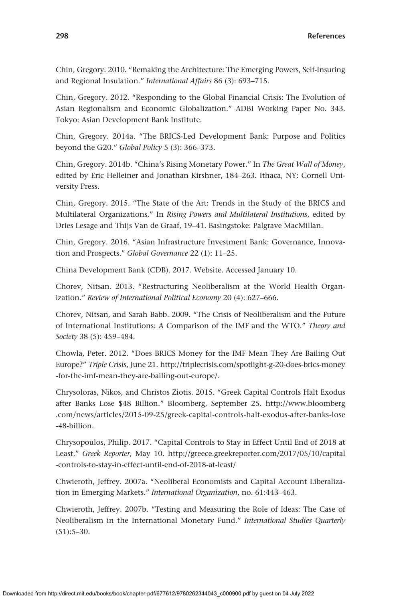Chin, Gregory. 2010. "Remaking the Architecture: The Emerging Powers, Self-Insuring and Regional Insulation." *International Affairs* 86 (3): 693–715.

Chin, Gregory. 2012. "Responding to the Global Financial Crisis: The Evolution of Asian Regionalism and Economic Globalization." ADBI Working Paper No. 343. Tokyo: Asian Development Bank Institute.

Chin, Gregory. 2014a. "The BRICS-Led Development Bank: Purpose and Politics beyond the G20." *Global Policy* 5 (3): 366–373.

Chin, Gregory. 2014b. "China's Rising Monetary Power." In *The Great Wall of Money*, edited by Eric Helleiner and Jonathan Kirshner, 184–263. Ithaca, NY: Cornell University Press.

Chin, Gregory. 2015. "The State of the Art: Trends in the Study of the BRICS and Multilateral Organizations." In *Rising Powers and Multilateral Institutions*, edited by Dries Lesage and Thijs Van de Graaf, 19–41. Basingstoke: Palgrave MacMillan.

Chin, Gregory. 2016. "Asian Infrastructure Investment Bank: Governance, Innovation and Prospects." *Global Governance* 22 (1): 11–25.

China Development Bank (CDB). 2017. Website. Accessed January 10.

Chorev, Nitsan. 2013. "Restructuring Neoliberalism at the World Health Organization." *Review of International Political Economy* 20 (4): 627–666.

Chorev, Nitsan, and Sarah Babb. 2009. "The Crisis of Neoliberalism and the Future of International Institutions: A Comparison of the IMF and the WTO." *Theory and Society* 38 (5): 459–484.

Chowla, Peter. 2012. "Does BRICS Money for the IMF Mean They Are Bailing Out Europe?" *Triple Crisis*, June 21. [http://triplecrisis.com/spotlight-g-20-does-brics-money](http://triplecrisis.com/spotlight-g-20-does-brics-money-for-the-imf-mean-they-are-bailing-out-europe/) [-for-the-imf-mean-they-are-bailing-out-europe/](http://triplecrisis.com/spotlight-g-20-does-brics-money-for-the-imf-mean-they-are-bailing-out-europe/).

Chrysoloras, Nikos, and Christos Ziotis. 2015. "Greek Capital Controls Halt Exodus after Banks Lose \$48 Billion." Bloomberg, September 25. [http://www.bloomberg](http://www.bloomberg.com/news/articles/2015-09-25/greek-capital-controls-halt-exodus-after-banks-lose-48-billion) [.com/news/articles/2015-09-25/greek-capital-controls-halt-exodus-after-banks-lose](http://www.bloomberg.com/news/articles/2015-09-25/greek-capital-controls-halt-exodus-after-banks-lose-48-billion) [-48-billion.](http://www.bloomberg.com/news/articles/2015-09-25/greek-capital-controls-halt-exodus-after-banks-lose-48-billion)

Chrysopoulos, Philip. 2017. "Capital Controls to Stay in Effect Until End of 2018 at Least." *Greek Reporter*, May 10. [http://greece.greekreporter.com/2017/05/10/capital](http://greece.greekreporter.com/2017/05/10/capital-controls-to-stay-in-effect-until-end-of-2018-at-least/) [-controls-to-stay-in-effect-until-end-of-2018-at-least/](http://greece.greekreporter.com/2017/05/10/capital-controls-to-stay-in-effect-until-end-of-2018-at-least/)

Chwieroth, Jeffrey. 2007a. "Neoliberal Economists and Capital Account Liberalization in Emerging Markets." *International Organization*, no. 61:443–463.

Chwieroth, Jeffrey. 2007b. "Testing and Measuring the Role of Ideas: The Case of Neoliberalism in the International Monetary Fund." *International Studies Quarterly*  $(51):5-30.$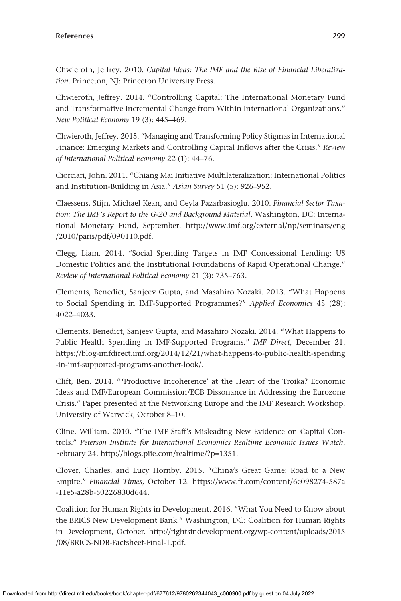Chwieroth, Jeffrey. 2010. *Capital Ideas: The IMF and the Rise of Financial Liberalization*. Princeton, NJ: Princeton University Press.

Chwieroth, Jeffrey. 2014. "Controlling Capital: The International Monetary Fund and Transformative Incremental Change from Within International Organizations." *New Political Economy* 19 (3): 445–469.

Chwieroth, Jeffrey. 2015. "Managing and Transforming Policy Stigmas in International Finance: Emerging Markets and Controlling Capital Inflows after the Crisis." *Review of International Political Economy* 22 (1): 44–76.

Ciorciari, John. 2011. "Chiang Mai Initiative Multilateralization: International Politics and Institution-Building in Asia." *Asian Survey* 51 (5): 926–952.

Claessens, Stijn, Michael Kean, and Ceyla Pazarbasioglu. 2010. *Financial Sector Taxation: The IMF's Report to the G-20 and Background Material*. Washington, DC: International Monetary Fund, September. [http://www.imf.org/external/np/seminars/eng](http://www.imf.org/external/np/seminars/eng/2010/paris/pdf/090110.pdf) [/2010/paris/pdf/090110.pdf.](http://www.imf.org/external/np/seminars/eng/2010/paris/pdf/090110.pdf)

Clegg, Liam. 2014. "Social Spending Targets in IMF Concessional Lending: US Domestic Politics and the Institutional Foundations of Rapid Operational Change." *Review of International Political Economy* 21 (3): 735–763.

Clements, Benedict, Sanjeev Gupta, and Masahiro Nozaki. 2013. "What Happens to Social Spending in IMF-Supported Programmes?" *Applied Economics* 45 (28): 4022–4033.

Clements, Benedict, Sanjeev Gupta, and Masahiro Nozaki. 2014. "What Happens to Public Health Spending in IMF-Supported Programs." *IMF Direct*, December 21. [https://blog-imfdirect.imf.org/2014/12/21/what-happens-to-public-health-spending](https://blog-imfdirect.imf.org/2014/12/21/what-happens-to-public-health-spending-in-imf-supported-programs-another-look/) [-in-imf-supported-programs-another-look/](https://blog-imfdirect.imf.org/2014/12/21/what-happens-to-public-health-spending-in-imf-supported-programs-another-look/).

Clift, Ben. 2014. "'Productive Incoherence' at the Heart of the Troika? Economic Ideas and IMF/European Commission/ECB Dissonance in Addressing the Eurozone Crisis." Paper presented at the Networking Europe and the IMF Research Workshop, University of Warwick, October 8–10.

Cline, William. 2010. "The IMF Staff's Misleading New Evidence on Capital Controls." *Peterson Institute for International Economics Realtime Economic Issues Watch*, February 24. [http://blogs.piie.com/realtime/?p](http://blogs.piie.com/realtime/?p=1351)=1351.

Clover, Charles, and Lucy Hornby. 2015. "China's Great Game: Road to a New Empire." *Financial Times*, October 12. [https://www.ft.com/content/6e098274-587a](https://www.ft.com/content/6e098274-587a-11e5-a28b-50226830d644) [-11e5-a28b-50226830d644.](https://www.ft.com/content/6e098274-587a-11e5-a28b-50226830d644)

Coalition for Human Rights in Development. 2016. "What You Need to Know about the BRICS New Development Bank." Washington, DC: Coalition for Human Rights in Development, October. [http://rightsindevelopment.org/wp-content/uploads/2015](http://rightsindevelopment.org/wp-content/uploads/2015/08/BRICS-NDB-Factsheet-Final-1.pdf) [/08/BRICS-NDB-Factsheet-Final-1.pdf](http://rightsindevelopment.org/wp-content/uploads/2015/08/BRICS-NDB-Factsheet-Final-1.pdf).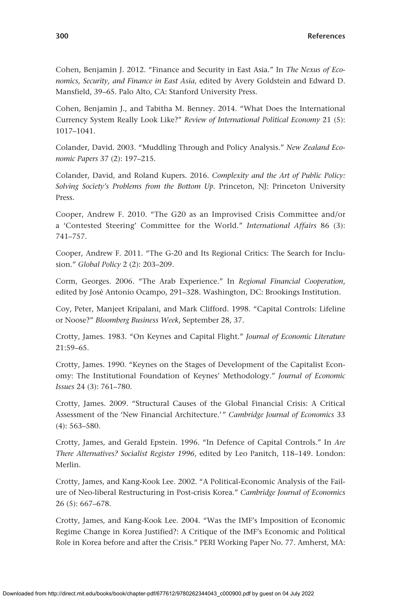Cohen, Benjamin J. 2012. "Finance and Security in East Asia." In *The Nexus of Economics, Security, and Finance in East Asia*, edited by Avery Goldstein and Edward D. Mansfield, 39–65. Palo Alto, CA: Stanford University Press.

Cohen, Benjamin J., and Tabitha M. Benney. 2014. "What Does the International Currency System Really Look Like?" *Review of International Political Economy* 21 (5): 1017–1041.

Colander, David. 2003. "Muddling Through and Policy Analysis." *New Zealand Economic Papers* 37 (2): 197–215.

Colander, David, and Roland Kupers. 2016. *Complexity and the Art of Public Policy: Solving Society's Problems from the Bottom Up*. Princeton, NJ: Princeton University Press.

Cooper, Andrew F. 2010. "The G20 as an Improvised Crisis Committee and/or a 'Contested Steering' Committee for the World." *International Affairs* 86 (3): 741–757.

Cooper, Andrew F. 2011. "The G-20 and Its Regional Critics: The Search for Inclusion." *Global Policy* 2 (2): 203–209.

Corm, Georges. 2006. "The Arab Experience." In *Regional Financial Cooperation*, edited by José Antonio Ocampo, 291–328. Washington, DC: Brookings Institution.

Coy, Peter, Manjeet Kripalani, and Mark Clifford. 1998. "Capital Controls: Lifeline or Noose?" *Bloomberg Business Week*, September 28, 37.

Crotty, James. 1983. "On Keynes and Capital Flight." *Journal of Economic Literature* 21:59–65.

Crotty, James. 1990. "Keynes on the Stages of Development of the Capitalist Economy: The Institutional Foundation of Keynes' Methodology." *Journal of Economic Issues* 24 (3): 761–780.

Crotty, James. 2009. "Structural Causes of the Global Financial Crisis: A Critical Assessment of the 'New Financial Architecture.'" *Cambridge Journal of Economics* 33 (4): 563–580.

Crotty, James, and Gerald Epstein. 1996. "In Defence of Capital Controls." In *Are There Alternatives? Socialist Register 1996*, edited by Leo Panitch, 118–149. London: Merlin.

Crotty, James, and Kang-Kook Lee. 2002. "A Political-Economic Analysis of the Failure of Neo-liberal Restructuring in Post-crisis Korea." *Cambridge Journal of Economics* 26 (5): 667–678.

Crotty, James, and Kang-Kook Lee. 2004. "Was the IMF's Imposition of Economic Regime Change in Korea Justified?: A Critique of the IMF's Economic and Political Role in Korea before and after the Crisis." PERI Working Paper No. 77. Amherst, MA: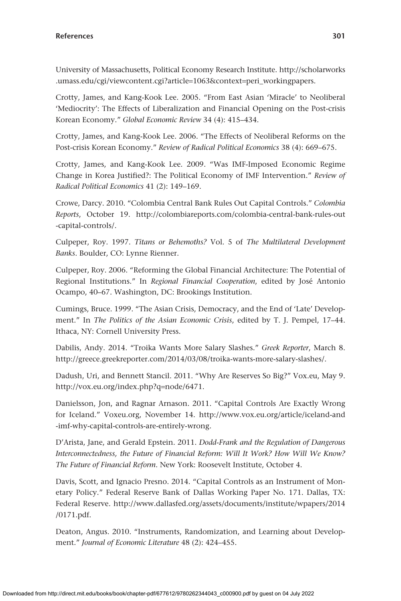University of Massachusetts, Political Economy Research Institute. [http://scholarworks](http://scholarworks.umass.edu/cgi/viewcontent.cgi?article=1063&context=peri_workingpapers) [.umass.edu/cgi/viewcontent.cgi?article](http://scholarworks.umass.edu/cgi/viewcontent.cgi?article=1063&context=peri_workingpapers)=1063&context=peri\_workingpapers.

Crotty, James, and Kang-Kook Lee. 2005. "From East Asian 'Miracle' to Neoliberal 'Mediocrity': The Effects of Liberalization and Financial Opening on the Post-crisis Korean Economy." *Global Economic Review* 34 (4): 415–434.

Crotty, James, and Kang-Kook Lee. 2006. "The Effects of Neoliberal Reforms on the Post-crisis Korean Economy." *Review of Radical Political Economics* 38 (4): 669–675.

Crotty, James, and Kang-Kook Lee. 2009. "Was IMF-Imposed Economic Regime Change in Korea Justified?: The Political Economy of IMF Intervention." *Review of Radical Political Economics* 41 (2): 149–169.

Crowe, Darcy. 2010. "Colombia Central Bank Rules Out Capital Controls." *Colombia Reports*, October 19. [http://colombiareports.com/colombia-central-bank-rules-out](http://colombiareports.com/colombia-central-bank-rules-out-capital-controls/) [-capital-controls/](http://colombiareports.com/colombia-central-bank-rules-out-capital-controls/).

Culpeper, Roy. 1997. *Titans or Behemoths?* Vol. 5 of *The Multilateral Development Banks*. Boulder, CO: Lynne Rienner.

Culpeper, Roy. 2006. "Reforming the Global Financial Architecture: The Potential of Regional Institutions." In *Regional Financial Cooperation*, edited by José Antonio Ocampo, 40–67. Washington, DC: Brookings Institution.

Cumings, Bruce. 1999. "The Asian Crisis, Democracy, and the End of 'Late' Development." In *The Politics of the Asian Economic Crisis*, edited by T. J. Pempel, 17–44. Ithaca, NY: Cornell University Press.

Dabilis, Andy. 2014. "Troika Wants More Salary Slashes." *Greek Reporter*, March 8. [http://greece.greekreporter.com/2014/03/08/troika-wants-more-salary-slashes/.](http://greece.greekreporter.com/2014/03/08/troika-wants-more-salary-slashes/)

Dadush, Uri, and Bennett Stancil. 2011. "Why Are Reserves So Big?" Vox.eu, May 9. [http://vox.eu.org/index.php?q](http://vox.eu.org/index.php?q=node/6471)=node/6471.

Danielsson, Jon, and Ragnar Arnason. 2011. "Capital Controls Are Exactly Wrong for Iceland." [Voxeu.org](http://Voxeu.org), November 14. [http://www.vox.eu.org/article/iceland-and](http://www.vox.eu.org/article/iceland-and-imf-why-capital-controls-are-entirely-wrong) [-imf-why-capital-controls-are-entirely-wrong.](http://www.vox.eu.org/article/iceland-and-imf-why-capital-controls-are-entirely-wrong)

D'Arista, Jane, and Gerald Epstein. 2011. *Dodd-Frank and the Regulation of Dangerous Interconnectedness, the Future of Financial Reform: Will It Work? How Will We Know? The Future of Financial Reform*. New York: Roosevelt Institute, October 4.

Davis, Scott, and Ignacio Presno. 2014. "Capital Controls as an Instrument of Monetary Policy." Federal Reserve Bank of Dallas Working Paper No. 171. Dallas, TX: Federal Reserve. [http://www.dallasfed.org/assets/documents/institute/wpapers/2014](http://www.dallasfed.org/assets/documents/institute/wpapers/2014/0171.pdf) [/0171.pdf](http://www.dallasfed.org/assets/documents/institute/wpapers/2014/0171.pdf).

Deaton, Angus. 2010. "Instruments, Randomization, and Learning about Development." *Journal of Economic Literature* 48 (2): 424–455.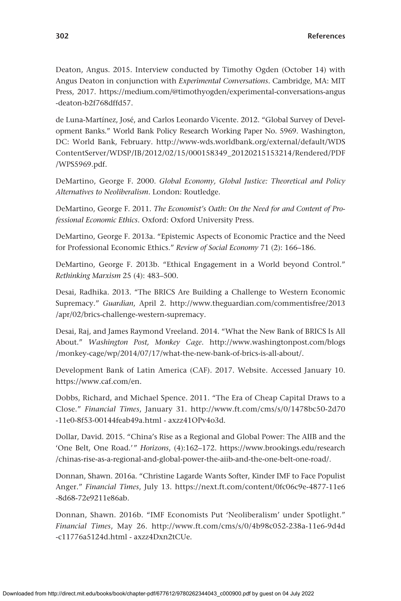Deaton, Angus. 2015. Interview conducted by Timothy Ogden (October 14) with Angus Deaton in conjunction with *Experimental Conversations*. Cambridge, MA: MIT Press, 2017. [https://medium.com/@timothyogden/experimental-conversations-angus](https://medium.com/@timothyogden/experimental-conversations-angus-deaton-b2f768dffd57) [-deaton-b2f768dffd57](https://medium.com/@timothyogden/experimental-conversations-angus-deaton-b2f768dffd57).

de Luna-Martínez, José, and Carlos Leonardo Vicente. 2012. "Global Survey of Development Banks." World Bank Policy Research Working Paper No. 5969. Washington, DC: World Bank, February. [http://www-wds.worldbank.org/external/default/WDS](http://www-wds.worldbank.org/external/default/WDSContentServer/WDSP/IB/2012/02/15/000158349_20120215153214/Rendered/PDF/WPS5969.pdf) [ContentServer/WDSP/IB/2012/02/15/000158349\\_20120215153214/Rendered/PDF](http://www-wds.worldbank.org/external/default/WDSContentServer/WDSP/IB/2012/02/15/000158349_20120215153214/Rendered/PDF/WPS5969.pdf) [/WPS5969.pdf](http://www-wds.worldbank.org/external/default/WDSContentServer/WDSP/IB/2012/02/15/000158349_20120215153214/Rendered/PDF/WPS5969.pdf).

DeMartino, George F. 2000. *Global Economy, Global Justice: Theoretical and Policy Alternatives to Neoliberalism*. London: Routledge.

DeMartino, George F. 2011. *The Economist's Oath: On the Need for and Content of Professional Economic Ethics*. Oxford: Oxford University Press.

DeMartino, George F. 2013a. "Epistemic Aspects of Economic Practice and the Need for Professional Economic Ethics." *Review of Social Economy* 71 (2): 166–186.

DeMartino, George F. 2013b. "Ethical Engagement in a World beyond Control." *Rethinking Marxism* 25 (4): 483–500.

Desai, Radhika. 2013. "The BRICS Are Building a Challenge to Western Economic Supremacy." *Guardian*, April 2. [http://www.theguardian.com/commentisfree/2013](http://www.theguardian.com/commentisfree/2013/apr/02/brics-challenge-western-supremacy) [/apr/02/brics-challenge-western-supremacy.](http://www.theguardian.com/commentisfree/2013/apr/02/brics-challenge-western-supremacy)

Desai, Raj, and James Raymond Vreeland. 2014. "What the New Bank of BRICS Is All About." *Washington Post, Monkey Cage*. [http://www.washingtonpost.com/blogs](http://www.washingtonpost.com/blogs/monkey-cage/wp/2014/07/17/what-the-new-bank-of-brics-is-all-about/) [/monkey-cage/wp/2014/07/17/what-the-new-bank-of-brics-is-all-about/](http://www.washingtonpost.com/blogs/monkey-cage/wp/2014/07/17/what-the-new-bank-of-brics-is-all-about/).

Development Bank of Latin America (CAF). 2017. Website. Accessed January 10. <https://www.caf.com/en>.

Dobbs, Richard, and Michael Spence. 2011. "The Era of Cheap Capital Draws to a Close." *Financial Times*, January 31. [http://www.ft.com/cms/s/0/1478bc50-2d70](http://www.ft.com/cms/s/0/1478bc50-2d70-11e0-8f53-00144feab49a.html) [-11e0-8f53-00144feab49a.html](http://www.ft.com/cms/s/0/1478bc50-2d70-11e0-8f53-00144feab49a.html) - axzz41OPv4o3d.

Dollar, David. 2015. "China's Rise as a Regional and Global Power: The AIIB and the 'One Belt, One Road.'" *Horizons*, (4):162–172. [https://www.brookings.edu/research](https://www.brookings.edu/research/chinas-rise-as-a-regional-and-global-power-the-aiib-and-the-one-belt-one-road/) [/chinas-rise-as-a-regional-and-global-power-the-aiib-and-the-one-belt-one-road/.](https://www.brookings.edu/research/chinas-rise-as-a-regional-and-global-power-the-aiib-and-the-one-belt-one-road/)

Donnan, Shawn. 2016a. "Christine Lagarde Wants Softer, Kinder IMF to Face Populist Anger." *Financial Times*, July 13. [https://next.ft.com/content/0fc06c9e-4877-11e6](https://next.ft.com/content/0fc06c9e-4877-11e6-8d68-72e9211e86ab) [-8d68-72e9211e86ab](https://next.ft.com/content/0fc06c9e-4877-11e6-8d68-72e9211e86ab).

Donnan, Shawn. 2016b. "IMF Economists Put 'Neoliberalism' under Spotlight." *Financial Times*, May 26. [http://www.ft.com/cms/s/0/4b98c052-238a-11e6-9d4d](http://www.ft.com/cms/s/0/4b98c052-238a-11e6-9d4d-c11776a5124d.html) [-c11776a5124d.html](http://www.ft.com/cms/s/0/4b98c052-238a-11e6-9d4d-c11776a5124d.html) - axzz4Dxn2tCUe.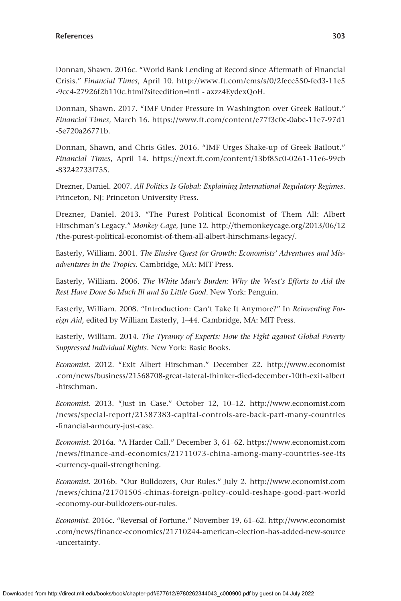Donnan, Shawn. 2016c. "World Bank Lending at Record since Aftermath of Financial Crisis." *Financial Times*, April 10. [http://www.ft.com/cms/s/0/2fecc550-fed3-11e5](http://www.ft.com/cms/s/0/2fecc550-fed3-11e5-9cc4-27926f2b110c.html?siteedition=intl) [-9cc4-27926f2b110c.html?siteedition](http://www.ft.com/cms/s/0/2fecc550-fed3-11e5-9cc4-27926f2b110c.html?siteedition=intl)=intl - axzz4EydexQoH.

Donnan, Shawn. 2017. "IMF Under Pressure in Washington over Greek Bailout." *Financial Times*, March 16. [https://www.ft.com/content/e77f3c0c-0abc-11e7-97d1](https://www.ft.com/content/e77f3c0c-0abc-11e7-97d1-5e720a26771b) [-5e720a26771b.](https://www.ft.com/content/e77f3c0c-0abc-11e7-97d1-5e720a26771b)

Donnan, Shawn, and Chris Giles. 2016. "IMF Urges Shake-up of Greek Bailout." *Financial Times*, April 14. [https://next.ft.com/content/13bf85c0-0261-11e6-99cb](https://next.ft.com/content/13bf85c0-0261-11e6-99cb-83242733f755) [-83242733f755.](https://next.ft.com/content/13bf85c0-0261-11e6-99cb-83242733f755)

Drezner, Daniel. 2007. *All Politics Is Global: Explaining International Regulatory Regimes*. Princeton, NJ: Princeton University Press.

Drezner, Daniel. 2013. "The Purest Political Economist of Them All: Albert Hirschman's Legacy." *Monkey Cage*, June 12. [http://themonkeycage.org/2013/06/12](http://themonkeycage.org/2013/06/12/the-purest-political-economist-of-them-all-albert-hirschmans-legacy/) [/the-purest-political-economist-of-them-all-albert-hirschmans-legacy/.](http://themonkeycage.org/2013/06/12/the-purest-political-economist-of-them-all-albert-hirschmans-legacy/)

Easterly, William. 2001. *The Elusive Quest for Growth: Economists' Adventures and Misadventures in the Tropics*. Cambridge, MA: MIT Press.

Easterly, William. 2006. *The White Man's Burden: Why the West's Efforts to Aid the Rest Have Done So Much Ill and So Little Good*. New York: Penguin.

Easterly, William. 2008. "Introduction: Can't Take It Anymore?" In *Reinventing Foreign Aid*, edited by William Easterly, 1–44. Cambridge, MA: MIT Press.

Easterly, William. 2014. *The Tyranny of Experts: How the Fight against Global Poverty Suppressed Individual Rights*. New York: Basic Books.

*Economist*. 2012. "Exit Albert Hirschman." December 22. [http://www.economist](http://www.economist.com/news/business/21568708-great-lateral-thinker-died-december-10th-exit-albert-hirschman) [.com/news/business/21568708-great-lateral-thinker-died-december-10th-exit-albert](http://www.economist.com/news/business/21568708-great-lateral-thinker-died-december-10th-exit-albert-hirschman) [-hirschman.](http://www.economist.com/news/business/21568708-great-lateral-thinker-died-december-10th-exit-albert-hirschman)

*Economist*. 2013. "Just in Case." October 12, 10–12. [http://www.economist.com](http://www.economist.com/news/special-report/21587383-capital-controls-are-back-part-many-countries-financial-armoury-just-case) [/news/special-report/21587383-capital-controls-are-back-part-many-countries](http://www.economist.com/news/special-report/21587383-capital-controls-are-back-part-many-countries-financial-armoury-just-case) [-financial-armoury-just-case.](http://www.economist.com/news/special-report/21587383-capital-controls-are-back-part-many-countries-financial-armoury-just-case)

*Economist*. 2016a. "A Harder Call." December 3, 61–62. [https://www.economist.com](https://www.economist.com/news/finance-and-economics/21711073-china-among-many-countries-see-its-currency-quail-strengthening) [/news/finance-and-economics/21711073-china-among-many-countries-see-its](https://www.economist.com/news/finance-and-economics/21711073-china-among-many-countries-see-its-currency-quail-strengthening) [-currency-quail-strengthening](https://www.economist.com/news/finance-and-economics/21711073-china-among-many-countries-see-its-currency-quail-strengthening).

*Economist*. 2016b. "Our Bulldozers, Our Rules." July 2. [http://www.economist.com](http://www.economist.com/news/china/21701505-chinas-foreign-policy-could-reshape-good-part-world-economy-our-bulldozers-our-rules) [/news/china/21701505-chinas-foreign-policy-could-reshape-good-part-world](http://www.economist.com/news/china/21701505-chinas-foreign-policy-could-reshape-good-part-world-economy-our-bulldozers-our-rules) [-economy-our-bulldozers-our-rules.](http://www.economist.com/news/china/21701505-chinas-foreign-policy-could-reshape-good-part-world-economy-our-bulldozers-our-rules)

*Economist*. 2016c. "Reversal of Fortune." November 19, 61–62. [http://www.economist](http://www.economist.com/news/finance-economics/21710244-american-election-has-added-new-source-uncertainty) [.com/news/finance-economics/21710244-american-election-has-added-new-source](http://www.economist.com/news/finance-economics/21710244-american-election-has-added-new-source-uncertainty) [-uncertainty.](http://www.economist.com/news/finance-economics/21710244-american-election-has-added-new-source-uncertainty)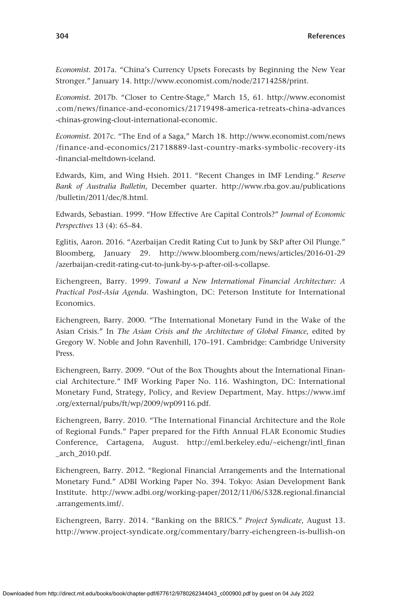*Economist*. 2017a. "China's Currency Upsets Forecasts by Beginning the New Year Stronger." January 14.<http://www.economist.com/node/21714258/print>.

*Economist.* 2017b. "Closer to Centre-Stage," March 15, 61. [http://www.economist](http://www.economist.com/news/finance-and-economics/21719498-america-retreats-china-advances-chinas-growing-clout-international-economic) [.com/news/finance-and-economics/21719498-america-retreats-china-advances](http://www.economist.com/news/finance-and-economics/21719498-america-retreats-china-advances-chinas-growing-clout-international-economic) [-chinas-growing-clout-international-economic.](http://www.economist.com/news/finance-and-economics/21719498-america-retreats-china-advances-chinas-growing-clout-international-economic)

*Economist*. 2017c. "The End of a Saga," March 18. [http://www.economist.com/news](http://www.economist.com/news/finance-and-economics/21718889-last-country-marks-symbolic-recovery-its-financial-meltdown-iceland) [/finance-and-economics/21718889-last-country-marks-symbolic-recovery-its](http://www.economist.com/news/finance-and-economics/21718889-last-country-marks-symbolic-recovery-its-financial-meltdown-iceland) [-financial-meltdown-iceland](http://www.economist.com/news/finance-and-economics/21718889-last-country-marks-symbolic-recovery-its-financial-meltdown-iceland).

Edwards, Kim, and Wing Hsieh. 2011. "Recent Changes in IMF Lending." *Reserve Bank of Australia Bulletin*, December quarter. [http://www.rba.gov.au/publications](http://www.rba.gov.au/publications/bulletin/2011/dec/8.html) [/bulletin/2011/dec/8.html](http://www.rba.gov.au/publications/bulletin/2011/dec/8.html).

Edwards, Sebastian. 1999. "How Effective Are Capital Controls?" *Journal of Economic Perspectives* 13 (4): 65–84.

Eglitis, Aaron. 2016. "Azerbaijan Credit Rating Cut to Junk by S&P after Oil Plunge." Bloomberg, January 29. [http://www.bloomberg.com/news/articles/2016-01-29](http://www.bloomberg.com/news/articles/2016-01-29/azerbaijan-credit-rating-cut-to-junk-by-s-p-after-oil-s-collapse) [/azerbaijan-credit-rating-cut-to-junk-by-s-p-after-oil-s-collapse.](http://www.bloomberg.com/news/articles/2016-01-29/azerbaijan-credit-rating-cut-to-junk-by-s-p-after-oil-s-collapse)

Eichengreen, Barry. 1999. *Toward a New International Financial Architecture: A Practical Post-Asia Agenda*. Washington, DC: Peterson Institute for International Economics.

Eichengreen, Barry. 2000. "The International Monetary Fund in the Wake of the Asian Crisis." In *The Asian Crisis and the Architecture of Global Finance*, edited by Gregory W. Noble and John Ravenhill, 170–191. Cambridge: Cambridge University Press.

Eichengreen, Barry. 2009. "Out of the Box Thoughts about the International Financial Architecture." IMF Working Paper No. 116. Washington, DC: International Monetary Fund, Strategy, Policy, and Review Department, May. [https://www.imf](https://www.imf.org/external/pubs/ft/wp/2009/wp09116.pdf) [.org/external/pubs/ft/wp/2009/wp09116.pdf.](https://www.imf.org/external/pubs/ft/wp/2009/wp09116.pdf)

Eichengreen, Barry. 2010. "The International Financial Architecture and the Role of Regional Funds." Paper prepared for the Fifth Annual FLAR Economic Studies Conference, Cartagena, August. [http://eml.berkeley.edu/~eichengr/intl\\_finan](http://eml.berkeley.edu/~eichengr/intl_finan_arch_2010.pdf) [\\_arch\\_2010.pdf.](http://eml.berkeley.edu/~eichengr/intl_finan_arch_2010.pdf)

Eichengreen, Barry. 2012. "Regional Financial Arrangements and the International Monetary Fund." ADBI Working Paper No. 394. Tokyo: Asian Development Bank Institute. [http://www.adbi.org/working-paper/2012/11/06/5328.regional.financial](http://www.adbi.org/working-paper/2012/11/06/5328.regional.financial.arrangements.imf/) [.arrangements.imf/](http://www.adbi.org/working-paper/2012/11/06/5328.regional.financial.arrangements.imf/).

Eichengreen, Barry. 2014. "Banking on the BRICS." *Project Syndicate*, August 13. [http://www.project-syndicate.org/commentary/barry-eichengreen-is-bullish-on](http://www.project-syndicate.org/commentary/barry-eichengreen-is-bullish-on-the-group-s-new-development-bank—but-not-on-its-contingent-reserve-arrangement)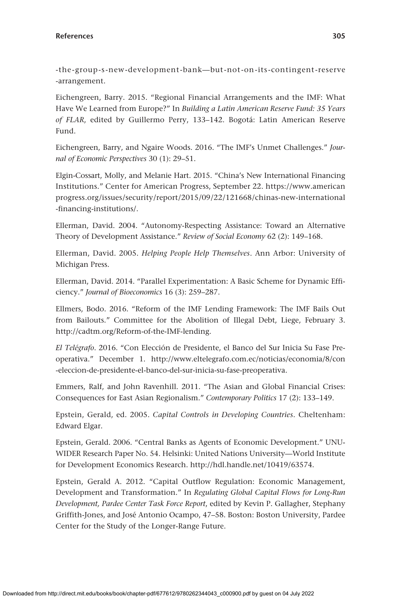-the -group-s [-new-development-bank—but-not-on-its](http://www.project-syndicate.org/commentary/barry-eichengreen-is-bullish-on-the-group-s-new-development-bank—but-not-on-its-contingent-reserve-arrangement) -contingent-reserve [-arrangement](http://www.project-syndicate.org/commentary/barry-eichengreen-is-bullish-on-the-group-s-new-development-bank—but-not-on-its-contingent-reserve-arrangement).

Eichengreen, Barry. 2015. "Regional Financial Arrangements and the IMF: What Have We Learned from Europe?" In *Building a Latin American Reserve Fund: 35 Years of FLAR*, edited by Guillermo Perry, 133–142. Bogotá: Latin American Reserve Fund.

Eichengreen, Barry, and Ngaire Woods. 2016. "The IMF's Unmet Challenges." *Journal of Economic Perspectives* 30 (1): 29–51.

Elgin-Cossart, Molly, and Melanie Hart. 2015. "China's New International Financing Institutions." Center for American Progress, September 22. [https://www.american](https://www.americanprogress.org/issues/security/report/2015/09/22/121668/chinas-new-international-financing-institutions/) [progress.org/issues/security/report/2015/09/22/121668/chinas-new-international](https://www.americanprogress.org/issues/security/report/2015/09/22/121668/chinas-new-international-financing-institutions/) [-financing-institutions/.](https://www.americanprogress.org/issues/security/report/2015/09/22/121668/chinas-new-international-financing-institutions/)

Ellerman, David. 2004. "Autonomy-Respecting Assistance: Toward an Alternative Theory of Development Assistance." *Review of Social Economy* 62 (2): 149–168.

Ellerman, David. 2005. *Helping People Help Themselves*. Ann Arbor: University of Michigan Press.

Ellerman, David. 2014. "Parallel Experimentation: A Basic Scheme for Dynamic Efficiency." *Journal of Bioeconomics* 16 (3): 259–287.

Ellmers, Bodo. 2016. "Reform of the IMF Lending Framework: The IMF Bails Out from Bailouts." Committee for the Abolition of Illegal Debt, Liege, February 3. <http://cadtm.org/Reform-of-the-IMF-lending>.

*El Telégrafo*. 2016. "Con Elección de Presidente, el Banco del Sur Inicia Su Fase Preoperativa." December 1. [http://www.eltelegrafo.com.ec/noticias/economia/8/con](http://www.eltelegrafo.com.ec/noticias/economia/8/con-eleccion-de-presidente-el-banco-del-sur-inicia-su-fase-preoperativa) [-eleccion-de-presidente-el-banco-del-sur-inicia-su-fase-preoperativa](http://www.eltelegrafo.com.ec/noticias/economia/8/con-eleccion-de-presidente-el-banco-del-sur-inicia-su-fase-preoperativa).

Emmers, Ralf, and John Ravenhill. 2011. "The Asian and Global Financial Crises: Consequences for East Asian Regionalism." *Contemporary Politics* 17 (2): 133–149.

Epstein, Gerald, ed. 2005. *Capital Controls in Developing Countries*. Cheltenham: Edward Elgar.

Epstein, Gerald. 2006. "Central Banks as Agents of Economic Development." UNU-WIDER Research Paper No. 54. Helsinki: United Nations University—World Institute for Development Economics Research. <http://hdl.handle.net/10419/63574>.

Epstein, Gerald A. 2012. "Capital Outflow Regulation: Economic Management, Development and Transformation." In *Regulating Global Capital Flows for Long-Run Development, Pardee Center Task Force Report*, edited by Kevin P. Gallagher, Stephany Griffith-Jones, and José Antonio Ocampo, 47–58. Boston: Boston University, Pardee Center for the Study of the Longer-Range Future.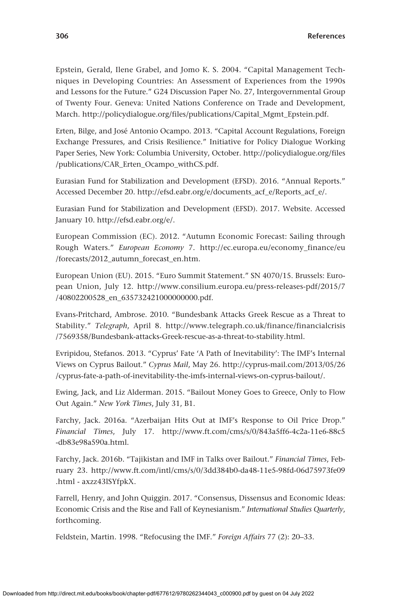Epstein, Gerald, Ilene Grabel, and Jomo K. S. 2004. "Capital Management Techniques in Developing Countries: An Assessment of Experiences from the 1990s and Lessons for the Future." G24 Discussion Paper No. 27, Intergovernmental Group of Twenty Four. Geneva: United Nations Conference on Trade and Development, March. [http://policydialogue.org/files/publications/Capital\\_Mgmt\\_Epstein.pdf](http://policydialogue.org/files/publications/Capital_Mgmt_Epstein.pdf).

Erten, Bilge, and José Antonio Ocampo. 2013. "Capital Account Regulations, Foreign Exchange Pressures, and Crisis Resilience." Initiative for Policy Dialogue Working Paper Series, New York: Columbia University, October. [http://policydialogue.org/files](http://policydialogue.org/files/publications/CAR_Erten_Ocampo_withCS.pdf) [/publications/CAR\\_Erten\\_Ocampo\\_withCS.pdf](http://policydialogue.org/files/publications/CAR_Erten_Ocampo_withCS.pdf).

Eurasian Fund for Stabilization and Development (EFSD). 2016. "Annual Reports." Accessed December 20. [http://efsd.eabr.org/e/documents\\_acf\\_e/Reports\\_acf\\_e/.](http://efsd.eabr.org/e/documents_acf_e/Reports_acf_e/)

Eurasian Fund for Stabilization and Development (EFSD). 2017. Website. Accessed January 10.<http://efsd.eabr.org/e/>.

European Commission (EC). 2012. "Autumn Economic Forecast: Sailing through Rough Waters." *European Economy* 7. [http://ec.europa.eu/economy\\_finance/eu](http://ec.europa.eu/economy_finance/eu/forecasts/2012_autumn_forecast_en.htm) [/forecasts/2012\\_autumn\\_forecast\\_en.htm.](http://ec.europa.eu/economy_finance/eu/forecasts/2012_autumn_forecast_en.htm)

European Union (EU). 2015. "Euro Summit Statement." SN 4070/15. Brussels: European Union, July 12. [http://www.consilium.europa.eu/press-releases-pdf/2015/7](http://www.consilium.europa.eu/press-releases-pdf/2015/7/40802200528_en_635732421000000000.pdf) [/40802200528\\_en\\_635732421000000000.pdf.](http://www.consilium.europa.eu/press-releases-pdf/2015/7/40802200528_en_635732421000000000.pdf)

Evans-Pritchard, Ambrose. 2010. "Bundesbank Attacks Greek Rescue as a Threat to Stability." *Telegraph*, April 8. [http://www.telegraph.co.uk/finance/financialcrisis](http://www.telegraph.co.uk/finance/financialcrisis/7569358/Bundesbank-attacks-Greek-rescue-as-a-threat-to-stability.html) [/7569358/Bundesbank-attacks-Greek-rescue-as-a-threat-to-stability.html](http://www.telegraph.co.uk/finance/financialcrisis/7569358/Bundesbank-attacks-Greek-rescue-as-a-threat-to-stability.html).

Evripidou, Stefanos. 2013. "Cyprus' Fate 'A Path of Inevitability': The IMF's Internal Views on Cyprus Bailout." *Cyprus Mail*, May 26. [http://cyprus-mail.com/2013/05/26](http://cyprus-mail.com/2013/05/26/cyprus-fate-a-path-of-inevitability-the-imfs-internal-views-on-cyprus-bailout/) [/cyprus-fate-a-path-of-inevitability-the-imfs-internal-views-on-cyprus-bailout/](http://cyprus-mail.com/2013/05/26/cyprus-fate-a-path-of-inevitability-the-imfs-internal-views-on-cyprus-bailout/).

Ewing, Jack, and Liz Alderman. 2015. "Bailout Money Goes to Greece, Only to Flow Out Again." *New York Times*, July 31, B1.

Farchy, Jack. 2016a. "Azerbaijan Hits Out at IMF's Response to Oil Price Drop." *Financial Times*, July 17. [http://www.ft.com/cms/s/0/843a5ff6-4c2a-11e6-88c5](http://www.ft.com/cms/s/0/843a5ff6-4c2a-11e6-88c5-db83e98a590a.html) [-db83e98a590a.html.](http://www.ft.com/cms/s/0/843a5ff6-4c2a-11e6-88c5-db83e98a590a.html)

Farchy, Jack. 2016b. "Tajikistan and IMF in Talks over Bailout." *Financial Times*, February 23. [http://www.ft.com/intl/cms/s/0/3dd384b0-da48-11e5-98fd-06d75973fe09](http://www.ft.com/intl/cms/s/0/3dd384b0-da48-11e5-98fd-06d75973fe09.html) [.html](http://www.ft.com/intl/cms/s/0/3dd384b0-da48-11e5-98fd-06d75973fe09.html) - axzz43lSYfpkX.

Farrell, Henry, and John Quiggin. 2017. "Consensus, Dissensus and Economic Ideas: Economic Crisis and the Rise and Fall of Keynesianism." *International Studies Quarterly*, forthcoming.

Feldstein, Martin. 1998. "Refocusing the IMF." *Foreign Affairs* 77 (2): 20–33.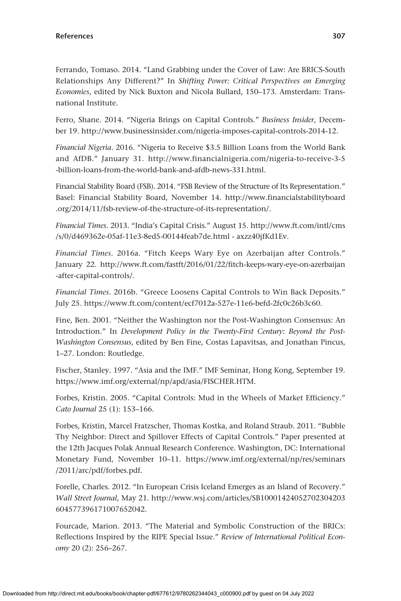Ferrando, Tomaso. 2014. "Land Grabbing under the Cover of Law: Are BRICS-South Relationships Any Different?" In *Shifting Power: Critical Perspectives on Emerging Economies*, edited by Nick Buxton and Nicola Bullard, 150–173. Amsterdam: Transnational Institute.

Ferro, Shane. 2014. "Nigeria Brings on Capital Controls." *Business Insider*, December 19. <http://www.businessinsider.com/nigeria-imposes-capital-controls-2014-12>.

*Financial Nigeria*. 2016. "Nigeria to Receive \$3.5 Billion Loans from the World Bank and AfDB." January 31. [http://www.financialnigeria.com/nigeria-to-receive-3-5](http://www.financialnigeria.com/nigeria-to-receive-3-5-billion-loans-from-the-world-bank-and-afdb-news-331.html) [-billion-loans-from-the-world-bank-and-afdb-news-331.html](http://www.financialnigeria.com/nigeria-to-receive-3-5-billion-loans-from-the-world-bank-and-afdb-news-331.html).

Financial Stability Board (FSB). 2014. "FSB Review of the Structure of Its Representation." Basel: Financial Stability Board, November 14. [http://www.financialstabilityboard](http://www.financialstabilityboard.org/2014/11/fsb-review-of-the-structure-of-its-representation/) [.org/2014/11/fsb-review-of-the-structure-of-its-representation/.](http://www.financialstabilityboard.org/2014/11/fsb-review-of-the-structure-of-its-representation/)

*Financial Times*. 2013. "India's Capital Crisis." August 15. [http://www.ft.com/intl/cms](http://www.ft.com/intl/cms/s/0/d469362e-05af-11e3-8ed5-00144feab7de.html) [/s/0/d469362e-05af-11e3-8ed5-00144feab7de.html](http://www.ft.com/intl/cms/s/0/d469362e-05af-11e3-8ed5-00144feab7de.html) - axzz40jfKd1Ev.

*Financial Times*. 2016a. "Fitch Keeps Wary Eye on Azerbaijan after Controls." January 22. [http://www.ft.com/fastft/2016/01/22/fitch-keeps-wary-eye-on-azerbaijan](http://www.ft.com/fastft/2016/01/22/fitch-keeps-wary-eye-on-azerbaijan-after-capital-controls/) [-after-capital-controls/.](http://www.ft.com/fastft/2016/01/22/fitch-keeps-wary-eye-on-azerbaijan-after-capital-controls/)

*Financial Times*. 2016b. "Greece Loosens Capital Controls to Win Back Deposits." July 25. [https://www.ft.com/content/ecf7012a-527e-11e6-befd-2fc0c26b3c60.](https://www.ft.com/content/ecf7012a-527e-11e6-befd-2fc0c26b3c60)

Fine, Ben. 2001. "Neither the Washington nor the Post-Washington Consensus: An Introduction." In *Development Policy in the Twenty-First Century: Beyond the Post--Washington Consensus*, edited by Ben Fine, Costas Lapavitsas, and Jonathan Pincus, 1–27. London: Routledge.

Fischer, Stanley. 1997. "Asia and the IMF." IMF Seminar, Hong Kong, September 19. <https://www.imf.org/external/np/apd/asia/FISCHER.HTM>.

Forbes, Kristin. 2005. "Capital Controls: Mud in the Wheels of Market Efficiency." *Cato Journal* 25 (1): 153–166.

Forbes, Kristin, Marcel Fratzscher, Thomas Kostka, and Roland Straub. 2011. "Bubble Thy Neighbor: Direct and Spillover Effects of Capital Controls." Paper presented at the 12th Jacques Polak Annual Research Conference. Washington, DC: International Monetary Fund, November 10–11. [https://www.imf.org/external/np/res/seminars](https://www.imf.org/external/np/res/seminars/2011/arc/pdf/forbes.pdf) [/2011/arc/pdf/forbes.pdf](https://www.imf.org/external/np/res/seminars/2011/arc/pdf/forbes.pdf).

Forelle, Charles. 2012. "In European Crisis Iceland Emerges as an Island of Recovery." *Wall Street Journal*, May 21. [http://www.wsj.com/articles/SB10001424052702304203](http://www.wsj.com/articles/SB10001424052702304203604577396171007652042) [604577396171007652042](http://www.wsj.com/articles/SB10001424052702304203604577396171007652042).

Fourcade, Marion. 2013. "The Material and Symbolic Construction of the BRICs: Reflections Inspired by the RIPE Special Issue." *Review of International Political Economy* 20 (2): 256–267.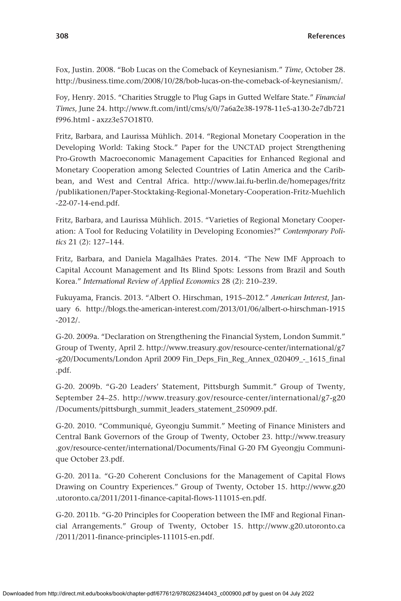Fox, Justin. 2008. "Bob Lucas on the Comeback of Keynesianism." *Time*, October 28. <http://business.time.com/2008/10/28/bob-lucas-on-the-comeback-of-keynesianism/>.

Foy, Henry. 2015. "Charities Struggle to Plug Gaps in Gutted Welfare State." *Financial Times*, June 24. [http://www.ft.com/intl/cms/s/0/7a6a2e38-1978-11e5-a130-2e7db721](http://www.ft.com/intl/cms/s/0/7a6a2e38-1978-11e5-a130-2e7db721f996.html) [f996.html](http://www.ft.com/intl/cms/s/0/7a6a2e38-1978-11e5-a130-2e7db721f996.html) - axzz3e57O18T0.

Fritz, Barbara, and Laurissa Mühlich. 2014. "Regional Monetary Cooperation in the Developing World: Taking Stock." Paper for the UNCTAD project Strengthening Pro-Growth Macroeconomic Management Capacities for Enhanced Regional and Monetary Cooperation among Selected Countries of Latin America and the Caribbean, and West and Central Africa. [http://www.lai.fu-berlin.de/homepages/fritz](http://www.lai.fu-berlin.de/homepages/fritz/publikationen/Paper-Stocktaking-Regional-Monetary-Cooperation-Fritz-Muehlich-22-07-14-end.pdf) [/publikationen/Paper-Stocktaking-Regional-Monetary-Cooperation-Fritz-Muehlich](http://www.lai.fu-berlin.de/homepages/fritz/publikationen/Paper-Stocktaking-Regional-Monetary-Cooperation-Fritz-Muehlich-22-07-14-end.pdf) [-22-07-14-end.pdf.](http://www.lai.fu-berlin.de/homepages/fritz/publikationen/Paper-Stocktaking-Regional-Monetary-Cooperation-Fritz-Muehlich-22-07-14-end.pdf)

Fritz, Barbara, and Laurissa Mühlich. 2015. "Varieties of Regional Monetary Cooperation: A Tool for Reducing Volatility in Developing Economies?" *Contemporary Politics* 21 (2): 127–144.

Fritz, Barbara, and Daniela Magalhães Prates. 2014. "The New IMF Approach to Capital Account Management and Its Blind Spots: Lessons from Brazil and South Korea." *International Review of Applied Economics* 28 (2): 210–239.

Fukuyama, Francis. 2013. "Albert O. Hirschman, 1915–2012." *American Interest*, January 6. [http://blogs.the-american-interest.com/2013/01/06/albert-o-hirschman-1915](http://blogs.the-american-interest.com/2013/01/06/albert-o-hirschman-1915-2012/) [-2012/](http://blogs.the-american-interest.com/2013/01/06/albert-o-hirschman-1915-2012/).

G-20. 2009a. "Declaration on Strengthening the Financial System, London Summit." Group of Twenty, April 2. [http://www.treasury.gov/resource-center/international/g7](http://www.treasury.gov/resource-center/international/g7-g20/Documents/London) [-g20/Documents/London](http://www.treasury.gov/resource-center/international/g7-g20/Documents/London) April 2009 Fin\_Deps\_Fin\_Reg\_Annex\_020409\_-\_1615\_final .pdf.

G-20. 2009b. "G-20 Leaders' Statement, Pittsburgh Summit." Group of Twenty, September 24–25. [http://www.treasury.gov/resource-center/international/g7-g20](http://www.treasury.gov/resource-center/international/g7-g20/Documents/pittsburgh_summit_leaders_statement_250909.pdf) [/Documents/pittsburgh\\_summit\\_leaders\\_statement\\_250909.pdf](http://www.treasury.gov/resource-center/international/g7-g20/Documents/pittsburgh_summit_leaders_statement_250909.pdf).

G-20. 2010. "Communiqué, Gyeongju Summit." Meeting of Finance Ministers and Central Bank Governors of the Group of Twenty, October 23. [http://www.treasury](http://www.treasury.gov/resource-center/international/Documents/Final) [.gov/resource-center/international/Documents/Final](http://www.treasury.gov/resource-center/international/Documents/Final) G-20 FM Gyeongju Communique October 23.pdf.

G-20. 2011a. "G-20 Coherent Conclusions for the Management of Capital Flows Drawing on Country Experiences." Group of Twenty, October 15. [http://www.g20](http://www.g20.utoronto.ca/2011/2011-finance-capital-flows-111015-en.pdf) [.utoronto.ca/2011/2011-finance-capital-flows-111015-en.pdf.](http://www.g20.utoronto.ca/2011/2011-finance-capital-flows-111015-en.pdf)

G-20. 2011b. "G-20 Principles for Cooperation between the IMF and Regional Financial Arrangements." Group of Twenty, October 15. [http://www.g20.utoronto.ca](http://www.g20.utoronto.ca/2011/2011-finance-principles-111015-en.pdf) [/2011/2011-finance-principles-111015-en.pdf.](http://www.g20.utoronto.ca/2011/2011-finance-principles-111015-en.pdf)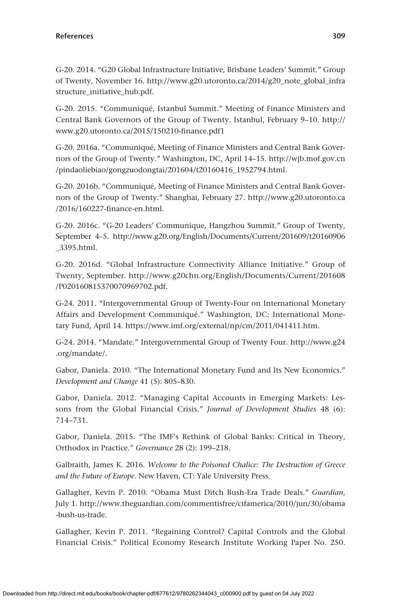G-20. 2014. "G20 Global Infrastructure Initiative, Brisbane Leaders' Summit." Group of Twenty, November 16. [http://www.g20.utoronto.ca/2014/g20\\_note\\_global\\_infra](http://www.g20.utoronto.ca/2014/g20_note_global_infrastructure_initiative_hub.pdf) [structure\\_initiative\\_hub.pdf.](http://www.g20.utoronto.ca/2014/g20_note_global_infrastructure_initiative_hub.pdf)

G-20. 2015. "Communiqué, Istanbul Summit." Meeting of Finance Ministers and Central Bank Governors of the Group of Twenty. Istanbul, February 9–10. [http://](http://www.g20.utoronto.ca/2015/150210-finance.pdf1) [www.g20.utoronto.ca/2015/150210-finance.pdf1](http://www.g20.utoronto.ca/2015/150210-finance.pdf1)

G-20. 2016a. "Communiqué, Meeting of Finance Ministers and Central Bank Governors of the Group of Twenty." Washington, DC, April 14–15. [http://wjb.mof.gov.cn](http://wjb.mof.gov.cn/pindaoliebiao/gongzuodongtai/201604/t20160416_1952794.html) [/pindaoliebiao/gongzuodongtai/201604/t20160416\\_1952794.html](http://wjb.mof.gov.cn/pindaoliebiao/gongzuodongtai/201604/t20160416_1952794.html).

G-20. 2016b. "Communiqué, Meeting of Finance Ministers and Central Bank Governors of the Group of Twenty." Shanghai, February 27. [http://www.g20.utoronto.ca](http://www.g20.utoronto.ca/2016/160227-finance-en.html) [/2016/160227-finance-en.html.](http://www.g20.utoronto.ca/2016/160227-finance-en.html)

G-20. 2016c. "G-20 Leaders' Communique, Hangzhou Summit." Group of Twenty, September 4–5. [http://www.g20.org/English/Documents/Current/201609/t20160906](http://www.g20.org/English/Documents/Current/201609/t20160906_3395.html) [\\_3395.html.](http://www.g20.org/English/Documents/Current/201609/t20160906_3395.html)

G-20. 2016d. "Global Infrastructure Connectivity Alliance Initiative." Group of Twenty, September. [http://www.g20chn.org/English/Documents/Current/201608](http://www.g20chn.org/English/Documents/Current/201608/P020160815370070969702.pdf) [/P020160815370070969702.pdf](http://www.g20chn.org/English/Documents/Current/201608/P020160815370070969702.pdf).

G-24. 2011. "Intergovernmental Group of Twenty-Four on International Monetary Affairs and Development Communiqué." Washington, DC: International Monetary Fund, April 14.<https://www.imf.org/external/np/cm/2011/041411.htm>.

G-24. 2014. "Mandate." Intergovernmental Group of Twenty Four. [http://www.g24](http://www.g24.org/mandate/) [.org/mandate/](http://www.g24.org/mandate/).

Gabor, Daniela. 2010. "The International Monetary Fund and Its New Economics." *Development and Change* 41 (5): 805–830.

Gabor, Daniela. 2012. "Managing Capital Accounts in Emerging Markets: Lessons from the Global Financial Crisis." *Journal of Development Studies* 48 (6): 714–731.

Gabor, Daniela. 2015. "The IMF's Rethink of Global Banks: Critical in Theory, Orthodox in Practice." *Governance* 28 (2): 199–218.

Galbraith, James K. 2016. *Welcome to the Poisoned Chalice: The Destruction of Greece and the Future of Europe*. New Haven, CT: Yale University Press.

Gallagher, Kevin P. 2010. "Obama Must Ditch Bush-Era Trade Deals." *Guardian*, July 1. [http://www.theguardian.com/commentisfree/cifamerica/2010/jun/30/obama](http://www.theguardian.com/commentisfree/cifamerica/2010/jun/30/obama-bush-us-trade) [-bush-us-trade.](http://www.theguardian.com/commentisfree/cifamerica/2010/jun/30/obama-bush-us-trade)

Gallagher, Kevin P. 2011. "Regaining Control? Capital Controls and the Global Financial Crisis." Political Economy Research Institute Working Paper No. 250.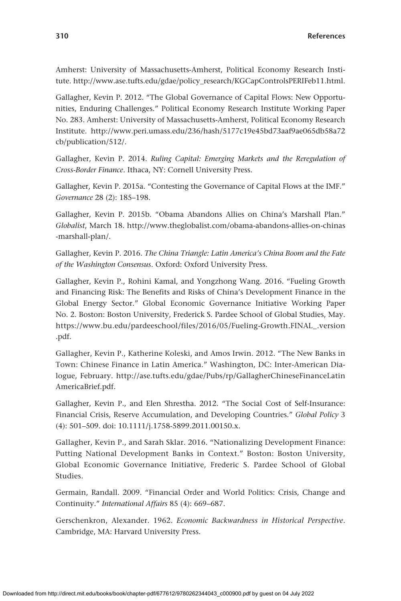Amherst: University of Massachusetts-Amherst, Political Economy Research Institute. [http://www.ase.tufts.edu/gdae/policy\\_research/KGCapControlsPERIFeb11.html.](http://www.ase.tufts.edu/gdae/policy_research/KGCapControlsPERIFeb11.html)

Gallagher, Kevin P. 2012. "The Global Governance of Capital Flows: New Opportunities, Enduring Challenges." Political Economy Research Institute Working Paper No. 283. Amherst: University of Massachusetts-Amherst, Political Economy Research Institute. [http://www.peri.umass.edu/236/hash/5177c19e45bd73aaf9ae065db58a72](http://www.peri.umass.edu/236/hash/5177c19e45bd73aaf9ae065db58a72cb/publication/512/) [cb/publication/512/](http://www.peri.umass.edu/236/hash/5177c19e45bd73aaf9ae065db58a72cb/publication/512/).

Gallagher, Kevin P. 2014. *Ruling Capital: Emerging Markets and the Reregulation of Cross-Border Finance*. Ithaca, NY: Cornell University Press.

Gallagher, Kevin P. 2015a. "Contesting the Governance of Capital Flows at the IMF." *Governance* 28 (2): 185–198.

Gallagher, Kevin P. 2015b. "Obama Abandons Allies on China's Marshall Plan." *Globalist*, March 18. [http://www.theglobalist.com/obama-abandons-allies-on-chinas](http://www.theglobalist.com/obama-abandons-allies-on-chinas-marshall-plan/) [-marshall-plan/](http://www.theglobalist.com/obama-abandons-allies-on-chinas-marshall-plan/).

Gallagher, Kevin P. 2016. *The China Triangle: Latin America's China Boom and the Fate of the Washington Consensus*. Oxford: Oxford University Press.

Gallagher, Kevin P., Rohini Kamal, and Yongzhong Wang. 2016. "Fueling Growth and Financing Risk: The Benefits and Risks of China's Development Finance in the Global Energy Sector." Global Economic Governance Initiative Working Paper No. 2. Boston: Boston University, Frederick S. Pardee School of Global Studies, May. [https://www.bu.edu/pardeeschool/files/2016/05/Fueling-Growth.FINAL\\_.version](https://www.bu.edu/pardeeschool/files/2016/05/Fueling-Growth.FINAL_.version.pdf) [.pdf.](https://www.bu.edu/pardeeschool/files/2016/05/Fueling-Growth.FINAL_.version.pdf)

Gallagher, Kevin P., Katherine Koleski, and Amos Irwin. 2012. "The New Banks in Town: Chinese Finance in Latin America." Washington, DC: Inter-American Dialogue, February. [http://ase.tufts.edu/gdae/Pubs/rp/GallagherChineseFinanceLatin](http://ase.tufts.edu/gdae/Pubs/rp/GallagherChineseFinanceLatinAmericaBrief.pdf) [AmericaBrief.pdf](http://ase.tufts.edu/gdae/Pubs/rp/GallagherChineseFinanceLatinAmericaBrief.pdf).

Gallagher, Kevin P., and Elen Shrestha. 2012. "The Social Cost of Self-Insurance: Financial Crisis, Reserve Accumulation, and Developing Countries." *Global Policy* 3 (4): 501–509. doi: 10.1111/j.1758-5899.2011.00150.x.

Gallagher, Kevin P., and Sarah Sklar. 2016. "Nationalizing Development Finance: Putting National Development Banks in Context." Boston: Boston University, Global Economic Governance Initiative, Frederic S. Pardee School of Global Studies.

Germain, Randall. 2009. "Financial Order and World Politics: Crisis, Change and Continuity." *International Affairs* 85 (4): 669–687.

Gerschenkron, Alexander. 1962. *Economic Backwardness in Historical Perspective*. Cambridge, MA: Harvard University Press.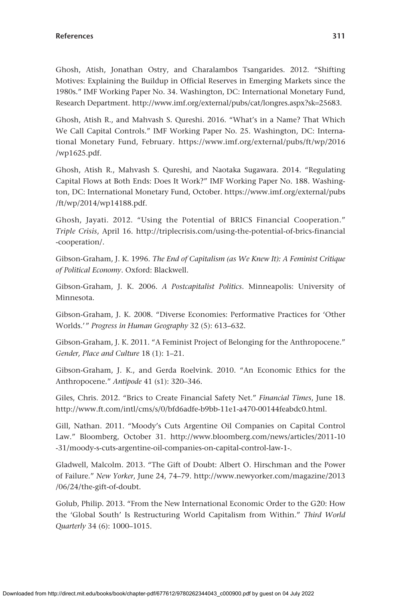Ghosh, Atish, Jonathan Ostry, and Charalambos Tsangarides. 2012. "Shifting Motives: Explaining the Buildup in Official Reserves in Emerging Markets since the 1980s." IMF Working Paper No. 34. Washington, DC: International Monetary Fund, Research Department. [http://www.imf.org/external/pubs/cat/longres.aspx?sk](http://www.imf.org/external/pubs/cat/longres.aspx?sk=25683)=25683.

Ghosh, Atish R., and Mahvash S. Qureshi. 2016. "What's in a Name? That Which We Call Capital Controls." IMF Working Paper No. 25. Washington, DC: International Monetary Fund, February. [https://www.imf.org/external/pubs/ft/wp/2016](https://www.imf.org/external/pubs/ft/wp/2016/wp1625.pdf) [/wp1625.pdf](https://www.imf.org/external/pubs/ft/wp/2016/wp1625.pdf).

Ghosh, Atish R., Mahvash S. Qureshi, and Naotaka Sugawara. 2014. "Regulating Capital Flows at Both Ends: Does It Work?" IMF Working Paper No. 188. Washington, DC: International Monetary Fund, October. [https://www.imf.org/external/pubs](https://www.imf.org/external/pubs/ft/wp/2014/wp14188.pdf) [/ft/wp/2014/wp14188.pdf](https://www.imf.org/external/pubs/ft/wp/2014/wp14188.pdf).

Ghosh, Jayati. 2012. "Using the Potential of BRICS Financial Cooperation." *Triple Crisis*, April 16. [http://triplecrisis.com/using-the-potential-of-brics-financial](http://triplecrisis.com/using-the-potential-of-brics-financial-cooperation/) [-cooperation/](http://triplecrisis.com/using-the-potential-of-brics-financial-cooperation/).

Gibson-Graham, J. K. 1996. *The End of Capitalism (as We Knew It): A Feminist Critique of Political Economy*. Oxford: Blackwell.

Gibson-Graham, J. K. 2006. *A Postcapitalist Politics*. Minneapolis: University of Minnesota.

Gibson-Graham, J. K. 2008. "Diverse Economies: Performative Practices for 'Other Worlds.'" *Progress in Human Geography* 32 (5): 613–632.

Gibson-Graham, J. K. 2011. "A Feminist Project of Belonging for the Anthropocene." *Gender, Place and Culture* 18 (1): 1–21.

Gibson-Graham, J. K., and Gerda Roelvink. 2010. "An Economic Ethics for the Anthropocene." *Antipode* 41 (s1): 320–346.

Giles, Chris. 2012. "Brics to Create Financial Safety Net." *Financial Times*, June 18. <http://www.ft.com/intl/cms/s/0/bfd6adfe-b9bb-11e1-a470-00144feabdc0.html>.

Gill, Nathan. 2011. "Moody's Cuts Argentine Oil Companies on Capital Control Law." Bloomberg, October 31. [http://www.bloomberg.com/news/articles/2011-10](http://www.bloomberg.com/news/articles/2011-10-31/moody-s-cuts-argentine-oil-companies-on-capital-control-law-1-) [-31/moody-s-cuts-argentine-oil-companies-on-capital-control-law-1-](http://www.bloomberg.com/news/articles/2011-10-31/moody-s-cuts-argentine-oil-companies-on-capital-control-law-1-).

Gladwell, Malcolm. 2013. "The Gift of Doubt: Albert O. Hirschman and the Power of Failure." *New Yorker*, June 24, 74–79. [http://www.newyorker.com/magazine/2013](http://www.newyorker.com/magazine/2013/06/24/the-gift-of-doubt) [/06/24/the-gift-of-doubt.](http://www.newyorker.com/magazine/2013/06/24/the-gift-of-doubt)

Golub, Philip. 2013. "From the New International Economic Order to the G20: How the 'Global South' Is Restructuring World Capitalism from Within." *Third World Quarterly* 34 (6): 1000–1015.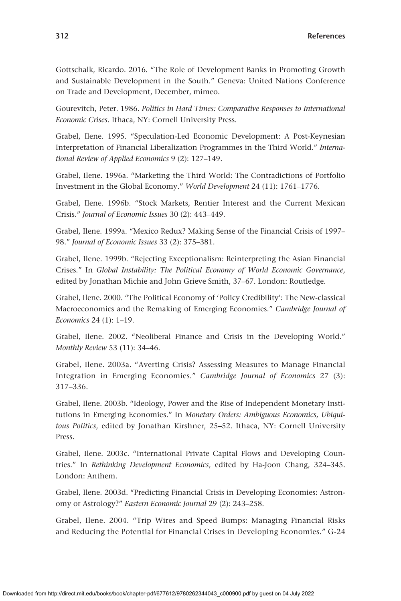Gottschalk, Ricardo. 2016. "The Role of Development Banks in Promoting Growth and Sustainable Development in the South." Geneva: United Nations Conference on Trade and Development, December, mimeo.

Gourevitch, Peter. 1986. *Politics in Hard Times: Comparative Responses to International Economic Crises*. Ithaca, NY: Cornell University Press.

Grabel, Ilene. 1995. "Speculation-Led Economic Development: A Post-Keynesian Interpretation of Financial Liberalization Programmes in the Third World." *International Review of Applied Economics* 9 (2): 127–149.

Grabel, Ilene. 1996a. "Marketing the Third World: The Contradictions of Portfolio Investment in the Global Economy." *World Development* 24 (11): 1761–1776.

Grabel, Ilene. 1996b. "Stock Markets, Rentier Interest and the Current Mexican Crisis." *Journal of Economic Issues* 30 (2): 443–449.

Grabel, Ilene. 1999a. "Mexico Redux? Making Sense of the Financial Crisis of 1997– 98." *Journal of Economic Issues* 33 (2): 375–381.

Grabel, Ilene. 1999b. "Rejecting Exceptionalism: Reinterpreting the Asian Financial Crises." In *Global Instability: The Political Economy of World Economic Governance*, edited by Jonathan Michie and John Grieve Smith, 37–67. London: Routledge.

Grabel, Ilene. 2000. "The Political Economy of 'Policy Credibility': The New-classical Macroeconomics and the Remaking of Emerging Economies." *Cambridge Journal of Economics* 24 (1): 1–19.

Grabel, Ilene. 2002. "Neoliberal Finance and Crisis in the Developing World." *Monthly Review* 53 (11): 34–46.

Grabel, Ilene. 2003a. "Averting Crisis? Assessing Measures to Manage Financial Integration in Emerging Economies." *Cambridge Journal of Economics* 27 (3): 317–336.

Grabel, Ilene. 2003b. "Ideology, Power and the Rise of Independent Monetary Institutions in Emerging Economies." In *Monetary Orders: Ambiguous Economics, Ubiquitous Politics*, edited by Jonathan Kirshner, 25–52. Ithaca, NY: Cornell University Press.

Grabel, Ilene. 2003c. "International Private Capital Flows and Developing Countries." In *Rethinking Development Economics*, edited by Ha-Joon Chang, 324–345. London: Anthem.

Grabel, Ilene. 2003d. "Predicting Financial Crisis in Developing Economies: Astronomy or Astrology?" *Eastern Economic Journal* 29 (2): 243–258.

Grabel, Ilene. 2004. "Trip Wires and Speed Bumps: Managing Financial Risks and Reducing the Potential for Financial Crises in Developing Economies." G-24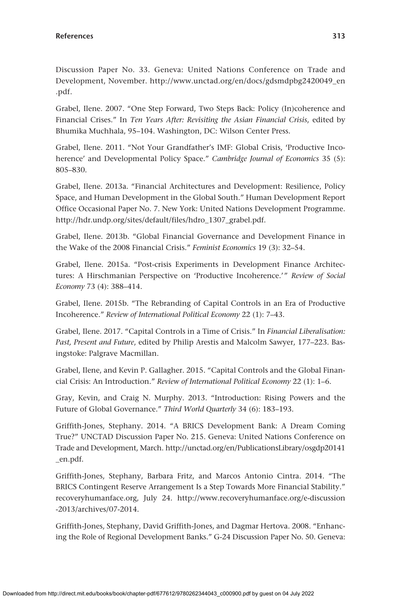Discussion Paper No. 33. Geneva: United Nations Conference on Trade and Development, November. [http://www.unctad.org/en/docs/gdsmdpbg2420049\\_en](http://www.unctad.org/en/docs/gdsmdpbg2420049_en.pdf) [.pdf](http://www.unctad.org/en/docs/gdsmdpbg2420049_en.pdf).

Grabel, Ilene. 2007. "One Step Forward, Two Steps Back: Policy (In)coherence and Financial Crises." In *Ten Years After: Revisiting the Asian Financial Crisis*, edited by Bhumika Muchhala, 95–104. Washington, DC: Wilson Center Press.

Grabel, Ilene. 2011. "Not Your Grandfather's IMF: Global Crisis, 'Productive Incoherence' and Developmental Policy Space." *Cambridge Journal of Economics* 35 (5): 805–830.

Grabel, Ilene. 2013a. "Financial Architectures and Development: Resilience, Policy Space, and Human Development in the Global South." Human Development Report Office Occasional Paper No. 7. New York: United Nations Development Programme. [http://hdr.undp.org/sites/default/files/hdro\\_1307\\_grabel.pdf](http://hdr.undp.org/sites/default/files/hdro_1307_grabel.pdf).

Grabel, Ilene. 2013b. "Global Financial Governance and Development Finance in the Wake of the 2008 Financial Crisis." *Feminist Economics* 19 (3): 32–54.

Grabel, Ilene. 2015a. "Post-crisis Experiments in Development Finance Architectures: A Hirschmanian Perspective on 'Productive Incoherence.'" *Review of Social Economy* 73 (4): 388–414.

Grabel, Ilene. 2015b. "The Rebranding of Capital Controls in an Era of Productive Incoherence." *Review of International Political Economy* 22 (1): 7–43.

Grabel, Ilene. 2017. "Capital Controls in a Time of Crisis." In *Financial Liberalisation: Past, Present and Future*, edited by Philip Arestis and Malcolm Sawyer, 177–223. Basingstoke: Palgrave Macmillan.

Grabel, Ilene, and Kevin P. Gallagher. 2015. "Capital Controls and the Global Financial Crisis: An Introduction." *Review of International Political Economy* 22 (1): 1–6.

Gray, Kevin, and Craig N. Murphy. 2013. "Introduction: Rising Powers and the Future of Global Governance." *Third World Quarterly* 34 (6): 183–193.

Griffith-Jones, Stephany. 2014. "A BRICS Development Bank: A Dream Coming True?" UNCTAD Discussion Paper No. 215. Geneva: United Nations Conference on Trade and Development, March. [http://unctad.org/en/PublicationsLibrary/osgdp20141](http://unctad.org/en/PublicationsLibrary/osgdp20141_en.pdf) [\\_en.pdf.](http://unctad.org/en/PublicationsLibrary/osgdp20141_en.pdf)

Griffith-Jones, Stephany, Barbara Fritz, and Marcos Antonio Cintra. 2014. "The BRICS Contingent Reserve Arrangement Is a Step Towards More Financial Stability." [recoveryhumanface.org](http://recoveryhumanface.org), July 24. [http://www.recoveryhumanface.org/e-discussion](http://www.recoveryhumanface.org/e-discussion-2013/archives/07-2014) [-2013/archives/07-2014.](http://www.recoveryhumanface.org/e-discussion-2013/archives/07-2014)

Griffith-Jones, Stephany, David Griffith-Jones, and Dagmar Hertova. 2008. "Enhancing the Role of Regional Development Banks." G-24 Discussion Paper No. 50. Geneva: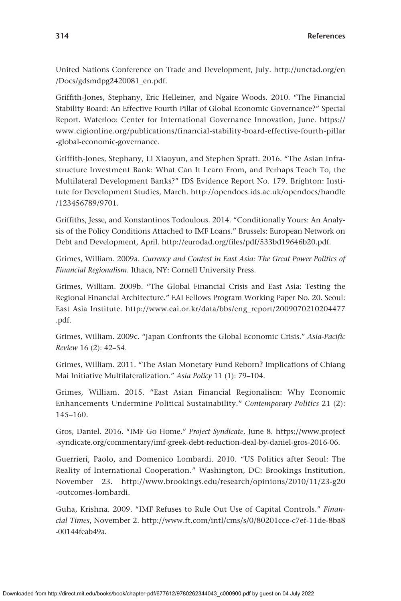United Nations Conference on Trade and Development, July. [http://unctad.org/en](http://unctad.org/en/Docs/gdsmdpg2420081_en.pdf) [/Docs/gdsmdpg2420081\\_en.pdf](http://unctad.org/en/Docs/gdsmdpg2420081_en.pdf).

Griffith-Jones, Stephany, Eric Helleiner, and Ngaire Woods. 2010. "The Financial Stability Board: An Effective Fourth Pillar of Global Economic Governance?" Special Report. Waterloo: Center for International Governance Innovation, June. [https://](https://www.cigionline.org/publications/financial-stability-board-effective-fourth-pillar-global-economic-governance) [www.cigionline.org/publications/financial-stability-board-effective-fourth-pillar](https://www.cigionline.org/publications/financial-stability-board-effective-fourth-pillar-global-economic-governance) [-global-economic-governance.](https://www.cigionline.org/publications/financial-stability-board-effective-fourth-pillar-global-economic-governance)

Griffith-Jones, Stephany, Li Xiaoyun, and Stephen Spratt. 2016. "The Asian Infrastructure Investment Bank: What Can It Learn From, and Perhaps Teach To, the Multilateral Development Banks?" IDS Evidence Report No. 179. Brighton: Institute for Development Studies, March. [http://opendocs.ids.ac.uk/opendocs/handle](http://opendocs.ids.ac.uk/opendocs/handle/123456789/9701) [/123456789/9701.](http://opendocs.ids.ac.uk/opendocs/handle/123456789/9701)

Griffiths, Jesse, and Konstantinos Todoulous. 2014. "Conditionally Yours: An Analysis of the Policy Conditions Attached to IMF Loans." Brussels: European Network on Debt and Development, April. [http://eurodad.org/files/pdf/533bd19646b20.pdf.](http://eurodad.org/files/pdf/533bd19646b20.pdf)

Grimes, William. 2009a. *Currency and Contest in East Asia: The Great Power Politics of Financial Regionalism*. Ithaca, NY: Cornell University Press.

Grimes, William. 2009b. "The Global Financial Crisis and East Asia: Testing the Regional Financial Architecture." EAI Fellows Program Working Paper No. 20. Seoul: East Asia Institute. [http://www.eai.or.kr/data/bbs/eng\\_report/2009070210204477](http://www.eai.or.kr/data/bbs/eng_report/2009070210204477.pdf) [.pdf.](http://www.eai.or.kr/data/bbs/eng_report/2009070210204477.pdf)

Grimes, William. 2009c. "Japan Confronts the Global Economic Crisis." *Asia-Pacific Review* 16 (2): 42–54.

Grimes, William. 2011. "The Asian Monetary Fund Reborn? Implications of Chiang Mai Initiative Multilateralization." *Asia Policy* 11 (1): 79–104.

Grimes, William. 2015. "East Asian Financial Regionalism: Why Economic Enhancements Undermine Political Sustainability." *Contemporary Politics* 21 (2): 145–160.

Gros, Daniel. 2016. "IMF Go Home." *Project Syndicate*, June 8. [https://www.project](https://www.project-syndicate.org/commentary/imf-greek-debt-reduction-deal-by-daniel-gros-2016-06) [-syndicate.org/commentary/imf-greek-debt-reduction-deal-by-daniel-gros-2016-06](https://www.project-syndicate.org/commentary/imf-greek-debt-reduction-deal-by-daniel-gros-2016-06).

Guerrieri, Paolo, and Domenico Lombardi. 2010. "US Politics after Seoul: The Reality of International Cooperation." Washington, DC: Brookings Institution, November 23. [http://www.brookings.edu/research/opinions/2010/11/23-g20](http://www.brookings.edu/research/opinions/2010/11/23-g20-outcomes-lombardi) [-outcomes-lombardi.](http://www.brookings.edu/research/opinions/2010/11/23-g20-outcomes-lombardi)

Guha, Krishna. 2009. "IMF Refuses to Rule Out Use of Capital Controls." *Financial Times*, November 2. [http://www.ft.com/intl/cms/s/0/80201cce-c7ef-11de-8ba8](http://www.ft.com/intl/cms/s/0/80201cce-c7ef-11de-8ba8-00144feab49a) [-00144feab49a.](http://www.ft.com/intl/cms/s/0/80201cce-c7ef-11de-8ba8-00144feab49a)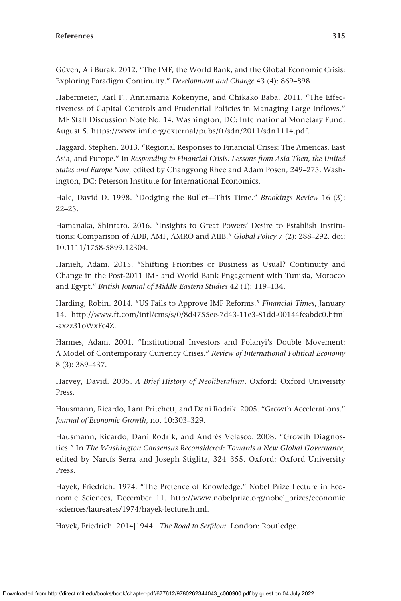Güven, Ali Burak. 2012. "The IMF, the World Bank, and the Global Economic Crisis: Exploring Paradigm Continuity." *Development and Change* 43 (4): 869–898.

Habermeier, Karl F., Annamaria Kokenyne, and Chikako Baba. 2011. "The Effectiveness of Capital Controls and Prudential Policies in Managing Large Inflows." IMF Staff Discussion Note No. 14. Washington, DC: International Monetary Fund, August 5.<https://www.imf.org/external/pubs/ft/sdn/2011/sdn1114.pdf>.

Haggard, Stephen. 2013. "Regional Responses to Financial Crises: The Americas, East Asia, and Europe." In *Responding to Financial Crisis: Lessons from Asia Then, the United States and Europe Now*, edited by Changyong Rhee and Adam Posen, 249–275. Washington, DC: Peterson Institute for International Economics.

Hale, David D. 1998. "Dodging the Bullet—This Time." *Brookings Review* 16 (3):  $22 - 25$ .

Hamanaka, Shintaro. 2016. "Insights to Great Powers' Desire to Establish Institutions: Comparison of ADB, AMF, AMRO and AIIB." *Global Policy* 7 (2): 288–292. doi: 10.1111/1758-5899.12304.

Hanieh, Adam. 2015. "Shifting Priorities or Business as Usual? Continuity and Change in the Post-2011 IMF and World Bank Engagement with Tunisia, Morocco and Egypt." *British Journal of Middle Eastern Studies* 42 (1): 119–134.

Harding, Robin. 2014. "US Fails to Approve IMF Reforms." *Financial Times*, January 14. [http://www.ft.com/intl/cms/s/0/8d4755ee-7d43-11e3-81dd-00144feabdc0.html](http://www.ft.com/intl/cms/s/0/8d4755ee-7d43-11e3-81dd-00144feabdc0.html-axzz31oWxFc4Z) [-axzz31oWxFc4Z.](http://www.ft.com/intl/cms/s/0/8d4755ee-7d43-11e3-81dd-00144feabdc0.html-axzz31oWxFc4Z)

Harmes, Adam. 2001. "Institutional Investors and Polanyi's Double Movement: A Model of Contemporary Currency Crises." *Review of International Political Economy* 8 (3): 389–437.

Harvey, David. 2005. *A Brief History of Neoliberalism*. Oxford: Oxford University Press.

Hausmann, Ricardo, Lant Pritchett, and Dani Rodrik. 2005. "Growth Accelerations." *Journal of Economic Growth*, no. 10:303–329.

Hausmann, Ricardo, Dani Rodrik, and Andrés Velasco. 2008. "Growth Diagnostics." In *The Washington Consensus Reconsidered: Towards a New Global Governance*, edited by Narcís Serra and Joseph Stiglitz, 324–355. Oxford: Oxford University Press.

Hayek, Friedrich. 1974. "The Pretence of Knowledge." Nobel Prize Lecture in Economic Sciences, December 11. [http://www.nobelprize.org/nobel\\_prizes/economic](http://www.nobelprize.org/nobel_prizes/economic-sciences/laureates/1974/hayek-lecture.html) [-sciences/laureates/1974/hayek-lecture.html.](http://www.nobelprize.org/nobel_prizes/economic-sciences/laureates/1974/hayek-lecture.html)

Hayek, Friedrich. 2014[1944]. *The Road to Serfdom*. London: Routledge.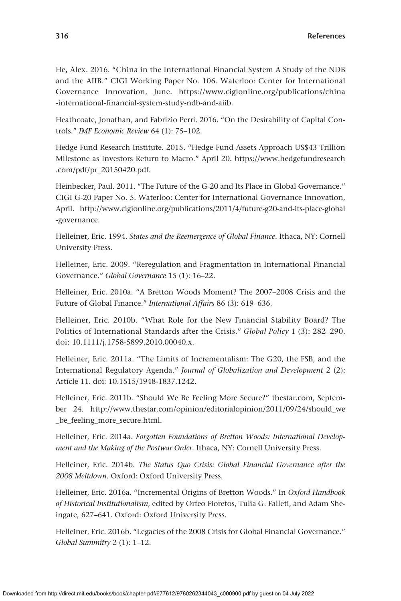He, Alex. 2016. "China in the International Financial System A Study of the NDB and the AIIB." CIGI Working Paper No. 106. Waterloo: Center for International Governance Innovation, June. [https://www.cigionline.org/publications/china](https://www.cigionline.org/publications/china-international-financial-system-study-ndb-and-aiib) [-international-financial-system-study-ndb-and-aiib](https://www.cigionline.org/publications/china-international-financial-system-study-ndb-and-aiib).

Heathcoate, Jonathan, and Fabrizio Perri. 2016. "On the Desirability of Capital Controls." *IMF Economic Review* 64 (1): 75–102.

Hedge Fund Research Institute. 2015. "Hedge Fund Assets Approach US\$43 Trillion Milestone as Investors Return to Macro." April 20. [https://www.hedgefundresearch](https://www.hedgefundresearch.com/pdf/pr_20150420.pdf) [.com/pdf/pr\\_20150420.pdf](https://www.hedgefundresearch.com/pdf/pr_20150420.pdf).

Heinbecker, Paul. 2011. "The Future of the G-20 and Its Place in Global Governance." CIGI G-20 Paper No. 5. Waterloo: Center for International Governance Innovation, April. [http://www.cigionline.org/publications/2011/4/future-g20-and-its-place-global](http://www.cigionline.org/publications/2011/4/future-g20-and-its-place-global-governance) [-governance](http://www.cigionline.org/publications/2011/4/future-g20-and-its-place-global-governance).

Helleiner, Eric. 1994. *States and the Reemergence of Global Finance*. Ithaca, NY: Cornell University Press.

Helleiner, Eric. 2009. "Reregulation and Fragmentation in International Financial Governance." *Global Governance* 15 (1): 16–22.

Helleiner, Eric. 2010a. "A Bretton Woods Moment? The 2007–2008 Crisis and the Future of Global Finance." *International Affairs* 86 (3): 619–636.

Helleiner, Eric. 2010b. "What Role for the New Financial Stability Board? The Politics of International Standards after the Crisis." *Global Policy* 1 (3): 282–290. doi: 10.1111/j.1758-5899.2010.00040.x.

Helleiner, Eric. 2011a. "The Limits of Incrementalism: The G20, the FSB, and the International Regulatory Agenda." *Journal of Globalization and Development* 2 (2): Article 11. doi: 10.1515/1948-1837.1242.

Helleiner, Eric. 2011b. "Should We Be Feeling More Secure?" [thestar.com,](http://thestar.com) September 24. [http://www.thestar.com/opinion/editorialopinion/2011/09/24/should\\_we](http://www.thestar.com/opinion/editorialopinion/2011/09/24/should_we_be_feeling_more_secure.html) [\\_be\\_feeling\\_more\\_secure.html](http://www.thestar.com/opinion/editorialopinion/2011/09/24/should_we_be_feeling_more_secure.html).

Helleiner, Eric. 2014a. *Forgotten Foundations of Bretton Woods: International Development and the Making of the Postwar Order*. Ithaca, NY: Cornell University Press.

Helleiner, Eric. 2014b. *The Status Quo Crisis: Global Financial Governance after the 2008 Meltdown*. Oxford: Oxford University Press.

Helleiner, Eric. 2016a. "Incremental Origins of Bretton Woods." In *Oxford Handbook of Historical Institutionalism*, edited by Orfeo Fioretos, Tulia G. Falleti, and Adam Sheingate, 627–641. Oxford: Oxford University Press.

Helleiner, Eric. 2016b. "Legacies of the 2008 Crisis for Global Financial Governance." *Global Summitry* 2 (1): 1–12.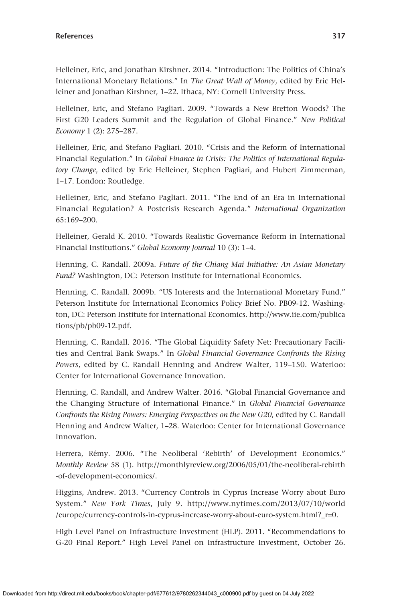Helleiner, Eric, and Jonathan Kirshner. 2014. "Introduction: The Politics of China's International Monetary Relations." In *The Great Wall of Money*, edited by Eric Helleiner and Jonathan Kirshner, 1–22. Ithaca, NY: Cornell University Press.

Helleiner, Eric, and Stefano Pagliari. 2009. "Towards a New Bretton Woods? The First G20 Leaders Summit and the Regulation of Global Finance." *New Political Economy* 1 (2): 275–287.

Helleiner, Eric, and Stefano Pagliari. 2010. "Crisis and the Reform of International Financial Regulation." In *Global Finance in Crisis: The Politics of International Regulatory Change*, edited by Eric Helleiner, Stephen Pagliari, and Hubert Zimmerman, 1–17. London: Routledge.

Helleiner, Eric, and Stefano Pagliari. 2011. "The End of an Era in International Financial Regulation? A Postcrisis Research Agenda." *International Organization* 65:169–200.

Helleiner, Gerald K. 2010. "Towards Realistic Governance Reform in International Financial Institutions." *Global Economy Journal* 10 (3): 1–4.

Henning, C. Randall. 2009a. *Future of the Chiang Mai Initiative: An Asian Monetary Fund?* Washington, DC: Peterson Institute for International Economics.

Henning, C. Randall. 2009b. "US Interests and the International Monetary Fund." Peterson Institute for International Economics Policy Brief No. PB09-12. Washington, DC: Peterson Institute for International Economics. [http://www.iie.com/publica](http://www.iie.com/publications/pb/pb09-12.pdf) [tions/pb/pb09-12.pdf](http://www.iie.com/publications/pb/pb09-12.pdf).

Henning, C. Randall. 2016. "The Global Liquidity Safety Net: Precautionary Facilities and Central Bank Swaps." In *Global Financial Governance Confronts the Rising Powers*, edited by C. Randall Henning and Andrew Walter, 119–150. Waterloo: Center for International Governance Innovation.

Henning, C. Randall, and Andrew Walter. 2016. "Global Financial Governance and the Changing Structure of International Finance." In *Global Financial Governance Confronts the Rising Powers: Emerging Perspectives on the New G20*, edited by C. Randall Henning and Andrew Walter, 1–28. Waterloo: Center for International Governance Innovation.

Herrera, Rémy. 2006. "The Neoliberal 'Rebirth' of Development Economics." *Monthly Review* 58 (1). [http://monthlyreview.org/2006/05/01/the-neoliberal-rebirth](http://monthlyreview.org/2006/05/01/the-neoliberal-rebirth-of-development-economics/) [-of-development-economics/.](http://monthlyreview.org/2006/05/01/the-neoliberal-rebirth-of-development-economics/)

Higgins, Andrew. 2013. "Currency Controls in Cyprus Increase Worry about Euro System." *New York Times*, July 9. [http://www.nytimes.com/2013/07/10/world](http://www.nytimes.com/2013/07/10/world/europe/currency-controls-in-cyprus-increase-worry-about-euro-system.html?_r=0) [/europe/currency-controls-in-cyprus-increase-worry-about-euro-system.html?\\_r](http://www.nytimes.com/2013/07/10/world/europe/currency-controls-in-cyprus-increase-worry-about-euro-system.html?_r=0)=0.

High Level Panel on Infrastructure Investment (HLP). 2011. "Recommendations to G-20 Final Report." High Level Panel on Infrastructure Investment, October 26.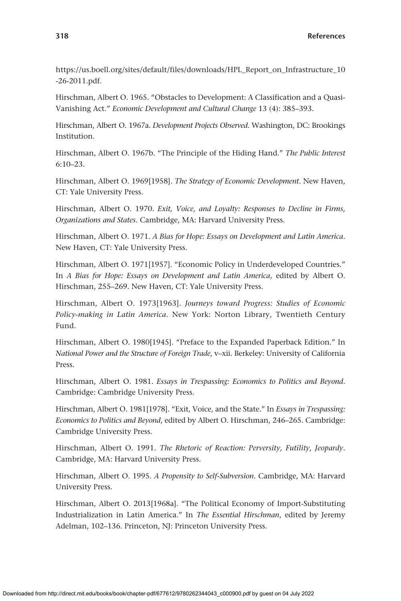[https://us.boell.org/sites/default/files/downloads/HPL\\_Report\\_on\\_Infrastructure\\_10](https://us.boell.org/sites/default/files/downloads/HPL_Report_on_Infrastructure_10-26-2011.pdf) [-26-2011.pdf](https://us.boell.org/sites/default/files/downloads/HPL_Report_on_Infrastructure_10-26-2011.pdf).

Hirschman, Albert O. 1965. "Obstacles to Development: A Classification and a Quasi-Vanishing Act." *Economic Development and Cultural Change* 13 (4): 385–393.

Hirschman, Albert O. 1967a. *Development Projects Observed*. Washington, DC: Brookings Institution.

Hirschman, Albert O. 1967b. "The Principle of the Hiding Hand." *The Public Interest* 6:10–23.

Hirschman, Albert O. 1969[1958]. *The Strategy of Economic Development*. New Haven, CT: Yale University Press.

Hirschman, Albert O. 1970. *Exit, Voice, and Loyalty: Responses to Decline in Firms, Organizations and States*. Cambridge, MA: Harvard University Press.

Hirschman, Albert O. 1971. *A Bias for Hope: Essays on Development and Latin America*. New Haven, CT: Yale University Press.

Hirschman, Albert O. 1971[1957]. "Economic Policy in Underdeveloped Countries." In *A Bias for Hope: Essays on Development and Latin America*, edited by Albert O. Hirschman, 255–269. New Haven, CT: Yale University Press.

Hirschman, Albert O. 1973[1963]. *Journeys toward Progress: Studies of Economic Policy-making in Latin America*. New York: Norton Library, Twentieth Century Fund.

Hirschman, Albert O. 1980[1945]. "Preface to the Expanded Paperback Edition." In *National Power and the Structure of Foreign Trade*, v–xii. Berkeley: University of California Press.

Hirschman, Albert O. 1981. *Essays in Trespassing: Economics to Politics and Beyond*. Cambridge: Cambridge University Press.

Hirschman, Albert O. 1981[1978]. "Exit, Voice, and the State." In *Essays in Trespassing: Economics to Politics and Beyond*, edited by Albert O. Hirschman, 246–265. Cambridge: Cambridge University Press.

Hirschman, Albert O. 1991. *The Rhetoric of Reaction: Perversity, Futility, Jeopardy*. Cambridge, MA: Harvard University Press.

Hirschman, Albert O. 1995. *A Propensity to Self-Subversion*. Cambridge, MA: Harvard University Press.

Hirschman, Albert O. 2013[1968a]. "The Political Economy of Import-Substituting Industrialization in Latin America." In *The Essential Hirschman*, edited by Jeremy Adelman, 102–136. Princeton, NJ: Princeton University Press.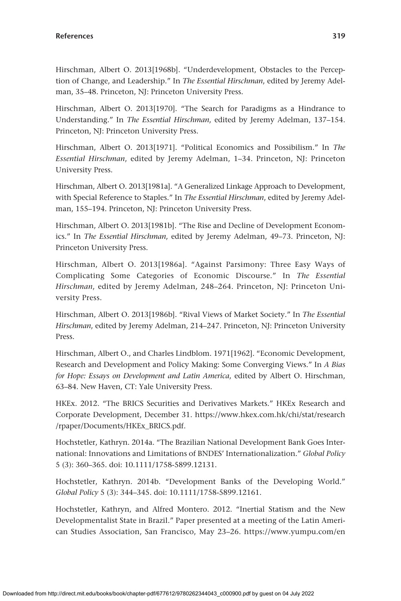Hirschman, Albert O. 2013[1968b]. "Underdevelopment, Obstacles to the Perception of Change, and Leadership." In *The Essential Hirschman*, edited by Jeremy Adelman, 35–48. Princeton, NJ: Princeton University Press.

Hirschman, Albert O. 2013[1970]. "The Search for Paradigms as a Hindrance to Understanding." In *The Essential Hirschman*, edited by Jeremy Adelman, 137–154. Princeton, NJ: Princeton University Press.

Hirschman, Albert O. 2013[1971]. "Political Economics and Possibilism." In *The Essential Hirschman*, edited by Jeremy Adelman, 1–34. Princeton, NJ: Princeton University Press.

Hirschman, Albert O. 2013[1981a]. "A Generalized Linkage Approach to Development, with Special Reference to Staples." In *The Essential Hirschman*, edited by Jeremy Adelman, 155–194. Princeton, NJ: Princeton University Press.

Hirschman, Albert O. 2013[1981b]. "The Rise and Decline of Development Economics." In *The Essential Hirschman*, edited by Jeremy Adelman, 49–73. Princeton, NJ: Princeton University Press.

Hirschman, Albert O. 2013[1986a]. "Against Parsimony: Three Easy Ways of Complicating Some Categories of Economic Discourse." In *The Essential Hirschman*, edited by Jeremy Adelman, 248–264. Princeton, NJ: Princeton University Press.

Hirschman, Albert O. 2013[1986b]. "Rival Views of Market Society." In *The Essential Hirschman*, edited by Jeremy Adelman, 214–247. Princeton, NJ: Princeton University Press.

Hirschman, Albert O., and Charles Lindblom. 1971[1962]. "Economic Development, Research and Development and Policy Making: Some Converging Views." In *A Bias for Hope: Essays on Development and Latin America*, edited by Albert O. Hirschman, 63–84. New Haven, CT: Yale University Press.

HKEx. 2012. "The BRICS Securities and Derivatives Markets." HKEx Research and Corporate Development, December 31. [https://www.hkex.com.hk/chi/stat/research](https://www.hkex.com.hk/chi/stat/research/rpaper/Documents/HKEx_BRICS.pdf) [/rpaper/Documents/HKEx\\_BRICS.pdf.](https://www.hkex.com.hk/chi/stat/research/rpaper/Documents/HKEx_BRICS.pdf)

Hochstetler, Kathryn. 2014a. "The Brazilian National Development Bank Goes International: Innovations and Limitations of BNDES' Internationalization." *Global Policy* 5 (3): 360–365. doi: 10.1111/1758-5899.12131.

Hochstetler, Kathryn. 2014b. "Development Banks of the Developing World." *Global Policy* 5 (3): 344–345. doi: 10.1111/1758-5899.12161.

Hochstetler, Kathryn, and Alfred Montero. 2012. "Inertial Statism and the New Developmentalist State in Brazil." Paper presented at a meeting of the Latin American Studies Association, San Francisco, May 23–26. [https://www.yumpu.com/en](https://www.yumpu.com/en/document/view/19283861/inertial-statism-and-the-new-developmentalist-state-in-brazil-co-)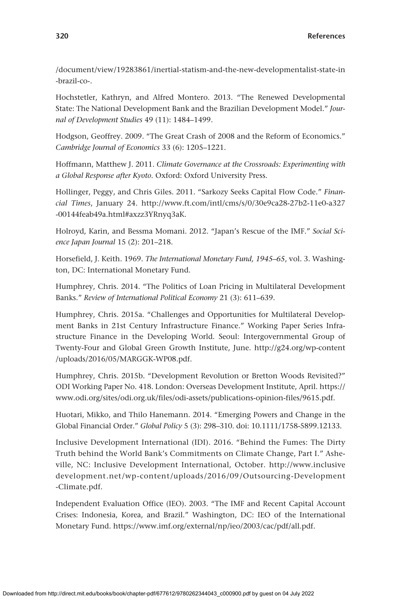[/document/view/19283861/inertial-statism-and-the-new-developmentalist-state-in](https://www.yumpu.com/en/document/view/19283861/inertial-statism-and-the-new-developmentalist-state-in-brazil-co-) [-brazil-co-.](https://www.yumpu.com/en/document/view/19283861/inertial-statism-and-the-new-developmentalist-state-in-brazil-co-)

Hochstetler, Kathryn, and Alfred Montero. 2013. "The Renewed Developmental State: The National Development Bank and the Brazilian Development Model." *Journal of Development Studies* 49 (11): 1484–1499.

Hodgson, Geoffrey. 2009. "The Great Crash of 2008 and the Reform of Economics." *Cambridge Journal of Economics* 33 (6): 1205–1221.

Hoffmann, Matthew J. 2011. *Climate Governance at the Crossroads: Experimenting with a Global Response after Kyoto*. Oxford: Oxford University Press.

Hollinger, Peggy, and Chris Giles. 2011. "Sarkozy Seeks Capital Flow Code." *Financial Times*, January 24. [http://www.ft.com/intl/cms/s/0/30e9ca28-27b2-11e0-a327](http://www.ft.com/intl/cms/s/0/30e9ca28-27b2-11e0-a327-00144feab49a.html#axzz3YRnyq3aK) [-00144feab49a.html#axzz3YRnyq3aK.](http://www.ft.com/intl/cms/s/0/30e9ca28-27b2-11e0-a327-00144feab49a.html#axzz3YRnyq3aK)

Holroyd, Karin, and Bessma Momani. 2012. "Japan's Rescue of the IMF." *Social Science Japan Journal* 15 (2): 201–218.

Horsefield, J. Keith. 1969. *The International Monetary Fund, 1945–65*, vol. 3. Washington, DC: International Monetary Fund.

Humphrey, Chris. 2014. "The Politics of Loan Pricing in Multilateral Development Banks." *Review of International Political Economy* 21 (3): 611–639.

Humphrey, Chris. 2015a. "Challenges and Opportunities for Multilateral Development Banks in 21st Century Infrastructure Finance." Working Paper Series Infrastructure Finance in the Developing World. Seoul: Intergovernmental Group of Twenty-Four and Global Green Growth Institute, June. [http://g24.org/wp-content](http://g24.org/wp-content/uploads/2016/05/MARGGK-WP08.pdf) [/uploads/2016/05/MARGGK-WP08.pdf.](http://g24.org/wp-content/uploads/2016/05/MARGGK-WP08.pdf)

Humphrey, Chris. 2015b. "Development Revolution or Bretton Woods Revisited?" ODI Working Paper No. 418. London: Overseas Development Institute, April. [https://](https://www.odi.org/sites/odi.org.uk/files/odi-assets/publications-opinion-files/9615.pdf) [www.odi.org/sites/odi.org.uk/files/odi-assets/publications-opinion-files/9615.pdf.](https://www.odi.org/sites/odi.org.uk/files/odi-assets/publications-opinion-files/9615.pdf)

Huotari, Mikko, and Thilo Hanemann. 2014. "Emerging Powers and Change in the Global Financial Order." *Global Policy* 5 (3): 298–310. doi: 10.1111/1758-5899.12133.

Inclusive Development International (IDI). 2016. "Behind the Fumes: The Dirty Truth behind the World Bank's Commitments on Climate Change, Part I." Asheville, NC: Inclusive Development International, October. [http://www.inclusive](http://www.inclusivedevelopment.net/wp-content/uploads/2016/09/Outsourcing-Development-Climate.pdf) [development.net/wp-content/uploads](http://www.inclusivedevelopment.net/wp-content/uploads/2016/09/Outsourcing-Development-Climate.pdf) /2016/09/Outsourcing-Development [-Climate.pdf](http://www.inclusivedevelopment.net/wp-content/uploads/2016/09/Outsourcing-Development-Climate.pdf).

Independent Evaluation Office (IEO). 2003. "The IMF and Recent Capital Account Crises: Indonesia, Korea, and Brazil." Washington, DC: IEO of the International Monetary Fund.<https://www.imf.org/external/np/ieo/2003/cac/pdf/all.pdf>.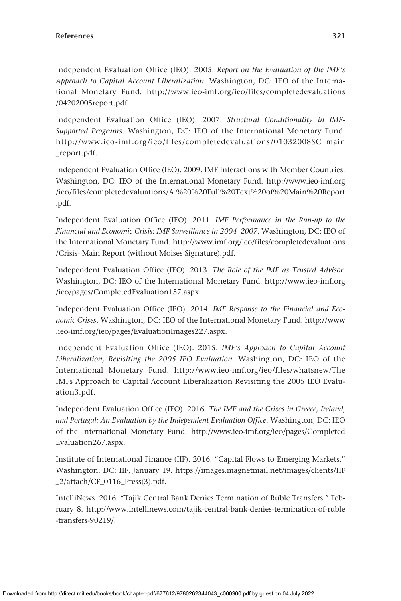Independent Evaluation Office (IEO). 2005. *Report on the Evaluation of the IMF's Approach to Capital Account Liberalization*. Washington, DC: IEO of the International Monetary Fund. [http://www.ieo-imf.org/ieo/files/completedevaluations](http://www.ieo-imf.org/ieo/files/completedevaluations/04202005report.pdf) [/04202005report.pdf.](http://www.ieo-imf.org/ieo/files/completedevaluations/04202005report.pdf)

Independent Evaluation Office (IEO). 2007. *Structural Conditionality in IMF--Supported Programs*. Washington, DC: IEO of the International Monetary Fund. [http://www.ieo-imf.org/ieo/files](http://www.ieo-imf.org/ieo/files/completedevaluations/01032008SC_main_report.pdf) /completedevaluations /01032008SC\_main [\\_report.pdf.](http://www.ieo-imf.org/ieo/files/completedevaluations/01032008SC_main_report.pdf)

Independent Evaluation Office (IEO). 2009. IMF Interactions with Member Countries. Washington, DC: IEO of the International Monetary Fund. [http://www.ieo-imf.org](http://www.ieo-imf.org/ieo/files/completedevaluations/A.%20%20Full%20Text%20of%20Main%20Report.pdf) [/ieo/files/completedevaluations/A.%20%20Full%20Text%20of%20Main%20Report](http://www.ieo-imf.org/ieo/files/completedevaluations/A.%20%20Full%20Text%20of%20Main%20Report.pdf) [.pdf](http://www.ieo-imf.org/ieo/files/completedevaluations/A.%20%20Full%20Text%20of%20Main%20Report.pdf).

Independent Evaluation Office (IEO). 2011. *IMF Performance in the Run-up to the Financial and Economic Crisis: IMF Surveillance in 2004–2007*. Washington, DC: IEO of the International Monetary Fund. [http://www.imf.org/ieo/files/completedevaluations](http://www.imf.org/ieo/files/completedevaluations/Crisis-) [/Crisis-](http://www.imf.org/ieo/files/completedevaluations/Crisis-) Main Report (without Moises Signature).pdf.

Independent Evaluation Office (IEO). 2013. *The Role of the IMF as Trusted Advisor*. Washington, DC: IEO of the International Monetary Fund. [http://www.ieo-imf.org](http://www.ieo-imf.org/ieo/pages/CompletedEvaluation157.aspx) [/ieo/pages/CompletedEvaluation157.aspx](http://www.ieo-imf.org/ieo/pages/CompletedEvaluation157.aspx).

Independent Evaluation Office (IEO). 2014. *IMF Response to the Financial and Economic Crises*. Washington, DC: IEO of the International Monetary Fund. [http://www](http://www.ieo-imf.org/ieo/pages/EvaluationImages227.aspx) [.ieo-imf.org/ieo/pages/EvaluationImages227.aspx](http://www.ieo-imf.org/ieo/pages/EvaluationImages227.aspx).

Independent Evaluation Office (IEO). 2015. *IMF's Approach to Capital Account Liberalization, Revisiting the 2005 IEO Evaluation*. Washington, DC: IEO of the International Monetary Fund. <http://www.ieo-imf.org/ieo/files/whatsnew/The> IMFs Approach to Capital Account Liberalization Revisiting the 2005 IEO Evaluation3.pdf.

Independent Evaluation Office (IEO). 2016. *The IMF and the Crises in Greece, Ireland, and Portugal: An Evaluation by the Independent Evaluation Office*. Washington, DC: IEO of the International Monetary Fund. [http://www.ieo-imf.org/ieo/pages/Completed](http://www.ieo-imf.org/ieo/pages/CompletedEvaluation267.aspx) [Evaluation267.aspx.](http://www.ieo-imf.org/ieo/pages/CompletedEvaluation267.aspx)

Institute of International Finance (IIF). 2016. "Capital Flows to Emerging Markets." Washington, DC: IIF, January 19. [https://images.magnetmail.net/images/clients/IIF](https://images.magnetmail.net/images/clients/IIF_2/attach/CF_0116_Press(3).pdf) [\\_2/attach/CF\\_0116\\_Press\(3\).pdf](https://images.magnetmail.net/images/clients/IIF_2/attach/CF_0116_Press(3).pdf).

IntelliNews. 2016. "Tajik Central Bank Denies Termination of Ruble Transfers." February 8. [http://www.intellinews.com/tajik-central-bank-denies-termination-of-ruble](http://www.intellinews.com/tajik-central-bank-denies-termination-of-ruble-transfers-90219/) [-transfers-90219/.](http://www.intellinews.com/tajik-central-bank-denies-termination-of-ruble-transfers-90219/)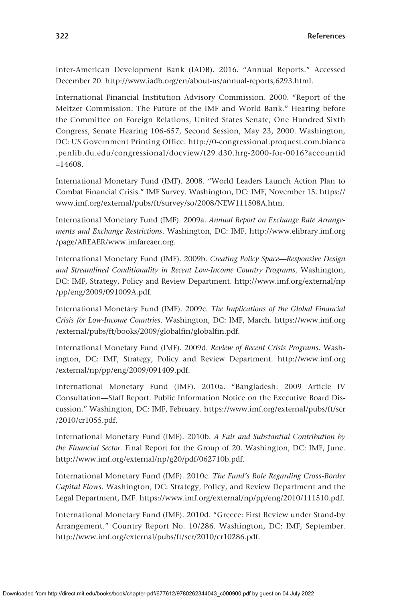Inter-American Development Bank (IADB). 2016. "Annual Reports." Accessed December 20.<http://www.iadb.org/en/about-us/annual-reports,6293.html>.

International Financial Institution Advisory Commission. 2000. "Report of the Meltzer Commission: The Future of the IMF and World Bank." Hearing before the Committee on Foreign Relations, United States Senate, One Hundred Sixth Congress, Senate Hearing 106-657, Second Session, May 23, 2000. Washington, DC: US Government Printing Office. [http://0-congressional.proquest.com.bianca](http://0-congressional.proquest.com.bianca.penlib.du.edu/congressional/docview/t29.d30.hrg-2000-for-0016?accountid=14608) [.penlib.du.edu/congressional/docview/t29.d30.hrg-2000-for-0016?accountid](http://0-congressional.proquest.com.bianca.penlib.du.edu/congressional/docview/t29.d30.hrg-2000-for-0016?accountid=14608)  $=14608.$  $=14608.$ 

International Monetary Fund (IMF). 2008. "World Leaders Launch Action Plan to Combat Financial Crisis." IMF Survey. Washington, DC: IMF, November 15. [https://](https://www.imf.org/external/pubs/ft/survey/so/2008/NEW111508A.htm) [www.imf.org/external/pubs/ft/survey/so/2008/NEW111508A.htm](https://www.imf.org/external/pubs/ft/survey/so/2008/NEW111508A.htm).

International Monetary Fund (IMF). 2009a. *Annual Report on Exchange Rate Arrangements and Exchange Restrictions*. Washington, DC: IMF. [http://www.elibrary.imf.org](http://www.elibrary.imf.org/page/AREAER/www.imfareaer.org) [/page/AREAER/www.imfareaer.org](http://www.elibrary.imf.org/page/AREAER/www.imfareaer.org).

International Monetary Fund (IMF). 2009b. *Creating Policy Space—Responsive Design and Streamlined Conditionality in Recent Low-Income Country Programs*. Washington, DC: IMF, Strategy, Policy and Review Department. [http://www.imf.org/external/np](http://www.imf.org/external/np/pp/eng/2009/091009A.pdf) [/pp/eng/2009/091009A.pdf](http://www.imf.org/external/np/pp/eng/2009/091009A.pdf).

International Monetary Fund (IMF). 2009c. *The Implications of the Global Financial Crisis for Low-Income Countries*. Washington, DC: IMF, March. [https://www.imf.org](https://www.imf.org/external/pubs/ft/books/2009/globalfin/globalfin.pdf) [/external/pubs/ft/books/2009/globalfin/globalfin.pdf](https://www.imf.org/external/pubs/ft/books/2009/globalfin/globalfin.pdf).

International Monetary Fund (IMF). 2009d. *Review of Recent Crisis Programs*. Washington, DC: IMF, Strategy, Policy and Review Department. [http://www.imf.org](http://www.imf.org/external/np/pp/eng/2009/091409.pdf) [/external/np/pp/eng/2009/091409.pdf.](http://www.imf.org/external/np/pp/eng/2009/091409.pdf)

International Monetary Fund (IMF). 2010a. "Bangladesh: 2009 Article IV Consultation—Staff Report. Public Information Notice on the Executive Board Discussion." Washington, DC: IMF, February. [https://www.imf.org/external/pubs/ft/scr](https://www.imf.org/external/pubs/ft/scr/2010/cr1055.pdf) [/2010/cr1055.pdf](https://www.imf.org/external/pubs/ft/scr/2010/cr1055.pdf).

International Monetary Fund (IMF). 2010b. *A Fair and Substantial Contribution by the Financial Sector*. Final Report for the Group of 20. Washington, DC: IMF, June. <http://www.imf.org/external/np/g20/pdf/062710b.pdf>.

International Monetary Fund (IMF). 2010c. *The Fund's Role Regarding Cross-Border Capital Flows*. Washington, DC: Strategy, Policy, and Review Department and the Legal Department, IMF.<https://www.imf.org/external/np/pp/eng/2010/111510.pdf>.

International Monetary Fund (IMF). 2010d. "Greece: First Review under Stand-by Arrangement." Country Report No. 10/286. Washington, DC: IMF, September. [http://www.imf.org/external/pubs/ft/scr/2010/cr10286.pdf.](http://www.imf.org/external/pubs/ft/scr/2010/cr10286.pdf)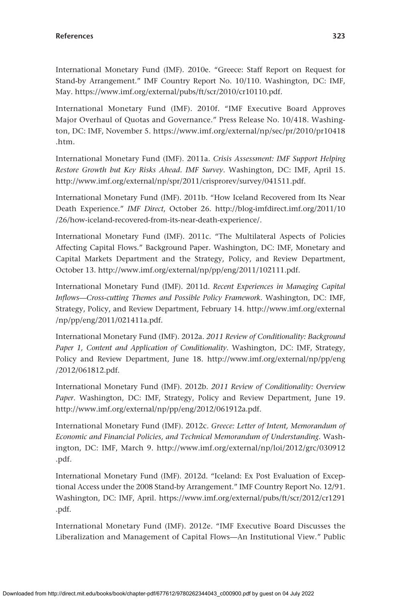International Monetary Fund (IMF). 2010e. "Greece: Staff Report on Request for Stand-by Arrangement." IMF Country Report No. 10/110. Washington, DC: IMF, May. [https://www.imf.org/external/pubs/ft/scr/2010/cr10110.pdf.](https://www.imf.org/external/pubs/ft/scr/2010/cr10110.pdf)

International Monetary Fund (IMF). 2010f. "IMF Executive Board Approves Major Overhaul of Quotas and Governance." Press Release No. 10/418. Washington, DC: IMF, November 5. [https://www.imf.org/external/np/sec/pr/2010/pr10418](https://www.imf.org/external/np/sec/pr/2010/pr10418.htm) [.htm.](https://www.imf.org/external/np/sec/pr/2010/pr10418.htm)

International Monetary Fund (IMF). 2011a. *Crisis Assessment: IMF Support Helping Restore Growth but Key Risks Ahead. IMF Survey*. Washington, DC: IMF, April 15. <http://www.imf.org/external/np/spr/2011/crisprorev/survey/041511.pdf>.

International Monetary Fund (IMF). 2011b. "How Iceland Recovered from Its Near Death Experience." *IMF Direct*, October 26. [http://blog-imfdirect.imf.org/2011/10](http://blog-imfdirect.imf.org/2011/10/26/how-iceland-recovered-from-its-near-death-experience/) [/26/how-iceland-recovered-from-its-near-death-experience/.](http://blog-imfdirect.imf.org/2011/10/26/how-iceland-recovered-from-its-near-death-experience/)

International Monetary Fund (IMF). 2011c. "The Multilateral Aspects of Policies Affecting Capital Flows." Background Paper. Washington, DC: IMF, Monetary and Capital Markets Department and the Strategy, Policy, and Review Department, October 13. <http://www.imf.org/external/np/pp/eng/2011/102111.pdf>.

International Monetary Fund (IMF). 2011d. *Recent Experiences in Managing Capital Inflows—Cross-cutting Themes and Possible Policy Framework*. Washington, DC: IMF, Strategy, Policy, and Review Department, February 14. [http://www.imf.org/external](http://www.imf.org/external/np/pp/eng/2011/021411a.pdf) [/np/pp/eng/2011/021411a.pdf](http://www.imf.org/external/np/pp/eng/2011/021411a.pdf).

International Monetary Fund (IMF). 2012a. *2011 Review of Conditionality: Background Paper 1, Content and Application of Conditionality*. Washington, DC: IMF, Strategy, Policy and Review Department, June 18. [http://www.imf.org/external/np/pp/eng](http://www.imf.org/external/np/pp/eng/2012/061812.pdf) [/2012/061812.pdf.](http://www.imf.org/external/np/pp/eng/2012/061812.pdf)

International Monetary Fund (IMF). 2012b. *2011 Review of Conditionality: Overview Paper*. Washington, DC: IMF, Strategy, Policy and Review Department, June 19. <http://www.imf.org/external/np/pp/eng/2012/061912a.pdf>.

International Monetary Fund (IMF). 2012c. *Greece: Letter of Intent, Memorandum of Economic and Financial Policies, and Technical Memorandum of Understanding*. Washington, DC: IMF, March 9. [http://www.imf.org/external/np/loi/2012/grc/030912](http://www.imf.org/external/np/loi/2012/grc/030912.pdf) [.pdf](http://www.imf.org/external/np/loi/2012/grc/030912.pdf).

International Monetary Fund (IMF). 2012d. "Iceland: Ex Post Evaluation of Exceptional Access under the 2008 Stand-by Arrangement." IMF Country Report No. 12/91. Washington, DC: IMF, April. [https://www.imf.org/external/pubs/ft/scr/2012/cr1291](https://www.imf.org/external/pubs/ft/scr/2012/cr1291.pdf) [.pdf.](https://www.imf.org/external/pubs/ft/scr/2012/cr1291.pdf)

International Monetary Fund (IMF). 2012e. "IMF Executive Board Discusses the Liberalization and Management of Capital Flows—An Institutional View." Public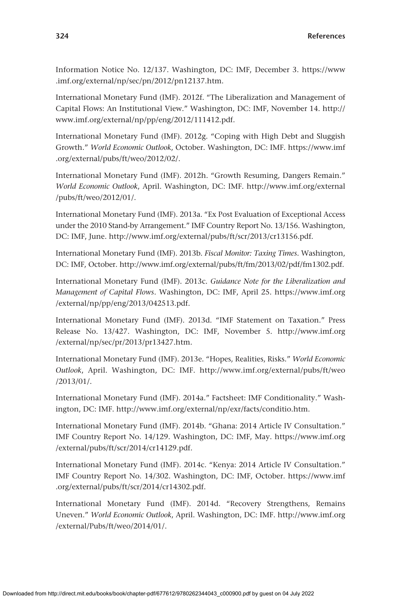Information Notice No. 12/137. Washington, DC: IMF, December 3. [https://www](https://www.imf.org/external/np/sec/pn/2012/pn12137.htm) [.imf.org/external/np/sec/pn/2012/pn12137.htm.](https://www.imf.org/external/np/sec/pn/2012/pn12137.htm)

International Monetary Fund (IMF). 2012f. "The Liberalization and Management of Capital Flows: An Institutional View." Washington, DC: IMF, November 14. [http://](http://www.imf.org/external/np/pp/eng/2012/111412.pdf) [www.imf.org/external/np/pp/eng/2012/111412.pdf.](http://www.imf.org/external/np/pp/eng/2012/111412.pdf)

International Monetary Fund (IMF). 2012g. "Coping with High Debt and Sluggish Growth." *World Economic Outlook*, October. Washington, DC: IMF. [https://www.imf](https://www.imf.org/external/pubs/ft/weo/2012/02/) [.org/external/pubs/ft/weo/2012/02/](https://www.imf.org/external/pubs/ft/weo/2012/02/).

International Monetary Fund (IMF). 2012h. "Growth Resuming, Dangers Remain." *World Economic Outlook*, April. Washington, DC: IMF. [http://www.imf.org/external](http://www.imf.org/external/pubs/ft/weo/2012/01/) [/pubs/ft/weo/2012/01/](http://www.imf.org/external/pubs/ft/weo/2012/01/).

International Monetary Fund (IMF). 2013a. "Ex Post Evaluation of Exceptional Access under the 2010 Stand-by Arrangement." IMF Country Report No. 13/156. Washington, DC: IMF, June.<http://www.imf.org/external/pubs/ft/scr/2013/cr13156.pdf>.

International Monetary Fund (IMF). 2013b. *Fiscal Monitor: Taxing Times*. Washington, DC: IMF, October. [http://www.imf.org/external/pubs/ft/fm/2013/02/pdf/fm1302.pdf.](http://www.imf.org/external/pubs/ft/fm/2013/02/pdf/fm1302.pdf)

International Monetary Fund (IMF). 2013c. *Guidance Note for the Liberalization and Management of Capital Flows*. Washington, DC: IMF, April 25. [https://www.imf.org](https://www.imf.org/external/np/pp/eng/2013/042513.pdf) [/external/np/pp/eng/2013/042513.pdf.](https://www.imf.org/external/np/pp/eng/2013/042513.pdf)

International Monetary Fund (IMF). 2013d. "IMF Statement on Taxation." Press Release No. 13/427. Washington, DC: IMF, November 5. [http://www.imf.org](http://www.imf.org/external/np/sec/pr/2013/pr13427.htm) [/external/np/sec/pr/2013/pr13427.htm.](http://www.imf.org/external/np/sec/pr/2013/pr13427.htm)

International Monetary Fund (IMF). 2013e. "Hopes, Realities, Risks." *World Economic Outlook*, April. Washington, DC: IMF. [http://www.imf.org/external/pubs/ft/weo](http://www.imf.org/external/pubs/ft/weo/2013/01/) [/2013/01/.](http://www.imf.org/external/pubs/ft/weo/2013/01/)

International Monetary Fund (IMF). 2014a." Factsheet: IMF Conditionality." Washington, DC: IMF. [http://www.imf.org/external/np/exr/facts/conditio.htm.](http://www.imf.org/external/np/exr/facts/conditio.htm)

International Monetary Fund (IMF). 2014b. "Ghana: 2014 Article IV Consultation." IMF Country Report No. 14/129. Washington, DC: IMF, May. [https://www.imf.org](https://www.imf.org/external/pubs/ft/scr/2014/cr14129.pdf) [/external/pubs/ft/scr/2014/cr14129.pdf](https://www.imf.org/external/pubs/ft/scr/2014/cr14129.pdf).

International Monetary Fund (IMF). 2014c. "Kenya: 2014 Article IV Consultation." IMF Country Report No. 14/302. Washington, DC: IMF, October. [https://www.imf](https://www.imf.org/external/pubs/ft/scr/2014/cr14302.pdf) [.org/external/pubs/ft/scr/2014/cr14302.pdf](https://www.imf.org/external/pubs/ft/scr/2014/cr14302.pdf).

International Monetary Fund (IMF). 2014d. "Recovery Strengthens, Remains Uneven." *World Economic Outlook*, April. Washington, DC: IMF. [http://www.imf.org](http://www.imf.org/external/Pubs/ft/weo/2014/01/) [/external/Pubs/ft/weo/2014/01/](http://www.imf.org/external/Pubs/ft/weo/2014/01/).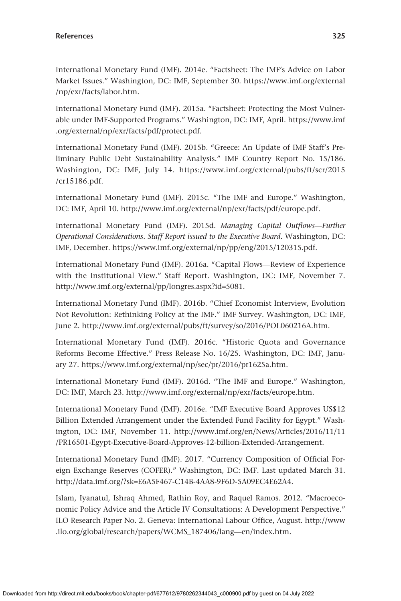International Monetary Fund (IMF). 2014e. "Factsheet: The IMF's Advice on Labor Market Issues." Washington, DC: IMF, September 30. [https://www.imf.org/external](https://www.imf.org/external/np/exr/facts/labor.htm) [/np/exr/facts/labor.htm.](https://www.imf.org/external/np/exr/facts/labor.htm)

International Monetary Fund (IMF). 2015a. "Factsheet: Protecting the Most Vulnerable under IMF-Supported Programs." Washington, DC: IMF, April. [https://www.imf](https://www.imf.org/external/np/exr/facts/pdf/protect.pdf) [.org/external/np/exr/facts/pdf/protect.pdf](https://www.imf.org/external/np/exr/facts/pdf/protect.pdf).

International Monetary Fund (IMF). 2015b. "Greece: An Update of IMF Staff's Preliminary Public Debt Sustainability Analysis." IMF Country Report No. 15/186. Washington, DC: IMF, July 14. [https://www.imf.org/external/pubs/ft/scr/2015](https://www.imf.org/external/pubs/ft/scr/2015/cr15186.pdf) [/cr15186.pdf](https://www.imf.org/external/pubs/ft/scr/2015/cr15186.pdf).

International Monetary Fund (IMF). 2015c. "The IMF and Europe." Washington, DC: IMF, April 10. [http://www.imf.org/external/np/exr/facts/pdf/europe.pdf.](http://www.imf.org/external/np/exr/facts/pdf/europe.pdf)

International Monetary Fund (IMF). 2015d. *Managing Capital Outflows—Further Operational Considerations. Staff Report issued to the Executive Board*. Washington, DC: IMF, December. [https://www.imf.org/external/np/pp/eng/2015/120315.pdf.](https://www.imf.org/external/np/pp/eng/2015/120315.pdf)

International Monetary Fund (IMF). 2016a. "Capital Flows—Review of Experience with the Institutional View." Staff Report. Washington, DC: IMF, November 7. [http://www.imf.org/external/pp/longres.aspx?id](http://www.imf.org/external/pp/longres.aspx?id=5081)=5081.

International Monetary Fund (IMF). 2016b. "Chief Economist Interview, Evolution Not Revolution: Rethinking Policy at the IMF." IMF Survey. Washington, DC: IMF, June 2.<http://www.imf.org/external/pubs/ft/survey/so/2016/POL060216A.htm>.

International Monetary Fund (IMF). 2016c. "Historic Quota and Governance Reforms Become Effective." Press Release No. 16/25. Washington, DC: IMF, January 27. <https://www.imf.org/external/np/sec/pr/2016/pr1625a.htm>.

International Monetary Fund (IMF). 2016d. "The IMF and Europe." Washington, DC: IMF, March 23. <http://www.imf.org/external/np/exr/facts/europe.htm>.

International Monetary Fund (IMF). 2016e. "IMF Executive Board Approves US\$12 Billion Extended Arrangement under the Extended Fund Facility for Egypt." Washington, DC: IMF, November 11. [http://www.imf.org/en/News/Articles/2016/11/11](http://www.imf.org/en/News/Articles/2016/11/11/PR16501-Egypt-Executive-Board-Approves-12-billion-Extended-Arrangement) [/PR16501-Egypt-Executive-Board-Approves-12-billion-Extended-Arrangement.](http://www.imf.org/en/News/Articles/2016/11/11/PR16501-Egypt-Executive-Board-Approves-12-billion-Extended-Arrangement)

International Monetary Fund (IMF). 2017. "Currency Composition of Official Foreign Exchange Reserves (COFER)." Washington, DC: IMF. Last updated March 31. http://data.imf.org/?sk=[E6A5F467-C14B-4AA8-9F6D-5A09EC4E62A4.](http://data.imf.org/?sk=E6A5F467-C14B-4AA8-9F6D-5A09EC4E62A4)

Islam, Iyanatul, Ishraq Ahmed, Rathin Roy, and Raquel Ramos. 2012. "Macroeconomic Policy Advice and the Article IV Consultations: A Development Perspective." ILO Research Paper No. 2. Geneva: International Labour Office, August. [http://www](http://www.ilo.org/global/research/papers/WCMS_187406/lang—en/index.htm) [.ilo.org/global/research/papers/WCMS\\_187406/lang—en/index.htm.](http://www.ilo.org/global/research/papers/WCMS_187406/lang—en/index.htm)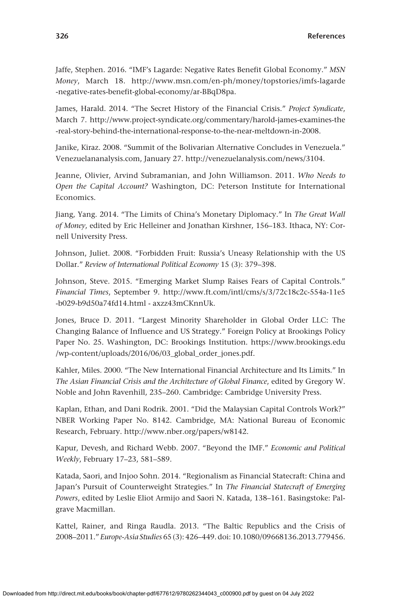Jaffe, Stephen. 2016. "IMF's Lagarde: Negative Rates Benefit Global Economy." *MSN Money*, March 18. [http://www.msn.com/en-ph/money/topstories/imfs-lagarde](http://www.msn.com/en-ph/money/topstories/imfs-lagarde-negative-rates-benefit-global-economy/ar-BBqD8pa) [-negative-rates-benefit-global-economy/ar-BBqD8pa](http://www.msn.com/en-ph/money/topstories/imfs-lagarde-negative-rates-benefit-global-economy/ar-BBqD8pa).

James, Harald. 2014. "The Secret History of the Financial Crisis." *Project Syndicate*, March 7. [http://www.project-syndicate.org/commentary/harold-james-examines-the](http://www.project-syndicate.org/commentary/harold-james-examines-the-real-story-behind-the-international-response-to-the-near-meltdown-in-2008) [-real-story-behind-the-international-response-to-the-near-meltdown-in-2008.](http://www.project-syndicate.org/commentary/harold-james-examines-the-real-story-behind-the-international-response-to-the-near-meltdown-in-2008)

Janike, Kiraz. 2008. "Summit of the Bolivarian Alternative Concludes in Venezuela." [Venezuelananalysis.com,](http://Venezuelananalysis.com) January 27. [http://venezuelanalysis.com/news/3104.](http://venezuelanalysis.com/news/3104)

Jeanne, Olivier, Arvind Subramanian, and John Williamson. 2011. *Who Needs to Open the Capital Account?* Washington, DC: Peterson Institute for International Economics.

Jiang, Yang. 2014. "The Limits of China's Monetary Diplomacy." In *The Great Wall of Money*, edited by Eric Helleiner and Jonathan Kirshner, 156–183. Ithaca, NY: Cornell University Press.

Johnson, Juliet. 2008. "Forbidden Fruit: Russia's Uneasy Relationship with the US Dollar." *Review of International Political Economy* 15 (3): 379–398.

Johnson, Steve. 2015. "Emerging Market Slump Raises Fears of Capital Controls." *Financial Times*, September 9. [http://www.ft.com/intl/cms/s/3/72c18c2c-554a-11e5](http://www.ft.com/intl/cms/s/3/72c18c2c-554a-11e5-b029-b9d50a74fd14.html) [-b029-b9d50a74fd14.html](http://www.ft.com/intl/cms/s/3/72c18c2c-554a-11e5-b029-b9d50a74fd14.html) - axzz43mCKnnUk.

Jones, Bruce D. 2011. "Largest Minority Shareholder in Global Order LLC: The Changing Balance of Influence and US Strategy." Foreign Policy at Brookings Policy Paper No. 25. Washington, DC: Brookings Institution. [https://www.brookings.edu](https://www.brookings.edu/wp-content/uploads/2016/06/03_global_order_jones.pdf) [/wp-content/uploads/2016/06/03\\_global\\_order\\_jones.pdf](https://www.brookings.edu/wp-content/uploads/2016/06/03_global_order_jones.pdf).

Kahler, Miles. 2000. "The New International Financial Architecture and Its Limits." In *The Asian Financial Crisis and the Architecture of Global Finance*, edited by Gregory W. Noble and John Ravenhill, 235–260. Cambridge: Cambridge University Press.

Kaplan, Ethan, and Dani Rodrik. 2001. "Did the Malaysian Capital Controls Work?" NBER Working Paper No. 8142. Cambridge, MA: National Bureau of Economic Research, February. [http://www.nber.org/papers/w8142.](http://www.nber.org/papers/w8142)

Kapur, Devesh, and Richard Webb. 2007. "Beyond the IMF." *Economic and Political Weekly*, February 17–23, 581–589.

Katada, Saori, and Injoo Sohn. 2014. "Regionalism as Financial Statecraft: China and Japan's Pursuit of Counterweight Strategies." In *The Financial Statecraft of Emerging Powers*, edited by Leslie Eliot Armijo and Saori N. Katada, 138–161. Basingstoke: Palgrave Macmillan.

Kattel, Rainer, and Ringa Raudla. 2013. "The Baltic Republics and the Crisis of 2008–2011." *Europe-Asia Studies* 65 (3): 426–449. doi: 10.1080/09668136.2013.779456.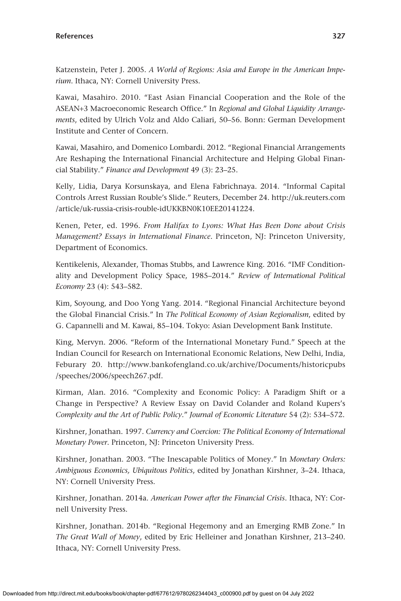Katzenstein, Peter J. 2005. *A World of Regions: Asia and Europe in the American Imperium*. Ithaca, NY: Cornell University Press.

Kawai, Masahiro. 2010. "East Asian Financial Cooperation and the Role of the ASEAN+3 Macroeconomic Research Office." In *Regional and Global Liquidity Arrangements*, edited by Ulrich Volz and Aldo Caliari, 50–56. Bonn: German Development Institute and Center of Concern.

Kawai, Masahiro, and Domenico Lombardi. 2012. "Regional Financial Arrangements Are Reshaping the International Financial Architecture and Helping Global Financial Stability." *Finance and Development* 49 (3): 23–25.

Kelly, Lidia, Darya Korsunskaya, and Elena Fabrichnaya. 2014. "Informal Capital Controls Arrest Russian Rouble's Slide." Reuters, December 24. [http://uk.reuters.com](http://uk.reuters.com/article/uk-russia-crisis-rouble-idUKKBN0K10EE20141224) [/article/uk-russia-crisis-rouble-idUKKBN0K10EE20141224](http://uk.reuters.com/article/uk-russia-crisis-rouble-idUKKBN0K10EE20141224).

Kenen, Peter, ed. 1996. *From Halifax to Lyons: What Has Been Done about Crisis Management? Essays in International Finance*. Princeton, NJ: Princeton University, Department of Economics.

Kentikelenis, Alexander, Thomas Stubbs, and Lawrence King. 2016. "IMF Conditionality and Development Policy Space, 1985–2014." *Review of International Political Economy* 23 (4): 543–582.

Kim, Soyoung, and Doo Yong Yang. 2014. "Regional Financial Architecture beyond the Global Financial Crisis." In *The Political Economy of Asian Regionalism*, edited by G. Capannelli and M. Kawai, 85–104. Tokyo: Asian Development Bank Institute.

King, Mervyn. 2006. "Reform of the International Monetary Fund." Speech at the Indian Council for Research on International Economic Relations, New Delhi, India, Feburary 20. [http://www.bankofengland.co.uk/archive/Documents/historicpubs](http://www.bankofengland.co.uk/archive/Documents/historicpubs/speeches/2006/speech267.pdf) [/speeches/2006/speech267.pdf](http://www.bankofengland.co.uk/archive/Documents/historicpubs/speeches/2006/speech267.pdf).

Kirman, Alan. 2016. "Complexity and Economic Policy: A Paradigm Shift or a Change in Perspective? A Review Essay on David Colander and Roland Kupers's *Complexity and the Art of Public Policy*." *Journal of Economic Literature* 54 (2): 534–572.

Kirshner, Jonathan. 1997. *Currency and Coercion: The Political Economy of International Monetary Power*. Princeton, NJ: Princeton University Press.

Kirshner, Jonathan. 2003. "The Inescapable Politics of Money." In *Monetary Orders: Ambiguous Economics, Ubiquitous Politics*, edited by Jonathan Kirshner, 3–24. Ithaca, NY: Cornell University Press.

Kirshner, Jonathan. 2014a. *American Power after the Financial Crisis*. Ithaca, NY: Cornell University Press.

Kirshner, Jonathan. 2014b. "Regional Hegemony and an Emerging RMB Zone." In *The Great Wall of Money*, edited by Eric Helleiner and Jonathan Kirshner, 213–240. Ithaca, NY: Cornell University Press.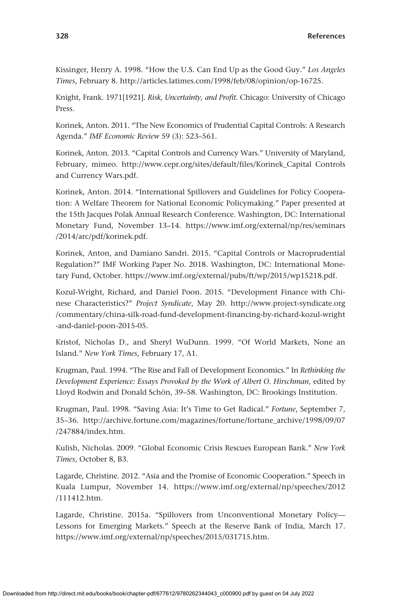Kissinger, Henry A. 1998. "How the U.S. Can End Up as the Good Guy." *Los Angeles Times*, February 8.<http://articles.latimes.com/1998/feb/08/opinion/op-16725>.

Knight, Frank. 1971[1921]. *Risk, Uncertainty, and Profit*. Chicago: University of Chicago Press.

Korinek, Anton. 2011. "The New Economics of Prudential Capital Controls: A Research Agenda." *IMF Economic Review* 59 (3): 523–561.

Korinek, Anton. 2013. "Capital Controls and Currency Wars." University of Maryland, February, mimeo. [http://www.cepr.org/sites/default/files/Korinek\\_Capital](http://www.cepr.org/sites/default/files/Korinek_Capital) Controls and Currency Wars.pdf.

Korinek, Anton. 2014. "International Spillovers and Guidelines for Policy Cooperation: A Welfare Theorem for National Economic Policymaking." Paper presented at the 15th Jacques Polak Annual Research Conference. Washington, DC: International Monetary Fund, November 13–14. [https://www.imf.org/external/np/res/seminars](https://www.imf.org/external/np/res/seminars/2014/arc/pdf/korinek.pdf) [/2014/arc/pdf/korinek.pdf](https://www.imf.org/external/np/res/seminars/2014/arc/pdf/korinek.pdf).

Korinek, Anton, and Damiano Sandri. 2015. "Capital Controls or Macroprudential Regulation?" IMF Working Paper No. 2018. Washington, DC: International Monetary Fund, October. <https://www.imf.org/external/pubs/ft/wp/2015/wp15218.pdf>.

Kozul-Wright, Richard, and Daniel Poon. 2015. "Development Finance with Chinese Characteristics?" *Project Syndicate*, May 20. [http://www.project-syndicate.org](http://www.project-syndicate.org/commentary/china-silk-road-fund-development-financing-by-richard-kozul-wright-and-daniel-poon-2015-05) [/commentary/china-silk-road-fund-development-financing-by-richard-kozul-wright](http://www.project-syndicate.org/commentary/china-silk-road-fund-development-financing-by-richard-kozul-wright-and-daniel-poon-2015-05) [-and-daniel-poon-2015-05](http://www.project-syndicate.org/commentary/china-silk-road-fund-development-financing-by-richard-kozul-wright-and-daniel-poon-2015-05).

Kristof, Nicholas D., and Sheryl WuDunn. 1999. "Of World Markets, None an Island." *New York Times*, February 17, A1.

Krugman, Paul. 1994. "The Rise and Fall of Development Economics." In *Rethinking the Development Experience: Essays Provoked by the Work of Albert O. Hirschman*, edited by Lloyd Rodwin and Donald Schön, 39–58. Washington, DC: Brookings Institution.

Krugman, Paul. 1998. "Saving Asia: It's Time to Get Radical." *Fortune*, September 7, 35–36. [http://archive.fortune.com/magazines/fortune/fortune\\_archive/1998/09/07](http://archive.fortune.com/magazines/fortune/fortune_archive/1998/09/07/247884/index.htm) [/247884/index.htm.](http://archive.fortune.com/magazines/fortune/fortune_archive/1998/09/07/247884/index.htm)

Kulish, Nicholas. 2009. "Global Economic Crisis Rescues European Bank." *New York Times*, October 8, B3.

Lagarde, Christine. 2012. "Asia and the Promise of Economic Cooperation." Speech in Kuala Lumpur, November 14. [https://www.imf.org/external/np/speeches/2012](https://www.imf.org/external/np/speeches/2012/111412.htm) [/111412.htm.](https://www.imf.org/external/np/speeches/2012/111412.htm)

Lagarde, Christine. 2015a. "Spillovers from Unconventional Monetary Policy— Lessons for Emerging Markets." Speech at the Reserve Bank of India, March 17. [https://www.imf.org/external/np/speeches/2015/031715.htm.](https://www.imf.org/external/np/speeches/2015/031715.htm)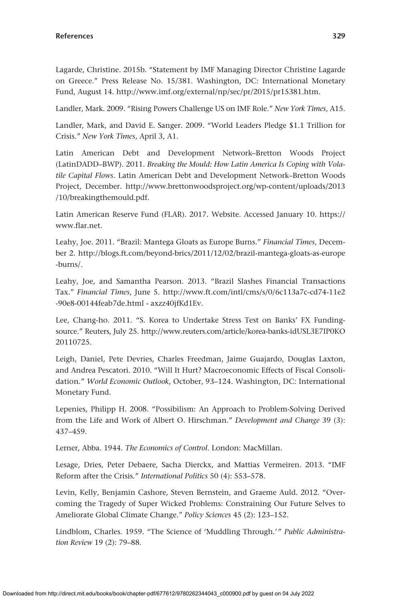Lagarde, Christine. 2015b. "Statement by IMF Managing Director Christine Lagarde on Greece." Press Release No. 15/381. Washington, DC: International Monetary Fund, August 14.<http://www.imf.org/external/np/sec/pr/2015/pr15381.htm>.

Landler, Mark. 2009. "Rising Powers Challenge US on IMF Role." *New York Times*, A15.

Landler, Mark, and David E. Sanger. 2009. "World Leaders Pledge \$1.1 Trillion for Crisis." *New York Times*, April 3, A1.

Latin American Debt and Development Network–Bretton Woods Project (LatinDADD–BWP). 2011. *Breaking the Mould: How Latin America Is Coping with Volatile Capital Flows*. Latin American Debt and Development Network–Bretton Woods Project, December. [http://www.brettonwoodsproject.org/wp-content/uploads/2013](http://www.brettonwoodsproject.org/wp-content/uploads/2013/10/breakingthemould.pdf) [/10/breakingthemould.pdf.](http://www.brettonwoodsproject.org/wp-content/uploads/2013/10/breakingthemould.pdf)

Latin American Reserve Fund (FLAR). 2017. Website. Accessed January 10. [https://](https://www.flar.net) [www.flar.net](https://www.flar.net).

Leahy, Joe. 2011. "Brazil: Mantega Gloats as Europe Burns." *Financial Times*, December 2. [http://blogs.ft.com/beyond-brics/2011/12/02/brazil-mantega-gloats-as-europe](http://blogs.ft.com/beyond-brics/2011/12/02/brazil-mantega-gloats-as-europe-burns/) [-burns/.](http://blogs.ft.com/beyond-brics/2011/12/02/brazil-mantega-gloats-as-europe-burns/)

Leahy, Joe, and Samantha Pearson. 2013. "Brazil Slashes Financial Transactions Tax." *Financial Times*, June 5. [http://www.ft.com/intl/cms/s/0/6c113a7c-cd74-11e2](http://www.ft.com/intl/cms/s/0/6c113a7c-cd74-11e2-90e8-00144feab7de.html) [-90e8-00144feab7de.html](http://www.ft.com/intl/cms/s/0/6c113a7c-cd74-11e2-90e8-00144feab7de.html) - axzz40jfKd1Ev.

Lee, Chang-ho. 2011. "S. Korea to Undertake Stress Test on Banks' FX Fundingsource." Reuters, July 25. [http://www.reuters.com/article/korea-banks-idUSL3E7IP0KO](http://www.reuters.com/article/korea-banks-idUSL3E7IP0KO20110725) [20110725.](http://www.reuters.com/article/korea-banks-idUSL3E7IP0KO20110725)

Leigh, Daniel, Pete Devries, Charles Freedman, Jaime Guajardo, Douglas Laxton, and Andrea Pescatori. 2010. "Will It Hurt? Macroeconomic Effects of Fiscal Consolidation." *World Economic Outlook*, October, 93–124. Washington, DC: International Monetary Fund.

Lepenies, Philipp H. 2008. "Possibilism: An Approach to Problem-Solving Derived from the Life and Work of Albert O. Hirschman." *Development and Change* 39 (3): 437–459.

Lerner, Abba. 1944. *The Economics of Control*. London: MacMillan.

Lesage, Dries, Peter Debaere, Sacha Dierckx, and Mattias Vermeiren. 2013. "IMF Reform after the Crisis." *International Politics* 50 (4): 553–578.

Levin, Kelly, Benjamin Cashore, Steven Bernstein, and Graeme Auld. 2012. "Overcoming the Tragedy of Super Wicked Problems: Constraining Our Future Selves to Ameliorate Global Climate Change." *Policy Sciences* 45 (2): 123–152.

Lindblom, Charles. 1959. "The Science of 'Muddling Through.'" *Public Administration Review* 19 (2): 79–88.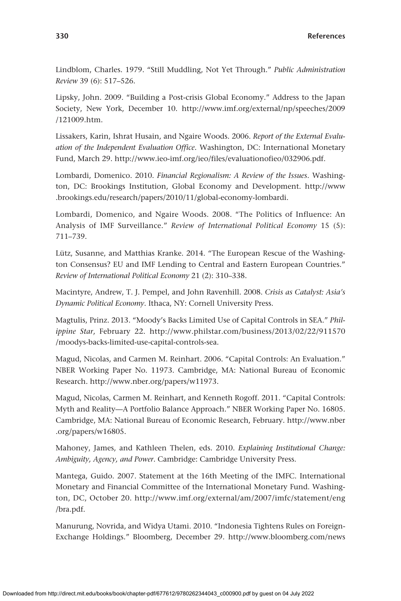Lindblom, Charles. 1979. "Still Muddling, Not Yet Through." *Public Administration Review* 39 (6): 517–526.

Lipsky, John. 2009. "Building a Post-crisis Global Economy." Address to the Japan Society, New York, December 10. [http://www.imf.org/external/np/speeches/2009](http://www.imf.org/external/np/speeches/2009/121009.htm) [/121009.htm.](http://www.imf.org/external/np/speeches/2009/121009.htm)

Lissakers, Karin, Ishrat Husain, and Ngaire Woods. 2006. *Report of the External Evaluation of the Independent Evaluation Office*. Washington, DC: International Monetary Fund, March 29. [http://www.ieo-imf.org/ieo/files/evaluationofieo/032906.pdf.](http://www.ieo-imf.org/ieo/files/evaluationofieo/032906.pdf)

Lombardi, Domenico. 2010. *Financial Regionalism: A Review of the Issues*. Washington, DC: Brookings Institution, Global Economy and Development. [http://www](http://www.brookings.edu/research/papers/2010/11/global-economy-lombardi) [.brookings.edu/research/papers/2010/11/global-economy-lombardi.](http://www.brookings.edu/research/papers/2010/11/global-economy-lombardi)

Lombardi, Domenico, and Ngaire Woods. 2008. "The Politics of Influence: An Analysis of IMF Surveillance." *Review of International Political Economy* 15 (5): 711–739.

Lütz, Susanne, and Matthias Kranke. 2014. "The European Rescue of the Washington Consensus? EU and IMF Lending to Central and Eastern European Countries." *Review of International Political Economy* 21 (2): 310–338.

Macintyre, Andrew, T. J. Pempel, and John Ravenhill. 2008. *Crisis as Catalyst: Asia's Dynamic Political Economy*. Ithaca, NY: Cornell University Press.

Magtulis, Prinz. 2013. "Moody's Backs Limited Use of Capital Controls in SEA." *Philippine Star*, February 22. [http://www.philstar.com/business/2013/02/22/911570](http://www.philstar.com/business/2013/02/22/911570/moodys-backs-limited-use-capital-controls-sea) [/moodys-backs-limited-use-capital-controls-sea.](http://www.philstar.com/business/2013/02/22/911570/moodys-backs-limited-use-capital-controls-sea)

Magud, Nicolas, and Carmen M. Reinhart. 2006. "Capital Controls: An Evaluation." NBER Working Paper No. 11973. Cambridge, MA: National Bureau of Economic Research. <http://www.nber.org/papers/w11973>.

Magud, Nicolas, Carmen M. Reinhart, and Kenneth Rogoff. 2011. "Capital Controls: Myth and Reality—A Portfolio Balance Approach." NBER Working Paper No. 16805. Cambridge, MA: National Bureau of Economic Research, February. [http://www.nber](http://www.nber.org/papers/w16805) [.org/papers/w16805.](http://www.nber.org/papers/w16805)

Mahoney, James, and Kathleen Thelen, eds. 2010. *Explaining Institutional Change: Ambiguity, Agency, and Power*. Cambridge: Cambridge University Press.

Mantega, Guido. 2007. Statement at the 16th Meeting of the IMFC. International Monetary and Financial Committee of the International Monetary Fund. Washington, DC, October 20. [http://www.imf.org/external/am/2007/imfc/statement/eng](http://www.imf.org/external/am/2007/imfc/statement/eng/bra.pdf) [/bra.pdf.](http://www.imf.org/external/am/2007/imfc/statement/eng/bra.pdf)

Manurung, Novrida, and Widya Utami. 2010. "Indonesia Tightens Rules on Foreign-Exchange Holdings." Bloomberg, December 29. [http://www.bloomberg.com/news](http://www.bloomberg.com/news/articles/2010-12-29/indonesia-raises-bank-foreign-currency-reserve-ratios-amid-capital-inflows)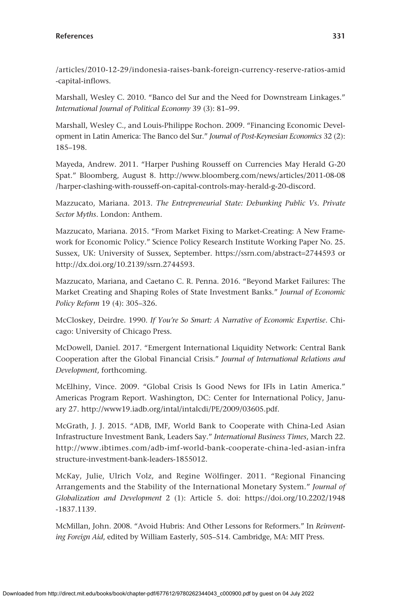[/articles/2010-12-29/indonesia-raises-bank-foreign-currency-reserve-ratios-amid](http://www.bloomberg.com/news/articles/2010-12-29/indonesia-raises-bank-foreign-currency-reserve-ratios-amid-capital-inflows) [-capital-inflows](http://www.bloomberg.com/news/articles/2010-12-29/indonesia-raises-bank-foreign-currency-reserve-ratios-amid-capital-inflows).

Marshall, Wesley C. 2010. "Banco del Sur and the Need for Downstream Linkages." *International Journal of Political Economy* 39 (3): 81–99.

Marshall, Wesley C., and Louis-Philippe Rochon. 2009. "Financing Economic Development in Latin America: The Banco del Sur." *Journal of Post-Keynesian Economics* 32 (2): 185–198.

Mayeda, Andrew. 2011. "Harper Pushing Rousseff on Currencies May Herald G-20 Spat." Bloomberg, August 8. [http://www.bloomberg.com/news/articles/2011-08-08](http://www.bloomberg.com/news/articles/2011-08-08/harper-clashing-with-rousseff-on-capital-controls-may-herald-g-20-discord) [/harper-clashing-with-rousseff-on-capital-controls-may-herald-g-20-discord.](http://www.bloomberg.com/news/articles/2011-08-08/harper-clashing-with-rousseff-on-capital-controls-may-herald-g-20-discord)

Mazzucato, Mariana. 2013. *The Entrepreneurial State: Debunking Public Vs. Private Sector Myths*. London: Anthem.

Mazzucato, Mariana. 2015. "From Market Fixing to Market-Creating: A New Framework for Economic Policy." Science Policy Research Institute Working Paper No. 25. Sussex, UK: University of Sussex, September. [https://ssrn.com/abstract](https://ssrn.com/abstract=2744593)=2744593 or <http://dx.doi.org/10.2139/ssrn.2744593>.

Mazzucato, Mariana, and Caetano C. R. Penna. 2016. "Beyond Market Failures: The Market Creating and Shaping Roles of State Investment Banks." *Journal of Economic Policy Reform* 19 (4): 305–326.

McCloskey, Deirdre. 1990. *If You're So Smart: A Narrative of Economic Expertise*. Chicago: University of Chicago Press.

McDowell, Daniel. 2017. "Emergent International Liquidity Network: Central Bank Cooperation after the Global Financial Crisis." *Journal of International Relations and Development*, forthcoming.

McElhiny, Vince. 2009. "Global Crisis Is Good News for IFIs in Latin America." Americas Program Report. Washington, DC: Center for International Policy, January 27. [http://www19.iadb.org/intal/intalcdi/PE/2009/03605.pdf.](http://www19.iadb.org/intal/intalcdi/PE/2009/03605.pdf)

McGrath, J. J. 2015. "ADB, IMF, World Bank to Cooperate with China-Led Asian Infrastructure Investment Bank, Leaders Say." *International Business Times*, March 22. [http://www.ibtimes.com/adb-imf-world-bank-cooperate-china-led-asian-infra](http://www.ibtimes.com/adb-imf-world-bank-cooperate-china-led-asian-infrastructure-investment-bank-leaders-1855012) [structure-investment-bank-leaders-1855012](http://www.ibtimes.com/adb-imf-world-bank-cooperate-china-led-asian-infrastructure-investment-bank-leaders-1855012).

McKay, Julie, Ulrich Volz, and Regine Wölfinger. 2011. "Regional Financing Arrangements and the Stability of the International Monetary System." *Journal of Globalization and Development* 2 (1): Article 5. doi: [https://doi.org/10.2202/1948](https://doi.org/10.2202/1948-1837.1139) [-1837.1139.](https://doi.org/10.2202/1948-1837.1139)

McMillan, John. 2008. "Avoid Hubris: And Other Lessons for Reformers." In *Reinventing Foreign Aid*, edited by William Easterly, 505–514. Cambridge, MA: MIT Press.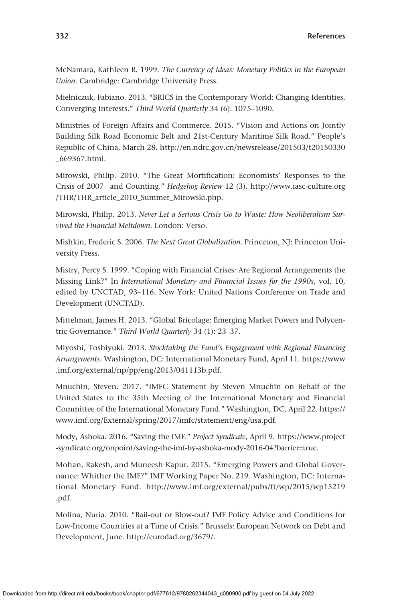McNamara, Kathleen R. 1999. *The Currency of Ideas: Monetary Politics in the European Union*. Cambridge: Cambridge University Press.

Mielniczuk, Fabiano. 2013. "BRICS in the Contemporary World: Changing Identities, Converging Interests." *Third World Quarterly* 34 (6): 1075–1090.

Ministries of Foreign Affairs and Commerce. 2015. "Vision and Actions on Jointly Building Silk Road Economic Belt and 21st-Century Maritime Silk Road." People's Republic of China, March 28. [http://en.ndrc.gov.cn/newsrelease/201503/t20150330](http://en.ndrc.gov.cn/newsrelease/201503/t20150330_669367.html) [\\_669367.html.](http://en.ndrc.gov.cn/newsrelease/201503/t20150330_669367.html)

Mirowski, Philip. 2010. "The Great Mortification: Economists' Responses to the Crisis of 2007– and Counting." *Hedgehog Review* 12 (3). [http://www.iasc-culture.org](http://www.iasc-culture.org/THR/THR_article_2010_Summer_Mirowski.php) [/THR/THR\\_article\\_2010\\_Summer\\_Mirowski.php](http://www.iasc-culture.org/THR/THR_article_2010_Summer_Mirowski.php).

Mirowski, Philip. 2013. *Never Let a Serious Crisis Go to Waste: How Neoliberalism Survived the Financial Meltdown*. London: Verso.

Mishkin, Frederic S. 2006. *The Next Great Globalization*. Princeton, NJ: Princeton University Press.

Mistry, Percy S. 1999. "Coping with Financial Crises: Are Regional Arrangements the Missing Link?" In *International Monetary and Financial Issues for the 1990s*, vol. 10, edited by UNCTAD, 93–116. New York: United Nations Conference on Trade and Development (UNCTAD).

Mittelman, James H. 2013. "Global Bricolage: Emerging Market Powers and Polycentric Governance." *Third World Quarterly* 34 (1): 23–37.

Miyoshi, Toshiyuki. 2013. *Stocktaking the Fund's Engagement with Regional Financing Arrangements*. Washington, DC: International Monetary Fund, April 11. [https://www](https://www.imf.org/external/np/pp/eng/2013/041113b.pdf) [.imf.org/external/np/pp/eng/2013/041113b.pdf.](https://www.imf.org/external/np/pp/eng/2013/041113b.pdf)

Mnuchin, Steven. 2017. "IMFC Statement by Steven Mnuchin on Behalf of the United States to the 35th Meeting of the International Monetary and Financial Committee of the International Monetary Fund." Washington, DC, April 22. [https://](https://www.imf.org/External/spring/2017/imfc/statement/eng/usa.pdf) [www.imf.org/External/spring/2017/imfc/statement/eng/usa.pdf](https://www.imf.org/External/spring/2017/imfc/statement/eng/usa.pdf).

Mody, Ashoka. 2016. "Saving the IMF." *Project Syndicate*, April 9. [https://www.project](https://www.project-syndicate.org/onpoint/saving-the-imf-by-ashoka-mody-2016-04?barrier=true) [-syndicate.org/onpoint/saving-the-imf-by-ashoka-mody-2016-04?barrier](https://www.project-syndicate.org/onpoint/saving-the-imf-by-ashoka-mody-2016-04?barrier=true)=true.

Mohan, Rakesh, and Muneesh Kapur. 2015. "Emerging Powers and Global Governance: Whither the IMF?" IMF Working Paper No. 219. Washington, DC: International Monetary Fund. [http://www.imf.org/external/pubs/ft/wp/2015/wp15219](http://www.imf.org/external/pubs/ft/wp/2015/wp15219.pdf) [.pdf](http://www.imf.org/external/pubs/ft/wp/2015/wp15219.pdf).

Molina, Nuria. 2010. "Bail-out or Blow-out? IMF Policy Advice and Conditions for Low-Income Countries at a Time of Crisis." Brussels: European Network on Debt and Development, June. [http://eurodad.org/3679/.](http://eurodad.org/3679/)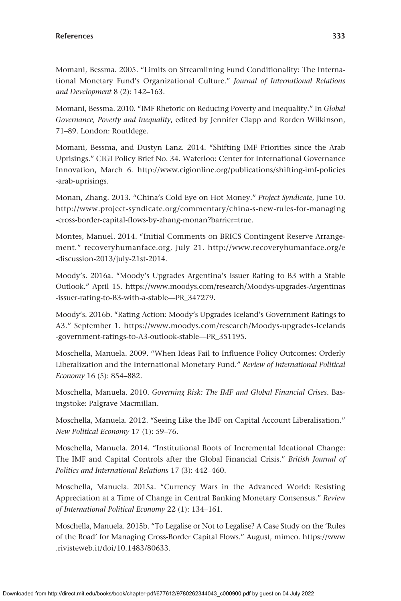Momani, Bessma. 2005. "Limits on Streamlining Fund Conditionality: The International Monetary Fund's Organizational Culture." *Journal of International Relations and Development* 8 (2): 142–163.

Momani, Bessma. 2010. "IMF Rhetoric on Reducing Poverty and Inequality." In *Global Governance, Poverty and Inequality*, edited by Jennifer Clapp and Rorden Wilkinson, 71–89. London: Routldege.

Momani, Bessma, and Dustyn Lanz. 2014. "Shifting IMF Priorities since the Arab Uprisings." CIGI Policy Brief No. 34. Waterloo: Center for International Governance Innovation, March 6. [http://www.cigionline.org/publications/shifting-imf-policies](http://www.cigionline.org/publications/shifting-imf-policies-arab-uprisings) [-arab-uprisings.](http://www.cigionline.org/publications/shifting-imf-policies-arab-uprisings)

Monan, Zhang. 2013. "China's Cold Eye on Hot Money." *Project Syndicate*, June 10. [http://www.project-syndicate.org/commentary/china-s-new-rules-for-managing](http://www.project-syndicate.org/commentary/china-s-new-rules-for-managing-cross-border-capital-flows-by-zhang-monan?barrier=true) [-cross-border-capital-flows-by-zhang-monan?barrier](http://www.project-syndicate.org/commentary/china-s-new-rules-for-managing-cross-border-capital-flows-by-zhang-monan?barrier=true)=true.

Montes, Manuel. 2014. "Initial Comments on BRICS Contingent Reserve Arrangement." [recoveryhumanface.org](http://recoveryhumanface.org), July 21. [http://www.recoveryhumanface.org/e](http://www.recoveryhumanface.org/e-discussion-2013/july-21st-2014) [-discussion-2013/july-21st-2014](http://www.recoveryhumanface.org/e-discussion-2013/july-21st-2014).

Moody's. 2016a. "Moody's Upgrades Argentina's Issuer Rating to B3 with a Stable Outlook." April 15. [https://www.moodys.com/research/Moodys-upgrades-Argentinas](https://www.moodys.com/research/Moodys-upgrades-Argentinas-issuer-rating-to-B3-with-a-stable—PR_347279) [-issuer-rating-to-B3-with-a-stable—PR\\_347279.](https://www.moodys.com/research/Moodys-upgrades-Argentinas-issuer-rating-to-B3-with-a-stable—PR_347279)

Moody's. 2016b. "Rating Action: Moody's Upgrades Iceland's Government Ratings to A3." September 1. [https://www.moodys.com/research/Moodys-upgrades-Icelands](https://www.moodys.com/research/Moodys-upgrades-Icelands-government-ratings-to-A3-outlook-stable—PR_351195) [-government-ratings-to-A3-outlook-stable—PR\\_351195](https://www.moodys.com/research/Moodys-upgrades-Icelands-government-ratings-to-A3-outlook-stable—PR_351195).

Moschella, Manuela. 2009. "When Ideas Fail to Influence Policy Outcomes: Orderly Liberalization and the International Monetary Fund." *Review of International Political Economy* 16 (5): 854–882.

Moschella, Manuela. 2010. *Governing Risk: The IMF and Global Financial Crises*. Basingstoke: Palgrave Macmillan.

Moschella, Manuela. 2012. "Seeing Like the IMF on Capital Account Liberalisation." *New Political Economy* 17 (1): 59–76.

Moschella, Manuela. 2014. "Institutional Roots of Incremental Ideational Change: The IMF and Capital Controls after the Global Financial Crisis." *British Journal of Politics and International Relations* 17 (3): 442–460.

Moschella, Manuela. 2015a. "Currency Wars in the Advanced World: Resisting Appreciation at a Time of Change in Central Banking Monetary Consensus." *Review of International Political Economy* 22 (1): 134–161.

Moschella, Manuela. 2015b. "To Legalise or Not to Legalise? A Case Study on the 'Rules of the Road' for Managing Cross-Border Capital Flows." August, mimeo. [https://www](https://www.rivisteweb.it/doi/10.1483/80633) [.rivisteweb.it/doi/10.1483/80633](https://www.rivisteweb.it/doi/10.1483/80633).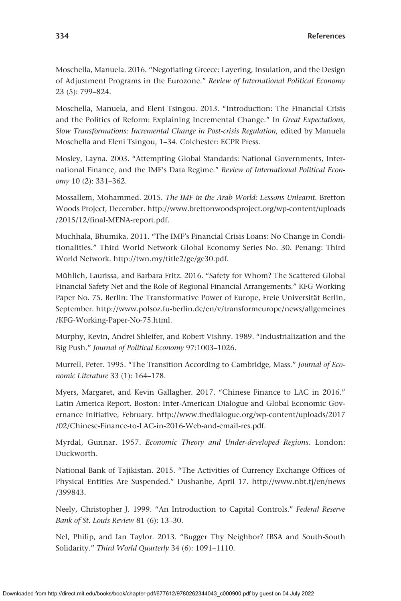Moschella, Manuela. 2016. "Negotiating Greece: Layering, Insulation, and the Design of Adjustment Programs in the Eurozone." *Review of International Political Economy* 23 (5): 799–824.

Moschella, Manuela, and Eleni Tsingou. 2013. "Introduction: The Financial Crisis and the Politics of Reform: Explaining Incremental Change." In *Great Expectations, Slow Transformations: Incremental Change in Post-crisis Regulation*, edited by Manuela Moschella and Eleni Tsingou, 1–34. Colchester: ECPR Press.

Mosley, Layna. 2003. "Attempting Global Standards: National Governments, International Finance, and the IMF's Data Regime." *Review of International Political Economy* 10 (2): 331–362.

Mossallem, Mohammed. 2015. *The IMF in the Arab World: Lessons Unlearnt*. Bretton Woods Project, December. [http://www.brettonwoodsproject.org/wp-content/uploads](http://www.brettonwoodsproject.org/wp-content/uploads/2015/12/final-MENA-report.pdf) [/2015/12/final-MENA-report.pdf](http://www.brettonwoodsproject.org/wp-content/uploads/2015/12/final-MENA-report.pdf).

Muchhala, Bhumika. 2011. "The IMF's Financial Crisis Loans: No Change in Conditionalities." Third World Network Global Economy Series No. 30. Penang: Third World Network.<http://twn.my/title2/ge/ge30.pdf>.

Mühlich, Laurissa, and Barbara Fritz. 2016. "Safety for Whom? The Scattered Global Financial Safety Net and the Role of Regional Financial Arrangements." KFG Working Paper No. 75. Berlin: The Transformative Power of Europe, Freie Universität Berlin, September. [http://www.polsoz.fu-berlin.de/en/v/transformeurope/news/allgemeines](http://www.polsoz.fu-berlin.de/en/v/transformeurope/news/allgemeines/KFG-Working-Paper-No-75.html) [/KFG-Working-Paper-No-75.html](http://www.polsoz.fu-berlin.de/en/v/transformeurope/news/allgemeines/KFG-Working-Paper-No-75.html).

Murphy, Kevin, Andrei Shleifer, and Robert Vishny. 1989. "Industrialization and the Big Push." *Journal of Political Economy* 97:1003–1026.

Murrell, Peter. 1995. "The Transition According to Cambridge, Mass." *Journal of Economic Literature* 33 (1): 164–178.

Myers, Margaret, and Kevin Gallagher. 2017. "Chinese Finance to LAC in 2016." Latin America Report. Boston: Inter-American Dialogue and Global Economic Governance Initiative, February. [http://www.thedialogue.org/wp-content/uploads/2017](http://www.thedialogue.org/wp-content/uploads/2017/02/Chinese-Finance-to-LAC-in-2016-Web-and-email-res.pdf) [/02/Chinese-Finance-to-LAC-in-2016-Web-and-email-res.pdf](http://www.thedialogue.org/wp-content/uploads/2017/02/Chinese-Finance-to-LAC-in-2016-Web-and-email-res.pdf).

Myrdal, Gunnar. 1957. *Economic Theory and Under-developed Regions*. London: Duckworth.

National Bank of Tajikistan. 2015. "The Activities of Currency Exchange Offices of Physical Entities Are Suspended." Dushanbe, April 17. [http://www.nbt.tj/en/news](http://www.nbt.tj/en/news/399843) [/399843.](http://www.nbt.tj/en/news/399843)

Neely, Christopher J. 1999. "An Introduction to Capital Controls." *Federal Reserve Bank of St. Louis Review* 81 (6): 13–30.

Nel, Philip, and Ian Taylor. 2013. "Bugger Thy Neighbor? IBSA and South-South Solidarity." *Third World Quarterly* 34 (6): 1091–1110.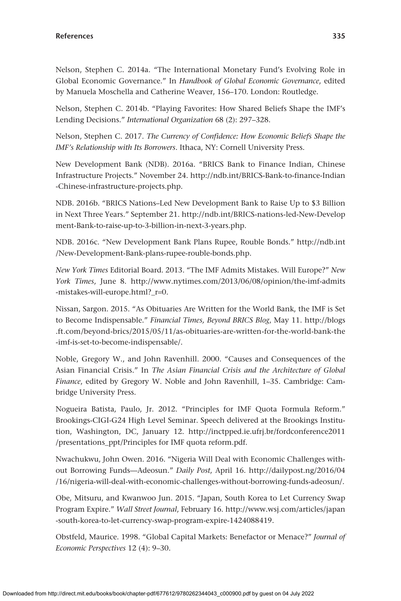Nelson, Stephen C. 2014a. "The International Monetary Fund's Evolving Role in Global Economic Governance." In *Handbook of Global Economic Governance*, edited by Manuela Moschella and Catherine Weaver, 156–170. London: Routledge.

Nelson, Stephen C. 2014b. "Playing Favorites: How Shared Beliefs Shape the IMF's Lending Decisions." *International Organization* 68 (2): 297–328.

Nelson, Stephen C. 2017. *The Currency of Confidence: How Economic Beliefs Shape the IMF's Relationship with Its Borrowers*. Ithaca, NY: Cornell University Press.

New Development Bank (NDB). 2016a. "BRICS Bank to Finance Indian, Chinese Infrastructure Projects." November 24. [http://ndb.int/BRICS-Bank-to-finance-Indian](http://ndb.int/BRICS-Bank-to-finance-Indian-Chinese-infrastructure-projects.php) [-Chinese-infrastructure-projects.php.](http://ndb.int/BRICS-Bank-to-finance-Indian-Chinese-infrastructure-projects.php)

NDB. 2016b. "BRICS Nations–Led New Development Bank to Raise Up to \$3 Billion in Next Three Years." September 21. [http://ndb.int/BRICS-nations-led-New-Develop](http://ndb.int/BRICS-nations-led-New-Development-Bank-to-raise-up-to-3-billion-in-next-3-years.php) [ment-Bank-to-raise-up-to-3-billion-in-next-3-years.php](http://ndb.int/BRICS-nations-led-New-Development-Bank-to-raise-up-to-3-billion-in-next-3-years.php).

NDB. 2016c. "New Development Bank Plans Rupee, Rouble Bonds." [http://ndb.int](http://ndb.int/New-Development-Bank-plans-rupee-rouble-bonds.php) [/New-Development-Bank-plans-rupee-rouble-bonds.php.](http://ndb.int/New-Development-Bank-plans-rupee-rouble-bonds.php)

*New York Times* Editorial Board. 2013. "The IMF Admits Mistakes. Will Europe?" *New York Times*, June 8. [http://www.nytimes.com/2013/06/08/opinion/the-imf-admits](http://www.nytimes.com/2013/06/08/opinion/the-imf-admits-mistakes-will-europe.html?_r=0) [-mistakes-will-europe.html?\\_r](http://www.nytimes.com/2013/06/08/opinion/the-imf-admits-mistakes-will-europe.html?_r=0)=0.

Nissan, Sargon. 2015. "As Obituaries Are Written for the World Bank, the IMF is Set to Become Indispensable." *Financial Times, Beyond BRICS Blog*, May 11. [http://blogs](http://blogs.ft.com/beyond-brics/2015/05/11/as-obituaries-are-written-for-the-world-bank-the-imf-is-set-to-become-indispensable/) [.ft.com/beyond-brics/2015/05/11/as-obituaries-are-written-for-the-world-bank-the](http://blogs.ft.com/beyond-brics/2015/05/11/as-obituaries-are-written-for-the-world-bank-the-imf-is-set-to-become-indispensable/) [-imf-is-set-to-become-indispensable/.](http://blogs.ft.com/beyond-brics/2015/05/11/as-obituaries-are-written-for-the-world-bank-the-imf-is-set-to-become-indispensable/)

Noble, Gregory W., and John Ravenhill. 2000. "Causes and Consequences of the Asian Financial Crisis." In *The Asian Financial Crisis and the Architecture of Global Finance*, edited by Gregory W. Noble and John Ravenhill, 1–35. Cambridge: Cambridge University Press.

Nogueira Batista, Paulo, Jr. 2012. "Principles for IMF Quota Formula Reform." Brookings-CIGI-G24 High Level Seminar. Speech delivered at the Brookings Institution, Washington, DC, January 12. [http://inctpped.ie.ufrj.br/fordconference2011](http://inctpped.ie.ufrj.br/fordconference2011/presentations_ppt/Principles) [/presentations\\_ppt/Principles](http://inctpped.ie.ufrj.br/fordconference2011/presentations_ppt/Principles) for IMF quota reform.pdf.

Nwachukwu, John Owen. 2016. "Nigeria Will Deal with Economic Challenges without Borrowing Funds—Adeosun." *Daily Post*, April 16. [http://dailypost.ng/2016/04](http://dailypost.ng/2016/04/16/nigeria-will-deal-with-economic-challenges-without-borrowing-funds-adeosun/) [/16/nigeria-will-deal-with-economic-challenges-without-borrowing-funds-adeosun/.](http://dailypost.ng/2016/04/16/nigeria-will-deal-with-economic-challenges-without-borrowing-funds-adeosun/)

Obe, Mitsuru, and Kwanwoo Jun. 2015. "Japan, South Korea to Let Currency Swap Program Expire." *Wall Street Journal*, February 16. [http://www.wsj.com/articles/japan](http://www.wsj.com/articles/japan-south-korea-to-let-currency-swap-program-expire-1424088419) [-south-korea-to-let-currency-swap-program-expire-1424088419](http://www.wsj.com/articles/japan-south-korea-to-let-currency-swap-program-expire-1424088419).

Obstfeld, Maurice. 1998. "Global Capital Markets: Benefactor or Menace?" *Journal of Economic Perspectives* 12 (4): 9–30.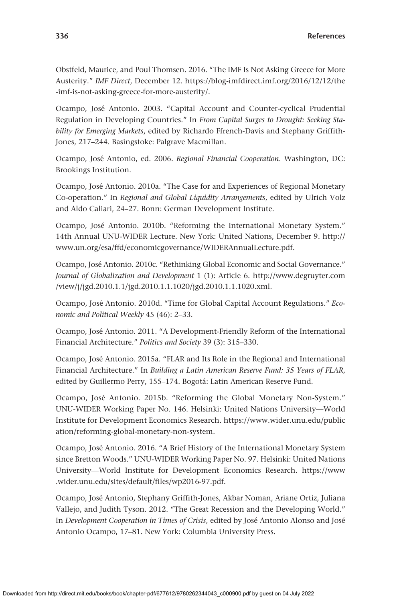Obstfeld, Maurice, and Poul Thomsen. 2016. "The IMF Is Not Asking Greece for More Austerity." *IMF Direct*, December 12. [https://blog-imfdirect.imf.org/2016/12/12/the](https://blog-imfdirect.imf.org/2016/12/12/the-imf-is-not-asking-greece-for-more-austerity/) [-imf-is-not-asking-greece-for-more-austerity/](https://blog-imfdirect.imf.org/2016/12/12/the-imf-is-not-asking-greece-for-more-austerity/).

Ocampo, José Antonio. 2003. "Capital Account and Counter-cyclical Prudential Regulation in Developing Countries." In *From Capital Surges to Drought: Seeking Stability for Emerging Markets*, edited by Richardo Ffrench-Davis and Stephany Griffith-Jones, 217–244. Basingstoke: Palgrave Macmillan.

Ocampo, José Antonio, ed. 2006. *Regional Financial Cooperation*. Washington, DC: Brookings Institution.

Ocampo, José Antonio. 2010a. "The Case for and Experiences of Regional Monetary Co-operation." In *Regional and Global Liquidity Arrangements*, edited by Ulrich Volz and Aldo Caliari, 24–27. Bonn: German Development Institute.

Ocampo, José Antonio. 2010b. "Reforming the International Monetary System." 14th Annual UNU-WIDER Lecture. New York: United Nations, December 9. [http://](http://www.un.org/esa/ffd/economicgovernance/WIDERAnnualLecture.pdf) [www.un.org/esa/ffd/economicgovernance/WIDERAnnualLecture.pdf](http://www.un.org/esa/ffd/economicgovernance/WIDERAnnualLecture.pdf).

Ocampo, José Antonio. 2010c. "Rethinking Global Economic and Social Governance." *Journal of Globalization and Development* 1 (1): Article 6. [http://www.degruyter.com](http://www.degruyter.com/view/j/jgd.2010.1.1/jgd.2010.1.1.1020/jgd.2010.1.1.1020.xml) [/view/j/jgd.2010.1.1/jgd.2010.1.1.1020/jgd.2010.1.1.1020.xml.](http://www.degruyter.com/view/j/jgd.2010.1.1/jgd.2010.1.1.1020/jgd.2010.1.1.1020.xml)

Ocampo, José Antonio. 2010d. "Time for Global Capital Account Regulations." *Economic and Political Weekly* 45 (46): 2–33.

Ocampo, José Antonio. 2011. "A Development-Friendly Reform of the International Financial Architecture." *Politics and Society* 39 (3): 315–330.

Ocampo, José Antonio. 2015a. "FLAR and Its Role in the Regional and International Financial Architecture." In *Building a Latin American Reserve Fund: 35 Years of FLAR*, edited by Guillermo Perry, 155–174. Bogotá: Latin American Reserve Fund.

Ocampo, José Antonio. 2015b. "Reforming the Global Monetary Non-System." UNU-WIDER Working Paper No. 146. Helsinki: United Nations University—World Institute for Development Economics Research. [https://www.wider.unu.edu/public](https://www.wider.unu.edu/publication/reforming-global-monetary-non-system) [ation/reforming-global-monetary-non-system](https://www.wider.unu.edu/publication/reforming-global-monetary-non-system).

Ocampo, José Antonio. 2016. "A Brief History of the International Monetary System since Bretton Woods." UNU-WIDER Working Paper No. 97. Helsinki: United Nations University—World Institute for Development Economics Research. [https://www](https://www.wider.unu.edu/sites/default/files/wp2016-97.pdf) [.wider.unu.edu/sites/default/files/wp2016-97.pdf](https://www.wider.unu.edu/sites/default/files/wp2016-97.pdf).

Ocampo, José Antonio, Stephany Griffith-Jones, Akbar Noman, Ariane Ortiz, Juliana Vallejo, and Judith Tyson. 2012. "The Great Recession and the Developing World." In *Development Cooperation in Times of Crisis*, edited by José Antonio Alonso and José Antonio Ocampo, 17–81. New York: Columbia University Press.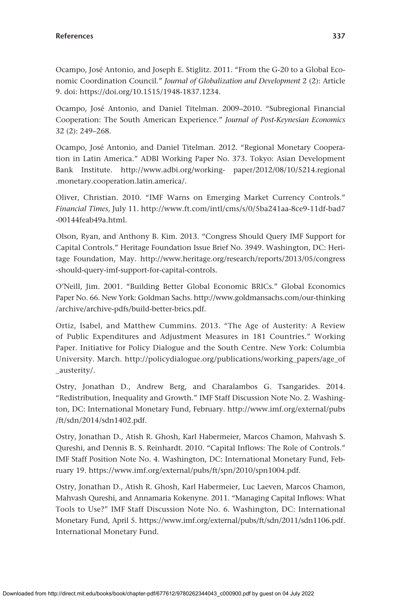Ocampo, José Antonio, and Joseph E. Stiglitz. 2011. "From the G-20 to a Global Economic Coordination Council." *Journal of Globalization and Development* 2 (2): Article 9. doi: <https://doi.org/10.1515/1948-1837.1234>.

Ocampo, José Antonio, and Daniel Titelman. 2009–2010. "Subregional Financial Cooperation: The South American Experience." *Journal of Post-Keynesian Economics* 32 (2): 249–268.

Ocampo, José Antonio, and Daniel Titelman. 2012. "Regional Monetary Cooperation in Latin America." ADBI Working Paper No. 373. Tokyo: Asian Development Bank Institute. <http://www.adbi.org/working-> paper/2012/08/10/5214.regional .monetary.cooperation.latin.america/.

Oliver, Christian. 2010. "IMF Warns on Emerging Market Currency Controls." *Financial Times*, July 11. [http://www.ft.com/intl/cms/s/0/5ba241aa-8ce9-11df-bad7](http://www.ft.com/intl/cms/s/0/5ba241aa-8ce9-11df-bad7-00144feab49a.html) [-00144feab49a.html.](http://www.ft.com/intl/cms/s/0/5ba241aa-8ce9-11df-bad7-00144feab49a.html)

Olson, Ryan, and Anthony B. Kim. 2013. "Congress Should Query IMF Support for Capital Controls." Heritage Foundation Issue Brief No. 3949. Washington, DC: Heritage Foundation, May. [http://www.heritage.org/research/reports/2013/05/congress](http://www.heritage.org/research/reports/2013/05/congress-should-query-imf-support-for-capital-controls) [-should-query-imf-support-for-capital-controls.](http://www.heritage.org/research/reports/2013/05/congress-should-query-imf-support-for-capital-controls)

O'Neill, Jim. 2001. "Building Better Global Economic BRICs." Global Economics Paper No. 66. New York: Goldman Sachs. [http://www.goldmansachs.com/our-thinking](http://www.goldmansachs.com/our-thinking/archive/archive-pdfs/build-better-brics.pdf) [/archive/archive-pdfs/build-better-brics.pdf.](http://www.goldmansachs.com/our-thinking/archive/archive-pdfs/build-better-brics.pdf)

Ortiz, Isabel, and Matthew Cummins. 2013. "The Age of Austerity: A Review of Public Expenditures and Adjustment Measures in 181 Countries." Working Paper. Initiative for Policy Dialogue and the South Centre. New York: Columbia University. March. [http://policydialogue.org/publications/working\\_papers/age\\_of](http://policydialogue.org/publications/working_papers/age_of_austerity/) [\\_austerity/](http://policydialogue.org/publications/working_papers/age_of_austerity/).

Ostry, Jonathan D., Andrew Berg, and Charalambos G. Tsangarides. 2014. "Redistribution, Inequality and Growth." IMF Staff Discussion Note No. 2. Washington, DC: International Monetary Fund, February. [http://www.imf.org/external/pubs](http://www.imf.org/external/pubs/ft/sdn/2014/sdn1402.pdf) [/ft/sdn/2014/sdn1402.pdf.](http://www.imf.org/external/pubs/ft/sdn/2014/sdn1402.pdf)

Ostry, Jonathan D., Atish R. Ghosh, Karl Habermeier, Marcos Chamon, Mahvash S. Qureshi, and Dennis B. S. Reinhardt. 2010. "Capital Inflows: The Role of Controls." IMF Staff Position Note No. 4. Washington, DC: International Monetary Fund, February 19. [https://www.imf.org/external/pubs/ft/spn/2010/spn1004.pdf.](https://www.imf.org/external/pubs/ft/spn/2010/spn1004.pdf)

Ostry, Jonathan D., Atish R. Ghosh, Karl Habermeier, Luc Laeven, Marcos Chamon, Mahvash Qureshi, and Annamaria Kokenyne. 2011. "Managing Capital Inflows: What Tools to Use?" IMF Staff Discussion Note No. 6. Washington, DC: International Monetary Fund, April 5. [https://www.imf.org/external/pubs/ft/sdn/2011/sdn1106.pdf.](https://www.imf.org/external/pubs/ft/sdn/2011/sdn1106.pdf) International Monetary Fund.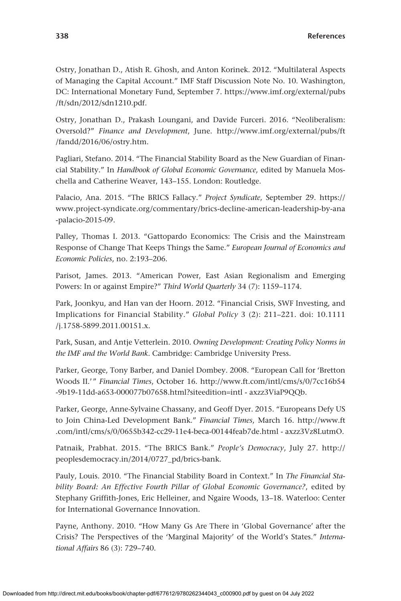Ostry, Jonathan D., Atish R. Ghosh, and Anton Korinek. 2012. "Multilateral Aspects of Managing the Capital Account." IMF Staff Discussion Note No. 10. Washington, DC: International Monetary Fund, September 7. [https://www.imf.org/external/pubs](https://www.imf.org/external/pubs/ft/sdn/2012/sdn1210.pdf) [/ft/sdn/2012/sdn1210.pdf.](https://www.imf.org/external/pubs/ft/sdn/2012/sdn1210.pdf)

Ostry, Jonathan D., Prakash Loungani, and Davide Furceri. 2016. "Neoliberalism: Oversold?" *Finance and Development*, June. [http://www.imf.org/external/pubs/ft](http://www.imf.org/external/pubs/ft/fandd/2016/06/ostry.htm) [/fandd/2016/06/ostry.htm.](http://www.imf.org/external/pubs/ft/fandd/2016/06/ostry.htm)

Pagliari, Stefano. 2014. "The Financial Stability Board as the New Guardian of Financial Stability." In *Handbook of Global Economic Governance*, edited by Manuela Moschella and Catherine Weaver, 143–155. London: Routledge.

Palacio, Ana. 2015. "The BRICS Fallacy." *Project Syndicate*, September 29. [https://](https://www.project-syndicate.org/commentary/brics-decline-american-leadership-by-ana-palacio-2015-09) [www.project-syndicate.org/commentary/brics-decline-american-leadership-by-ana](https://www.project-syndicate.org/commentary/brics-decline-american-leadership-by-ana-palacio-2015-09) [-palacio-2015-09.](https://www.project-syndicate.org/commentary/brics-decline-american-leadership-by-ana-palacio-2015-09)

Palley, Thomas I. 2013. "Gattopardo Economics: The Crisis and the Mainstream Response of Change That Keeps Things the Same." *European Journal of Economics and Economic Policies*, no. 2:193–206.

Parisot, James. 2013. "American Power, East Asian Regionalism and Emerging Powers: In or against Empire?" *Third World Quarterly* 34 (7): 1159–1174.

Park, Joonkyu, and Han van der Hoorn. 2012. "Financial Crisis, SWF Investing, and Implications for Financial Stability." *Global Policy* 3 (2): 211–221. doi: 10.1111 /j.1758-5899.2011.00151.x.

Park, Susan, and Antje Vetterlein. 2010. *Owning Development: Creating Policy Norms in the IMF and the World Bank*. Cambridge: Cambridge University Press.

Parker, George, Tony Barber, and Daniel Dombey. 2008. "European Call for 'Bretton Woods II.'" *Financial Times*, October 16. [http://www.ft.com/intl/cms/s/0/7cc16b54](http://www.ft.com/intl/cms/s/0/7cc16b54-9b19-11dd-a653-000077b07658.html?siteedition=intl) [-9b19-11dd-a653-000077b07658.html?siteedition](http://www.ft.com/intl/cms/s/0/7cc16b54-9b19-11dd-a653-000077b07658.html?siteedition=intl)=intl - axzz3ViaP9QQb.

Parker, George, Anne-Sylvaine Chassany, and Geoff Dyer. 2015. "Europeans Defy US to Join China-Led Development Bank." *Financial Times*, March 16. [http://www.ft](http://www.ft.com/intl/cms/s/0/0655b342-cc29-11e4-beca-00144feab7de.html) [.com/intl/cms/s/0/0655b342-cc29-11e4-beca-00144feab7de.html](http://www.ft.com/intl/cms/s/0/0655b342-cc29-11e4-beca-00144feab7de.html) - axzz3Vz8LutmO.

Patnaik, Prabhat. 2015. "The BRICS Bank." *People's Democracy*, July 27. [http://](http://peoplesdemocracy.in/2014/0727_pd/brics-bank) [peoplesdemocracy.in/2014/0727\\_pd/brics-bank](http://peoplesdemocracy.in/2014/0727_pd/brics-bank).

Pauly, Louis. 2010. "The Financial Stability Board in Context." In *The Financial Stability Board: An Effective Fourth Pillar of Global Economic Governance?*, edited by Stephany Griffith-Jones, Eric Helleiner, and Ngaire Woods, 13–18. Waterloo: Center for International Governance Innovation.

Payne, Anthony. 2010. "How Many Gs Are There in 'Global Governance' after the Crisis? The Perspectives of the 'Marginal Majority' of the World's States." *International Affairs* 86 (3): 729–740.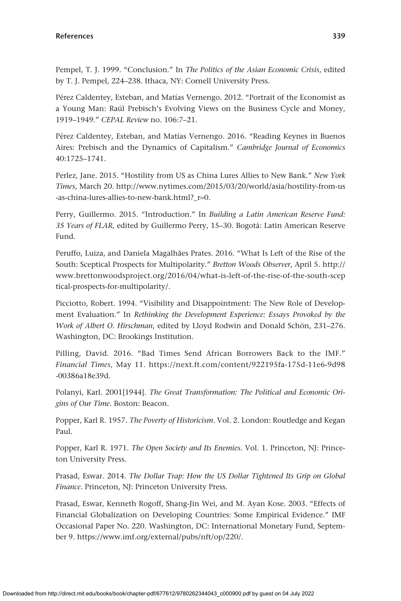Pempel, T. J. 1999. "Conclusion." In *The Politics of the Asian Economic Crisis*, edited by T. J. Pempel, 224–238. Ithaca, NY: Cornell University Press.

Pérez Caldentey, Esteban, and Matías Vernengo. 2012. "Portrait of the Economist as a Young Man: Raúl Prebisch's Evolving Views on the Business Cycle and Money, 1919–1949." *CEPAL Review* no. 106:7–21.

Pérez Caldentey, Esteban, and Matías Vernengo. 2016. "Reading Keynes in Buenos Aires: Prebisch and the Dynamics of Capitalism." *Cambridge Journal of Economics* 40:1725–1741.

Perlez, Jane. 2015. "Hostility from US as China Lures Allies to New Bank." *New York Times*, March 20. [http://www.nytimes.com/2015/03/20/world/asia/hostility-from-us](http://www.nytimes.com/2015/03/20/world/asia/hostility-from-us-as-china-lures-allies-to-new-bank.html?_r=0) [-as-china-lures-allies-to-new-bank.html?\\_r](http://www.nytimes.com/2015/03/20/world/asia/hostility-from-us-as-china-lures-allies-to-new-bank.html?_r=0)=0.

Perry, Guillermo. 2015. "Introduction." In *Building a Latin American Reserve Fund: 35 Years of FLAR*, edited by Guillermo Perry, 15–30. Bogotá: Latin American Reserve Fund.

Peruffo, Luiza, and Daniela Magalhães Prates. 2016. "What Is Left of the Rise of the South: Sceptical Prospects for Multipolarity." *Bretton Woods Observer*, April 5. [http://](http://www.brettonwoodsproject.org/2016/04/what-is-left-of-the-rise-of-the-south-sceptical-prospects-for-multipolarity/) [www.brettonwoodsproject.org/2016/04/what-is-left-of-the-rise-of-the-south-scep](http://www.brettonwoodsproject.org/2016/04/what-is-left-of-the-rise-of-the-south-sceptical-prospects-for-multipolarity/) [tical-prospects-for-multipolarity/](http://www.brettonwoodsproject.org/2016/04/what-is-left-of-the-rise-of-the-south-sceptical-prospects-for-multipolarity/).

Picciotto, Robert. 1994. "Visibility and Disappointment: The New Role of Development Evaluation." In *Rethinking the Development Experience: Essays Provoked by the Work of Albert O. Hirschman*, edited by Lloyd Rodwin and Donald Schön, 231–276. Washington, DC: Brookings Institution.

Pilling, David. 2016. "Bad Times Send African Borrowers Back to the IMF." *Financial Times*, May 11. [https://next.ft.com/content/922195fa-175d-11e6-9d98](https://next.ft.com/content/922195fa-175d-11e6-9d98-00386a18e39d) [-00386a18e39d.](https://next.ft.com/content/922195fa-175d-11e6-9d98-00386a18e39d)

Polanyi, Karl. 2001[1944]. *The Great Transformation: The Political and Economic Origins of Our Time*. Boston: Beacon.

Popper, Karl R. 1957. *The Poverty of Historicism*. Vol. 2. London: Routledge and Kegan Paul.

Popper, Karl R. 1971. *The Open Society and Its Enemies*. Vol. 1. Princeton, NJ: Princeton University Press.

Prasad, Eswar. 2014. *The Dollar Trap: How the US Dollar Tightened Its Grip on Global Finance*. Princeton, NJ: Princeton University Press.

Prasad, Eswar, Kenneth Rogoff, Shang-Jin Wei, and M. Ayan Kose. 2003. "Effects of Financial Globalization on Developing Countries: Some Empirical Evidence." IMF Occasional Paper No. 220. Washington, DC: International Monetary Fund, September 9. [https://www.imf.org/external/pubs/nft/op/220/.](https://www.imf.org/external/pubs/nft/op/220/)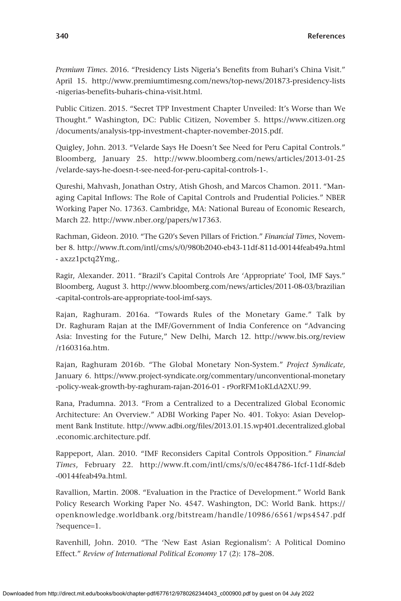*Premium Times*. 2016. "Presidency Lists Nigeria's Benefits from Buhari's China Visit." April 15. [http://www.premiumtimesng.com/news/top-news/201873-presidency-lists](http://www.premiumtimesng.com/news/top-news/201873-presidency-lists-nigerias-benefits-buharis-china-visit.html) [-nigerias-benefits-buharis-china-visit.html.](http://www.premiumtimesng.com/news/top-news/201873-presidency-lists-nigerias-benefits-buharis-china-visit.html)

Public Citizen. 2015. "Secret TPP Investment Chapter Unveiled: It's Worse than We Thought." Washington, DC: Public Citizen, November 5. [https://www.citizen.org](https://www.citizen.org/documents/analysis-tpp-investment-chapter-november-2015.pdf) [/documents/analysis-tpp-investment-chapter-november-2015.pdf.](https://www.citizen.org/documents/analysis-tpp-investment-chapter-november-2015.pdf)

Quigley, John. 2013. "Velarde Says He Doesn't See Need for Peru Capital Controls." Bloomberg, January 25. [http://www.bloomberg.com/news/articles/2013-01-25](http://www.bloomberg.com/news/articles/2013-01-25/velarde-says-he-doesn-t-see-need-for-peru-capital-controls-1-) [/velarde-says-he-doesn-t-see-need-for-peru-capital-controls-1-.](http://www.bloomberg.com/news/articles/2013-01-25/velarde-says-he-doesn-t-see-need-for-peru-capital-controls-1-)

Qureshi, Mahvash, Jonathan Ostry, Atish Ghosh, and Marcos Chamon. 2011. "Managing Capital Inflows: The Role of Capital Controls and Prudential Policies." NBER Working Paper No. 17363. Cambridge, MA: National Bureau of Economic Research, March 22. <http://www.nber.org/papers/w17363>.

Rachman, Gideon. 2010. "The G20's Seven Pillars of Friction." *Financial Times*, November 8.<http://www.ft.com/intl/cms/s/0/980b2040-eb43-11df-811d-00144feab49a.html> - axzz1pctq2Ymg,.

Ragir, Alexander. 2011. "Brazil's Capital Controls Are 'Appropriate' Tool, IMF Says." Bloomberg, August 3. [http://www.bloomberg.com/news/articles/2011-08-03/brazilian](http://www.bloomberg.com/news/articles/2011-08-03/brazilian-capital-controls-are-appropriate-tool-imf-says) [-capital-controls-are-appropriate-tool-imf-says](http://www.bloomberg.com/news/articles/2011-08-03/brazilian-capital-controls-are-appropriate-tool-imf-says).

Rajan, Raghuram. 2016a. "Towards Rules of the Monetary Game." Talk by Dr. Raghuram Rajan at the IMF/Government of India Conference on "Advancing Asia: Investing for the Future," New Delhi, March 12. [http://www.bis.org/review](http://www.bis.org/review/r160316a.htm) [/r160316a.htm.](http://www.bis.org/review/r160316a.htm)

Rajan, Raghuram 2016b. "The Global Monetary Non-System." *Project Syndicate*, January 6. [https://www.project-syndicate.org/commentary/unconventional-monetary](https://www.project-syndicate.org/commentary/unconventional-monetary-policy-weak-growth-by-raghuram-rajan-2016-01) [-policy-weak-growth-by-raghuram-rajan-2016-01](https://www.project-syndicate.org/commentary/unconventional-monetary-policy-weak-growth-by-raghuram-rajan-2016-01) - r9orRFM1oKLdA2XU.99.

Rana, Pradumna. 2013. "From a Centralized to a Decentralized Global Economic Architecture: An Overview." ADBI Working Paper No. 401. Tokyo: Asian Development Bank Institute. [http://www.adbi.org/files/2013.01.15.wp401.decentralized.global](http://www.adbi.org/files/2013.01.15.wp401.decentralized.global.economic.architecture.pdf) [.economic.architecture.pdf.](http://www.adbi.org/files/2013.01.15.wp401.decentralized.global.economic.architecture.pdf)

Rappeport, Alan. 2010. "IMF Reconsiders Capital Controls Opposition." *Financial Times*, February 22. [http://www.ft.com/intl/cms/s/0/ec484786-1fcf-11df-8deb](http://www.ft.com/intl/cms/s/0/ec484786-1fcf-11df-8deb-00144feab49a.html) [-00144feab49a.html.](http://www.ft.com/intl/cms/s/0/ec484786-1fcf-11df-8deb-00144feab49a.html)

Ravallion, Martin. 2008. "Evaluation in the Practice of Development." World Bank Policy Research Working Paper No. 4547. Washington, DC: World Bank. [https://](https://openknowledge.worldbank.org/bitstream/handle/10986/6561/wps4547.pdf?sequence=1) [openknowledge.worldbank.org/bitstream/handle/10986/6561/wps4547.pdf](https://openknowledge.worldbank.org/bitstream/handle/10986/6561/wps4547.pdf?sequence=1) [?sequence](https://openknowledge.worldbank.org/bitstream/handle/10986/6561/wps4547.pdf?sequence=1)=1.

Ravenhill, John. 2010. "The 'New East Asian Regionalism': A Political Domino Effect." *Review of International Political Economy* 17 (2): 178–208.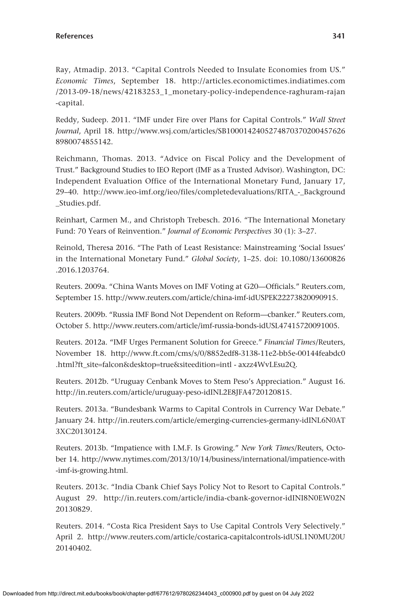Ray, Atmadip. 2013. "Capital Controls Needed to Insulate Economies from US." *Economic Times*, September 18. [http://articles.economictimes.indiatimes.com](http://articles.economictimes.indiatimes.com/2013-09-18/news/42183253_1_monetary-policy-independence-raghuram-rajan-capital) [/2013-09-18/news/42183253\\_1\\_monetary-policy-independence-raghuram-rajan](http://articles.economictimes.indiatimes.com/2013-09-18/news/42183253_1_monetary-policy-independence-raghuram-rajan-capital) [-capital.](http://articles.economictimes.indiatimes.com/2013-09-18/news/42183253_1_monetary-policy-independence-raghuram-rajan-capital)

Reddy, Sudeep. 2011. "IMF under Fire over Plans for Capital Controls." *Wall Street Journal*, April 18. [http://www.wsj.com/articles/SB1000142405274870370200457626](http://www.wsj.com/articles/SB10001424052748703702004576268980074855142) [8980074855142](http://www.wsj.com/articles/SB10001424052748703702004576268980074855142).

Reichmann, Thomas. 2013. "Advice on Fiscal Policy and the Development of Trust." Background Studies to IEO Report (IMF as a Trusted Advisor). Washington, DC: Independent Evaluation Office of the International Monetary Fund, January 17, 29–40. [http://www.ieo-imf.org/ieo/files/completedevaluations/RITA\\_-\\_Background](http://www.ieo-imf.org/ieo/files/completedevaluations/RITA_-_Background_Studies.pdf) [\\_Studies.pdf](http://www.ieo-imf.org/ieo/files/completedevaluations/RITA_-_Background_Studies.pdf).

Reinhart, Carmen M., and Christoph Trebesch. 2016. "The International Monetary Fund: 70 Years of Reinvention." *Journal of Economic Perspectives* 30 (1): 3–27.

Reinold, Theresa 2016. "The Path of Least Resistance: Mainstreaming 'Social Issues' in the International Monetary Fund." *Global Society*, 1–25. doi: 10.1080/13600826 .2016.1203764.

Reuters. 2009a. "China Wants Moves on IMF Voting at G20—Officials." [Reuters.com,](http://Reuters.com) September 15. <http://www.reuters.com/article/china-imf-idUSPEK22273820090915>.

Reuters. 2009b. "Russia IMF Bond Not Dependent on Reform—cbanker." [Reuters.com,](http://Reuters.com) October 5. [http://www.reuters.com/article/imf-russia-bonds-idUSL47415720091005.](http://www.reuters.com/article/imf-russia-bonds-idUSL47415720091005)

Reuters. 2012a. "IMF Urges Permanent Solution for Greece." *Financial Times*/Reuters, November 18. [http://www.ft.com/cms/s/0/8852edf8-3138-11e2-bb5e-00144feabdc0](http://www.ft.com/cms/s/0/8852edf8-3138-11e2-bb5e-00144feabdc0.html?ft_site=falcon&desktop=true&siteedition=intl) .html?ft\_site=falcon&desktop=[true&siteedition](http://www.ft.com/cms/s/0/8852edf8-3138-11e2-bb5e-00144feabdc0.html?ft_site=falcon&desktop=true&siteedition=intl)=intl - axzz4WvLEsu2Q.

Reuters. 2012b. "Uruguay Cenbank Moves to Stem Peso's Appreciation." August 16. <http://in.reuters.com/article/uruguay-peso-idINL2E8JFA4720120815>.

Reuters. 2013a. "Bundesbank Warms to Capital Controls in Currency War Debate." January 24. [http://in.reuters.com/article/emerging-currencies-germany-idINL6N0AT](http://in.reuters.com/article/emerging-currencies-germany-idINL6N0AT3XC20130124) [3XC20130124](http://in.reuters.com/article/emerging-currencies-germany-idINL6N0AT3XC20130124).

Reuters. 2013b. "Impatience with I.M.F. Is Growing." *New York Times*/Reuters, October 14. [http://www.nytimes.com/2013/10/14/business/international/impatience-with](http://www.nytimes.com/2013/10/14/business/international/impatience-with-imf-is-growing.html) [-imf-is-growing.html.](http://www.nytimes.com/2013/10/14/business/international/impatience-with-imf-is-growing.html)

Reuters. 2013c. "India Cbank Chief Says Policy Not to Resort to Capital Controls." August 29. [http://in.reuters.com/article/india-cbank-governor-idINI8N0EW02N](http://in.reuters.com/article/india-cbank-governor-idINI8N0EW02N20130829) [20130829](http://in.reuters.com/article/india-cbank-governor-idINI8N0EW02N20130829).

Reuters. 2014. "Costa Rica President Says to Use Capital Controls Very Selectively." April 2. [http://www.reuters.com/article/costarica-capitalcontrols-idUSL1N0MU20U](http://www.reuters.com/article/costarica-capitalcontrols-idUSL1N0MU20U20140402) [20140402.](http://www.reuters.com/article/costarica-capitalcontrols-idUSL1N0MU20U20140402)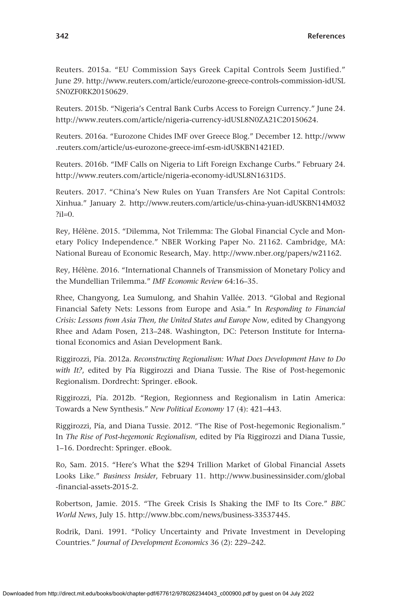Reuters. 2015a. "EU Commission Says Greek Capital Controls Seem Justified." June 29. [http://www.reuters.com/article/eurozone-greece-controls-commission-idUSL](http://www.reuters.com/article/eurozone-greece-controls-commission-idUSL5N0ZF0RK20150629) [5N0ZF0RK20150629.](http://www.reuters.com/article/eurozone-greece-controls-commission-idUSL5N0ZF0RK20150629)

Reuters. 2015b. "Nigeria's Central Bank Curbs Access to Foreign Currency." June 24. [http://www.reuters.com/article/nigeria-currency-idUSL8N0ZA21C20150624.](http://www.reuters.com/article/nigeria-currency-idUSL8N0ZA21C20150624)

Reuters. 2016a. "Eurozone Chides IMF over Greece Blog." December 12. [http://www](http://www.reuters.com/article/us-eurozone-greece-imf-esm-idUSKBN1421ED) [.reuters.com/article/us-eurozone-greece-imf-esm-idUSKBN1421ED](http://www.reuters.com/article/us-eurozone-greece-imf-esm-idUSKBN1421ED).

Reuters. 2016b. "IMF Calls on Nigeria to Lift Foreign Exchange Curbs." February 24. [http://www.reuters.com/article/nigeria-economy-idUSL8N1631D5.](http://www.reuters.com/article/nigeria-economy-idUSL8N1631D5)

Reuters. 2017. "China's New Rules on Yuan Transfers Are Not Capital Controls: Xinhua." January 2. [http://www.reuters.com/article/us-china-yuan-idUSKBN14M032](http://www.reuters.com/article/us-china-yuan-idUSKBN14M032?il=0) [?il](http://www.reuters.com/article/us-china-yuan-idUSKBN14M032?il=0)=0.

Rey, Hélène. 2015. "Dilemma, Not Trilemma: The Global Financial Cycle and Monetary Policy Independence." NBER Working Paper No. 21162. Cambridge, MA: National Bureau of Economic Research, May. [http://www.nber.org/papers/w21162.](http://www.nber.org/papers/w21162)

Rey, Hélène. 2016. "International Channels of Transmission of Monetary Policy and the Mundellian Trilemma." *IMF Economic Review* 64:16–35.

Rhee, Changyong, Lea Sumulong, and Shahin Vallée. 2013. "Global and Regional Financial Safety Nets: Lessons from Europe and Asia." In *Responding to Financial Crisis: Lessons from Asia Then, the United States and Europe Now*, edited by Changyong Rhee and Adam Posen, 213–248. Washington, DC: Peterson Institute for International Economics and Asian Development Bank.

Riggirozzi, Pía. 2012a. *Reconstructing Regionalism: What Does Development Have to Do with It?*, edited by Pía Riggirozzi and Diana Tussie. The Rise of Post-hegemonic Regionalism. Dordrecht: Springer. eBook.

Riggirozzi, Pía. 2012b. "Region, Regionness and Regionalism in Latin America: Towards a New Synthesis." *New Political Economy* 17 (4): 421–443.

Riggirozzi, Pía, and Diana Tussie. 2012. "The Rise of Post-hegemonic Regionalism." In *The Rise of Post-hegemonic Regionalism*, edited by Pía Riggirozzi and Diana Tussie, 1–16. Dordrecht: Springer. eBook.

Ro, Sam. 2015. "Here's What the \$294 Trillion Market of Global Financial Assets Looks Like." *Business Insider*, February 11. [http://www.businessinsider.com/global](http://www.businessinsider.com/global-financial-assets-2015-2) [-financial-assets-2015-2.](http://www.businessinsider.com/global-financial-assets-2015-2)

Robertson, Jamie. 2015. "The Greek Crisis Is Shaking the IMF to Its Core." *BBC World News*, July 15. <http://www.bbc.com/news/business-33537445>.

Rodrik, Dani. 1991. "Policy Uncertainty and Private Investment in Developing Countries." *Journal of Development Economics* 36 (2): 229–242.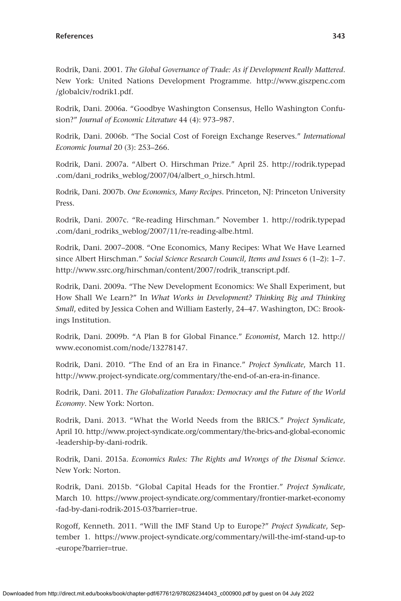Rodrik, Dani. 2001. *The Global Governance of Trade: As if Development Really Mattered*. New York: United Nations Development Programme. [http://www.giszpenc.com](http://www.giszpenc.com/globalciv/rodrik1.pdf) [/globalciv/rodrik1.pdf](http://www.giszpenc.com/globalciv/rodrik1.pdf).

Rodrik, Dani. 2006a. "Goodbye Washington Consensus, Hello Washington Confusion?" *Journal of Economic Literature* 44 (4): 973–987.

Rodrik, Dani. 2006b. "The Social Cost of Foreign Exchange Reserves." *International Economic Journal* 20 (3): 253–266.

Rodrik, Dani. 2007a. "Albert O. Hirschman Prize." April 25. [http://rodrik.typepad](http://rodrik.typepad.com/dani_rodriks_weblog/2007/04/albert_o_hirsch.html) [.com/dani\\_rodriks\\_weblog/2007/04/albert\\_o\\_hirsch.html](http://rodrik.typepad.com/dani_rodriks_weblog/2007/04/albert_o_hirsch.html).

Rodrik, Dani. 2007b. *One Economics, Many Recipes*. Princeton, NJ: Princeton University Press.

Rodrik, Dani. 2007c. "Re-reading Hirschman." November 1. [http://rodrik.typepad](http://rodrik.typepad.com/dani_rodriks_weblog/2007/11/re-reading-albe.html) [.com/dani\\_rodriks\\_weblog/2007/11/re-reading-albe.html.](http://rodrik.typepad.com/dani_rodriks_weblog/2007/11/re-reading-albe.html)

Rodrik, Dani. 2007–2008. "One Economics, Many Recipes: What We Have Learned since Albert Hirschman." *Social Science Research Council, Items and Issues* 6 (1–2): 1–7. [http://www.ssrc.org/hirschman/content/2007/rodrik\\_transcript.pdf](http://www.ssrc.org/hirschman/content/2007/rodrik_transcript.pdf).

Rodrik, Dani. 2009a. "The New Development Economics: We Shall Experiment, but How Shall We Learn?" In *What Works in Development? Thinking Big and Thinking Small*, edited by Jessica Cohen and William Easterly, 24–47. Washington, DC: Brookings Institution.

Rodrik, Dani. 2009b. "A Plan B for Global Finance." *Economist*, March 12. [http://](http://www.economist.com/node/13278147) [www.economist.com/node/13278147.](http://www.economist.com/node/13278147)

Rodrik, Dani. 2010. "The End of an Era in Finance." *Project Syndicate*, March 11. <http://www.project-syndicate.org/commentary/the-end-of-an-era-in-finance>.

Rodrik, Dani. 2011. *The Globalization Paradox: Democracy and the Future of the World Economy*. New York: Norton.

Rodrik, Dani. 2013. "What the World Needs from the BRICS." *Project Syndicate*, April 10. [http://www.project-syndicate.org/commentary/the-brics-and-global-economic](http://www.project-syndicate.org/commentary/the-brics-and-global-economic-leadership-by-dani-rodrik) [-leadership-by-dani-rodrik.](http://www.project-syndicate.org/commentary/the-brics-and-global-economic-leadership-by-dani-rodrik)

Rodrik, Dani. 2015a. *Economics Rules: The Rights and Wrongs of the Dismal Science*. New York: Norton.

Rodrik, Dani. 2015b. "Global Capital Heads for the Frontier." *Project Syndicate*, March 10. [https://www.project-syndicate.org/commentary/frontier-market-economy](https://www.project-syndicate.org/commentary/frontier-market-economy-fad-by-dani-rodrik-2015-03?barrier=true) [-fad-by-dani-rodrik-2015-03?barrier](https://www.project-syndicate.org/commentary/frontier-market-economy-fad-by-dani-rodrik-2015-03?barrier=true)=true.

Rogoff, Kenneth. 2011. "Will the IMF Stand Up to Europe?" *Project Syndicate*, September 1. [https://www.project-syndicate.org/commentary/will-the-imf-stand-up-to](https://www.project-syndicate.org/commentary/will-the-imf-stand-up-to-europe?barrier=true) [-europe?barrier](https://www.project-syndicate.org/commentary/will-the-imf-stand-up-to-europe?barrier=true)=true.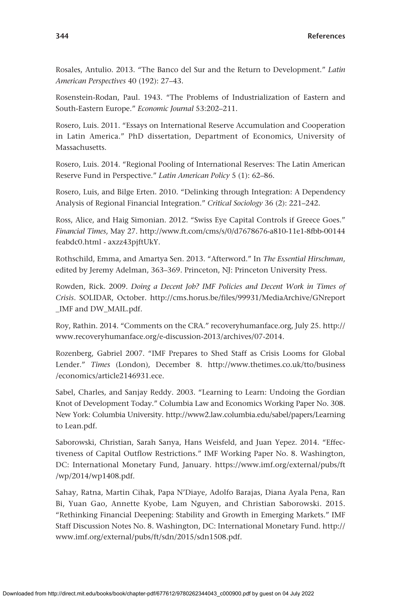Rosales, Antulio. 2013. "The Banco del Sur and the Return to Development." *Latin American Perspectives* 40 (192): 27–43.

Rosenstein-Rodan, Paul. 1943. "The Problems of Industrialization of Eastern and South-Eastern Europe." *Economic Journal* 53:202–211.

Rosero, Luis. 2011. "Essays on International Reserve Accumulation and Cooperation in Latin America." PhD dissertation, Department of Economics, University of Massachusetts.

Rosero, Luis. 2014. "Regional Pooling of International Reserves: The Latin American Reserve Fund in Perspective." *Latin American Policy* 5 (1): 62–86.

Rosero, Luis, and Bilge Erten. 2010. "Delinking through Integration: A Dependency Analysis of Regional Financial Integration." *Critical Sociology* 36 (2): 221–242.

Ross, Alice, and Haig Simonian. 2012. "Swiss Eye Capital Controls if Greece Goes." *Financial Times*, May 27. [http://www.ft.com/cms/s/0/d7678676-a810-11e1-8fbb-00144](http://www.ft.com/cms/s/0/d7678676-a810-11e1-8fbb-00144feabdc0.html) [feabdc0.html](http://www.ft.com/cms/s/0/d7678676-a810-11e1-8fbb-00144feabdc0.html) - axzz43pjftUkY.

Rothschild, Emma, and Amartya Sen. 2013. "Afterword." In *The Essential Hirschman*, edited by Jeremy Adelman, 363–369. Princeton, NJ: Princeton University Press.

Rowden, Rick. 2009. *Doing a Decent Job? IMF Policies and Decent Work in Times of Crisis*. SOLIDAR, October. [http://cms.horus.be/files/99931/MediaArchive/GNreport](http://cms.horus.be/files/99931/MediaArchive/GNreport_IMF) [\\_IMF](http://cms.horus.be/files/99931/MediaArchive/GNreport_IMF) and DW\_MAIL.pdf.

Roy, Rathin. 2014. "Comments on the CRA." [recoveryhumanface.org,](http://recoveryhumanface.org) July 25. [http://](http://www.recoveryhumanface.org/e-discussion-2013/archives/07-2014) [www.recoveryhumanface.org/e-discussion-2013/archives/07-2014](http://www.recoveryhumanface.org/e-discussion-2013/archives/07-2014).

Rozenberg, Gabriel 2007. "IMF Prepares to Shed Staff as Crisis Looms for Global Lender." *Times* (London), December 8. [http://www.thetimes.co.uk/tto/business](http://www.thetimes.co.uk/tto/business/economics/article2146931.ece) [/economics/article2146931.ece.](http://www.thetimes.co.uk/tto/business/economics/article2146931.ece)

Sabel, Charles, and Sanjay Reddy. 2003. "Learning to Learn: Undoing the Gordian Knot of Development Today." Columbia Law and Economics Working Paper No. 308. New York: Columbia University. <http://www2.law.columbia.edu/sabel/papers/Learning> to Lean.pdf.

Saborowski, Christian, Sarah Sanya, Hans Weisfeld, and Juan Yepez. 2014. "Effectiveness of Capital Outflow Restrictions." IMF Working Paper No. 8. Washington, DC: International Monetary Fund, January. [https://www.imf.org/external/pubs/ft](https://www.imf.org/external/pubs/ft/wp/2014/wp1408.pdf) [/wp/2014/wp1408.pdf.](https://www.imf.org/external/pubs/ft/wp/2014/wp1408.pdf)

Sahay, Ratna, Martin Cihak, Papa N'Diaye, Adolfo Barajas, Diana Ayala Pena, Ran Bi, Yuan Gao, Annette Kyobe, Lam Nguyen, and Christian Saborowski. 2015. "Rethinking Financial Deepening: Stability and Growth in Emerging Markets." IMF Staff Discussion Notes No. 8. Washington, DC: International Monetary Fund. [http://](http://www.imf.org/external/pubs/ft/sdn/2015/sdn1508.pdf) [www.imf.org/external/pubs/ft/sdn/2015/sdn1508.pdf](http://www.imf.org/external/pubs/ft/sdn/2015/sdn1508.pdf).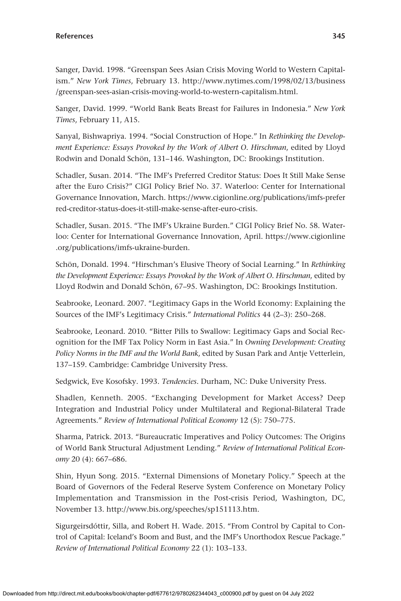Sanger, David. 1998. "Greenspan Sees Asian Crisis Moving World to Western Capitalism." *New York Times*, February 13. [http://www.nytimes.com/1998/02/13/business](http://www.nytimes.com/1998/02/13/business/greenspan-sees-asian-crisis-moving-world-to-western-capitalism.html) [/greenspan-sees-asian-crisis-moving-world-to-western-capitalism.html.](http://www.nytimes.com/1998/02/13/business/greenspan-sees-asian-crisis-moving-world-to-western-capitalism.html)

Sanger, David. 1999. "World Bank Beats Breast for Failures in Indonesia." *New York Times*, February 11, A15.

Sanyal, Bishwapriya. 1994. "Social Construction of Hope." In *Rethinking the Development Experience: Essays Provoked by the Work of Albert O. Hirschman*, edited by Lloyd Rodwin and Donald Schön, 131–146. Washington, DC: Brookings Institution.

Schadler, Susan. 2014. "The IMF's Preferred Creditor Status: Does It Still Make Sense after the Euro Crisis?" CIGI Policy Brief No. 37. Waterloo: Center for International Governance Innovation, March. [https://www.cigionline.org/publications/imfs-prefer](https://www.cigionline.org/publications/imfs-preferred-creditor-status-does-it-still-make-sense-after-euro-crisis) [red-creditor-status-does-it-still-make-sense-after-euro-crisis](https://www.cigionline.org/publications/imfs-preferred-creditor-status-does-it-still-make-sense-after-euro-crisis).

Schadler, Susan. 2015. "The IMF's Ukraine Burden." CIGI Policy Brief No. 58. Waterloo: Center for International Governance Innovation, April. [https://www.cigionline](https://www.cigionline.org/publications/imfs-ukraine-burden) [.org/publications/imfs-ukraine-burden](https://www.cigionline.org/publications/imfs-ukraine-burden).

Schön, Donald. 1994. "Hirschman's Elusive Theory of Social Learning." In *Rethinking the Development Experience: Essays Provoked by the Work of Albert O. Hirschman*, edited by Lloyd Rodwin and Donald Schön, 67–95. Washington, DC: Brookings Institution.

Seabrooke, Leonard. 2007. "Legitimacy Gaps in the World Economy: Explaining the Sources of the IMF's Legitimacy Crisis." *International Politics* 44 (2–3): 250–268.

Seabrooke, Leonard. 2010. "Bitter Pills to Swallow: Legitimacy Gaps and Social Recognition for the IMF Tax Policy Norm in East Asia." In *Owning Development: Creating Policy Norms in the IMF and the World Bank*, edited by Susan Park and Antje Vetterlein, 137–159. Cambridge: Cambridge University Press.

Sedgwick, Eve Kosofsky. 1993. *Tendencies*. Durham, NC: Duke University Press.

Shadlen, Kenneth. 2005. "Exchanging Development for Market Access? Deep Integration and Industrial Policy under Multilateral and Regional-Bilateral Trade Agreements." *Review of International Political Economy* 12 (5): 750–775.

Sharma, Patrick. 2013. "Bureaucratic Imperatives and Policy Outcomes: The Origins of World Bank Structural Adjustment Lending." *Review of International Political Economy* 20 (4): 667–686.

Shin, Hyun Song. 2015. "External Dimensions of Monetary Policy." Speech at the Board of Governors of the Federal Reserve System Conference on Monetary Policy Implementation and Transmission in the Post-crisis Period, Washington, DC, November 13. <http://www.bis.org/speeches/sp151113.htm>.

Sigurgeirsdóttir, Silla, and Robert H. Wade. 2015. "From Control by Capital to Control of Capital: Iceland's Boom and Bust, and the IMF's Unorthodox Rescue Package." *Review of International Political Economy* 22 (1): 103–133.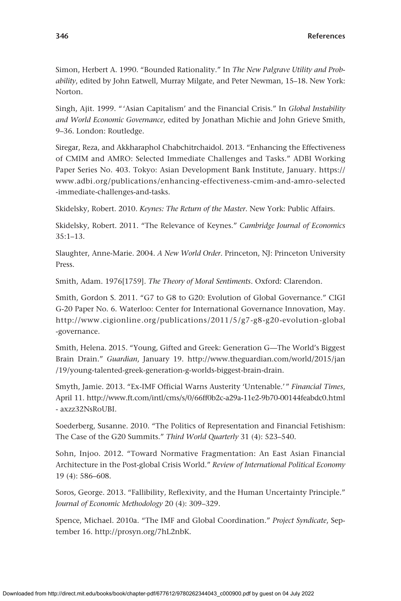Simon, Herbert A. 1990. "Bounded Rationality." In *The New Palgrave Utility and Probability*, edited by John Eatwell, Murray Milgate, and Peter Newman, 15–18. New York: Norton.

Singh, Ajit. 1999. "'Asian Capitalism' and the Financial Crisis." In *Global Instability and World Economic Governance*, edited by Jonathan Michie and John Grieve Smith, 9–36. London: Routledge.

Siregar, Reza, and Akkharaphol Chabchitrchaidol. 2013. "Enhancing the Effectiveness of CMIM and AMRO: Selected Immediate Challenges and Tasks." ADBI Working Paper Series No. 403. Tokyo: Asian Development Bank Institute, January. [https://](https://www.adbi.org/publications/enhancing-effectiveness-cmim-and-amro-selected-immediate-challenges-and-tasks) [www.adbi.org/publications/enhancing-effectiveness-cmim-and-amro-selected](https://www.adbi.org/publications/enhancing-effectiveness-cmim-and-amro-selected-immediate-challenges-and-tasks) [-immediate-challenges-and-tasks](https://www.adbi.org/publications/enhancing-effectiveness-cmim-and-amro-selected-immediate-challenges-and-tasks).

Skidelsky, Robert. 2010. *Keynes: The Return of the Master*. New York: Public Affairs.

Skidelsky, Robert. 2011. "The Relevance of Keynes." *Cambridge Journal of Economics* 35:1–13.

Slaughter, Anne-Marie. 2004. *A New World Order*. Princeton, NJ: Princeton University Press.

Smith, Adam. 1976[1759]. *The Theory of Moral Sentiments*. Oxford: Clarendon.

Smith, Gordon S. 2011. "G7 to G8 to G20: Evolution of Global Governance." CIGI G-20 Paper No. 6. Waterloo: Center for International Governance Innovation, May. [http://www.cigionline.org/publications/2011/5/g7-g8-g20-evolution-global](http://www.cigionline.org/publications/2011/5/g7-g8-g20-evolution-global-governance) [-governance](http://www.cigionline.org/publications/2011/5/g7-g8-g20-evolution-global-governance).

Smith, Helena. 2015. "Young, Gifted and Greek: Generation G—The World's Biggest Brain Drain." *Guardian*, January 19. [http://www.theguardian.com/world/2015/jan](http://www.theguardian.com/world/2015/jan/19/young-talented-greek-generation-g-worlds-biggest-brain-drain) [/19/young-talented-greek-generation-g-worlds-biggest-brain-drain.](http://www.theguardian.com/world/2015/jan/19/young-talented-greek-generation-g-worlds-biggest-brain-drain)

Smyth, Jamie. 2013. "Ex-IMF Official Warns Austerity 'Untenable.'" *Financial Times*, April 11.<http://www.ft.com/intl/cms/s/0/66ff0b2c-a29a-11e2-9b70-00144feabdc0.html> - axzz32NsRoUBI.

Soederberg, Susanne. 2010. "The Politics of Representation and Financial Fetishism: The Case of the G20 Summits." *Third World Quarterly* 31 (4): 523–540.

Sohn, Injoo. 2012. "Toward Normative Fragmentation: An East Asian Financial Architecture in the Post-global Crisis World." *Review of International Political Economy* 19 (4): 586–608.

Soros, George. 2013. "Fallibility, Reflexivity, and the Human Uncertainty Principle." *Journal of Economic Methodology* 20 (4): 309–329.

Spence, Michael. 2010a. "The IMF and Global Coordination." *Project Syndicate*, September 16. [http://prosyn.org/7hL2nbK.](http://prosyn.org/7hL2nbK)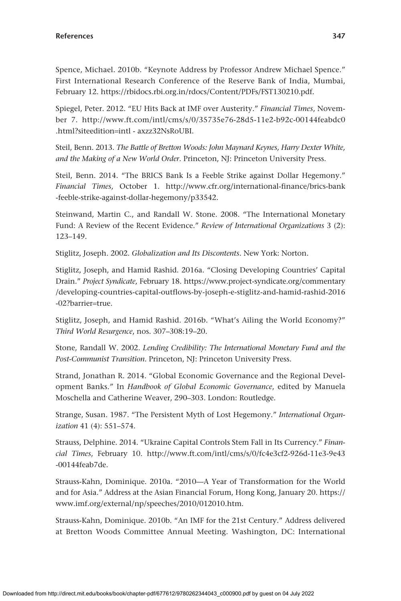Spence, Michael. 2010b. "Keynote Address by Professor Andrew Michael Spence." First International Research Conference of the Reserve Bank of India, Mumbai, February 12. <https://rbidocs.rbi.org.in/rdocs/Content/PDFs/FST130210.pdf>.

Spiegel, Peter. 2012. "EU Hits Back at IMF over Austerity." *Financial Times*, November 7. [http://www.ft.com/intl/cms/s/0/35735e76-28d5-11e2-b92c-00144feabdc0](http://www.ft.com/intl/cms/s/0/35735e76-28d5-11e2-b92c-00144feabdc0.html?siteedition=intl) [.html?siteedition](http://www.ft.com/intl/cms/s/0/35735e76-28d5-11e2-b92c-00144feabdc0.html?siteedition=intl)=intl - axzz32NsRoUBI.

Steil, Benn. 2013. *The Battle of Bretton Woods: John Maynard Keynes, Harry Dexter White, and the Making of a New World Order*. Princeton, NJ: Princeton University Press.

Steil, Benn. 2014. "The BRICS Bank Is a Feeble Strike against Dollar Hegemony." *Financial Times*, October 1. [http://www.cfr.org/international-finance/brics-bank](http://www.cfr.org/international-finance/brics-bank-feeble-strike-against-dollar-hegemony/p33542) [-feeble-strike-against-dollar-hegemony/p33542](http://www.cfr.org/international-finance/brics-bank-feeble-strike-against-dollar-hegemony/p33542).

Steinwand, Martin C., and Randall W. Stone. 2008. "The International Monetary Fund: A Review of the Recent Evidence." *Review of International Organizations* 3 (2): 123–149.

Stiglitz, Joseph. 2002. *Globalization and Its Discontents*. New York: Norton.

Stiglitz, Joseph, and Hamid Rashid. 2016a. "Closing Developing Countries' Capital Drain." *Project Syndicate*, February 18. [https://www.project-syndicate.org/commentary](https://www.project-syndicate.org/commentary/developing-countries-capital-outflows-by-joseph-e-stiglitz-and-hamid-rashid-2016-02?barrier=true) [/developing-countries-capital-outflows-by-joseph-e-stiglitz-and-hamid-rashid-2016](https://www.project-syndicate.org/commentary/developing-countries-capital-outflows-by-joseph-e-stiglitz-and-hamid-rashid-2016-02?barrier=true) [-02?barrier](https://www.project-syndicate.org/commentary/developing-countries-capital-outflows-by-joseph-e-stiglitz-and-hamid-rashid-2016-02?barrier=true)=true.

Stiglitz, Joseph, and Hamid Rashid. 2016b. "What's Ailing the World Economy?" *Third World Resurgence*, nos. 307–308:19–20.

Stone, Randall W. 2002. *Lending Credibility: The International Monetary Fund and the Post-Communist Transition*. Princeton, NJ: Princeton University Press.

Strand, Jonathan R. 2014. "Global Economic Governance and the Regional Development Banks." In *Handbook of Global Economic Governance*, edited by Manuela Moschella and Catherine Weaver, 290–303. London: Routledge.

Strange, Susan. 1987. "The Persistent Myth of Lost Hegemony." *International Organization* 41 (4): 551–574.

Strauss, Delphine. 2014. "Ukraine Capital Controls Stem Fall in Its Currency." *Financial Times*, February 10. [http://www.ft.com/intl/cms/s/0/fc4e3cf2-926d-11e3-9e43](http://www.ft.com/intl/cms/s/0/fc4e3cf2-926d-11e3-9e43-00144feab7de) [-00144feab7de](http://www.ft.com/intl/cms/s/0/fc4e3cf2-926d-11e3-9e43-00144feab7de).

Strauss-Kahn, Dominique. 2010a. "2010—A Year of Transformation for the World and for Asia." Address at the Asian Financial Forum, Hong Kong, January 20. [https://](https://www.imf.org/external/np/speeches/2010/012010.htm) [www.imf.org/external/np/speeches/2010/012010.htm](https://www.imf.org/external/np/speeches/2010/012010.htm).

Strauss-Kahn, Dominique. 2010b. "An IMF for the 21st Century." Address delivered at Bretton Woods Committee Annual Meeting. Washington, DC: International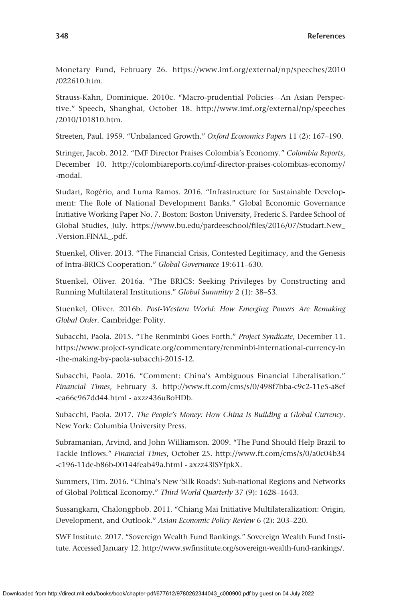Monetary Fund, February 26. [https://www.imf.org/external/np/speeches/2010](https://www.imf.org/external/np/speeches/2010/022610.htm) [/022610.htm.](https://www.imf.org/external/np/speeches/2010/022610.htm)

Strauss-Kahn, Dominique. 2010c. "Macro-prudential Policies—An Asian Perspective." Speech, Shanghai, October 18. [http://www.imf.org/external/np/speeches](http://www.imf.org/external/np/speeches/2010/101810.htm) [/2010/101810.htm.](http://www.imf.org/external/np/speeches/2010/101810.htm)

Streeten, Paul. 1959. "Unbalanced Growth." *Oxford Economics Papers* 11 (2): 167–190.

Stringer, Jacob. 2012. "IMF Director Praises Colombia's Economy." *Colombia Reports*, December 10. <http://colombiareports.co/imf-director-praises-colombias-economy/> -modal.

Studart, Rogério, and Luma Ramos. 2016. "Infrastructure for Sustainable Development: The Role of National Development Banks." Global Economic Governance Initiative Working Paper No. 7. Boston: Boston University, Frederic S. Pardee School of Global Studies, July. [https://www.bu.edu/pardeeschool/files/2016/07/Studart.New\\_](https://www.bu.edu/pardeeschool/files/2016/07/Studart.New_.Version.FINAL_.pdf) [.Version.FINAL\\_.pdf.](https://www.bu.edu/pardeeschool/files/2016/07/Studart.New_.Version.FINAL_.pdf)

Stuenkel, Oliver. 2013. "The Financial Crisis, Contested Legitimacy, and the Genesis of Intra-BRICS Cooperation." *Global Governance* 19:611–630.

Stuenkel, Oliver. 2016a. "The BRICS: Seeking Privileges by Constructing and Running Multilateral Institutions." *Global Summitry* 2 (1): 38–53.

Stuenkel, Oliver. 2016b. *Post-Western World: How Emerging Powers Are Remaking Global Order*. Cambridge: Polity.

Subacchi, Paola. 2015. "The Renminbi Goes Forth." *Project Syndicate*, December 11. [https://www.project-syndicate.org/commentary/renminbi-international-currency-in](https://www.project-syndicate.org/commentary/renminbi-international-currency-in-the-making-by-paola-subacchi-2015-12) [-the-making-by-paola-subacchi-2015-12.](https://www.project-syndicate.org/commentary/renminbi-international-currency-in-the-making-by-paola-subacchi-2015-12)

Subacchi, Paola. 2016. "Comment: China's Ambiguous Financial Liberalisation." *Financial Times*, February 3. [http://www.ft.com/cms/s/0/498f7bba-c9c2-11e5-a8ef](http://www.ft.com/cms/s/0/498f7bba-c9c2-11e5-a8ef-ea66e967dd44.html) [-ea66e967dd44.html](http://www.ft.com/cms/s/0/498f7bba-c9c2-11e5-a8ef-ea66e967dd44.html) - axzz436uBoHDb.

Subacchi, Paola. 2017. *The People's Money: How China Is Building a Global Currency*. New York: Columbia University Press.

Subramanian, Arvind, and John Williamson. 2009. "The Fund Should Help Brazil to Tackle Inflows." *Financial Times*, October 25. [http://www.ft.com/cms/s/0/a0c04b34](http://www.ft.com/cms/s/0/a0c04b34-c196-11de-b86b-00144feab49a.html) [-c196-11de-b86b-00144feab49a.html](http://www.ft.com/cms/s/0/a0c04b34-c196-11de-b86b-00144feab49a.html) - axzz43lSYfpkX.

Summers, Tim. 2016. "China's New 'Silk Roads': Sub-national Regions and Networks of Global Political Economy." *Third World Quarterly* 37 (9): 1628–1643.

Sussangkarn, Chalongphob. 2011. "Chiang Mai Initiative Multilateralization: Origin, Development, and Outlook." *Asian Economic Policy Review* 6 (2): 203–220.

SWF Institute. 2017. "Sovereign Wealth Fund Rankings." Sovereign Wealth Fund Institute. Accessed January 12. [http://www.swfinstitute.org/sovereign-wealth-fund-rankings/.](http://www.swfinstitute.org/sovereign-wealth-fund-rankings/)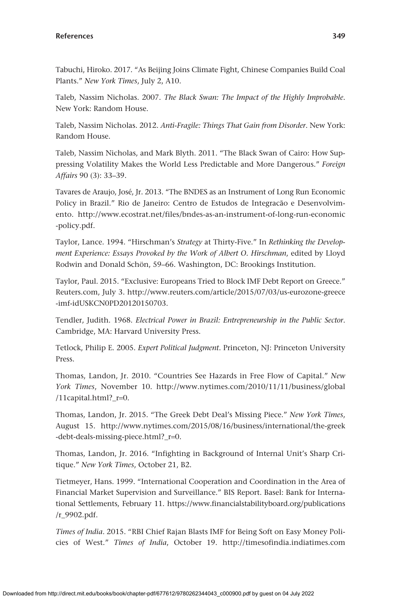Tabuchi, Hiroko. 2017. "As Beijing Joins Climate Fight, Chinese Companies Build Coal Plants." *New York Times*, July 2, A10.

Taleb, Nassim Nicholas. 2007. *The Black Swan: The Impact of the Highly Improbable*. New York: Random House.

Taleb, Nassim Nicholas. 2012. *Anti-Fragile: Things That Gain from Disorder*. New York: Random House.

Taleb, Nassim Nicholas, and Mark Blyth. 2011. "The Black Swan of Cairo: How Suppressing Volatility Makes the World Less Predictable and More Dangerous." *Foreign Affairs* 90 (3): 33–39.

Tavares de Araujo, José, Jr. 2013. "The BNDES as an Instrument of Long Run Economic Policy in Brazil." Rio de Janeiro: Centro de Estudos de Integracão e Desenvolvimento. [http://www.ecostrat.net/files/bndes-as-an-instrument-of-long-run-economic](http://www.ecostrat.net/files/bndes-as-an-instrument-of-long-run-economic-policy.pdf) [-policy.pdf](http://www.ecostrat.net/files/bndes-as-an-instrument-of-long-run-economic-policy.pdf).

Taylor, Lance. 1994. "Hirschman's *Strategy* at Thirty-Five." In *Rethinking the Development Experience: Essays Provoked by the Work of Albert O. Hirschman*, edited by Lloyd Rodwin and Donald Schön, 59–66. Washington, DC: Brookings Institution.

Taylor, Paul. 2015. "Exclusive: Europeans Tried to Block IMF Debt Report on Greece." [Reuters.com](http://Reuters.com), July 3. [http://www.reuters.com/article/2015/07/03/us-eurozone-greece](http://www.reuters.com/article/2015/07/03/us-eurozone-greece-imf-idUSKCN0PD20120150703) [-imf-idUSKCN0PD20120150703.](http://www.reuters.com/article/2015/07/03/us-eurozone-greece-imf-idUSKCN0PD20120150703)

Tendler, Judith. 1968. *Electrical Power in Brazil: Entrepreneurship in the Public Sector*. Cambridge, MA: Harvard University Press.

Tetlock, Philip E. 2005. *Expert Political Judgment*. Princeton, NJ: Princeton University Press.

Thomas, Landon, Jr. 2010. "Countries See Hazards in Free Flow of Capital." *New York Times*, November 10. [http://www.nytimes.com/2010/11/11/business/global](http://www.nytimes.com/2010/11/11/business/global/11capital.html?_r=0) [/11capital.html?\\_r](http://www.nytimes.com/2010/11/11/business/global/11capital.html?_r=0)=0.

Thomas, Landon, Jr. 2015. "The Greek Debt Deal's Missing Piece." *New York Times*, August 15. [http://www.nytimes.com/2015/08/16/business/international/the-greek](http://www.nytimes.com/2015/08/16/business/international/the-greek-debt-deals-missing-piece.html?_r=0) [-debt-deals-missing-piece.html?\\_r](http://www.nytimes.com/2015/08/16/business/international/the-greek-debt-deals-missing-piece.html?_r=0)=0.

Thomas, Landon, Jr. 2016. "Infighting in Background of Internal Unit's Sharp Critique." *New York Times*, October 21, B2.

Tietmeyer, Hans. 1999. "International Cooperation and Coordination in the Area of Financial Market Supervision and Surveillance." BIS Report. Basel: Bank for International Settlements, February 11. [https://www.financialstabilityboard.org/publications](https://www.financialstabilityboard.org/publications/r_9902.pdf) [/r\\_9902.pdf](https://www.financialstabilityboard.org/publications/r_9902.pdf).

*Times of India*. 2015. "RBI Chief Rajan Blasts IMF for Being Soft on Easy Money Policies of West." *Times of India*, October 19. [http://timesofindia.indiatimes.com](http://timesofindia.indiatimes.com/business/india-business/RBI-chief-Rajan-blasts-IMF-for-being-soft-on-easy-money-policies-of-west/articleshow/49456531.cms)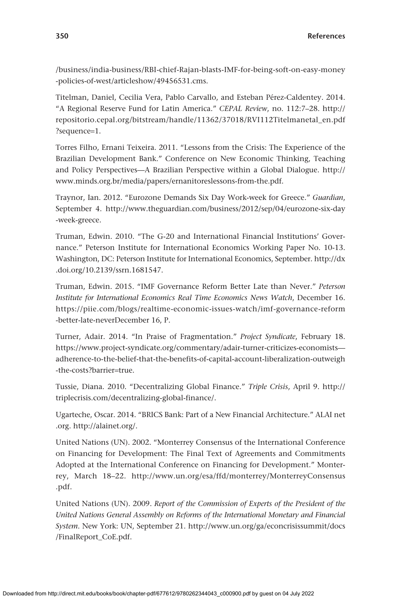[/business/india-business/RBI-chief-Rajan-blasts-IMF-for-being-soft-on-easy-money](http://timesofindia.indiatimes.com/business/india-business/RBI-chief-Rajan-blasts-IMF-for-being-soft-on-easy-money-policies-of-west/articleshow/49456531.cms) [-policies-of-west/articleshow/49456531.cms.](http://timesofindia.indiatimes.com/business/india-business/RBI-chief-Rajan-blasts-IMF-for-being-soft-on-easy-money-policies-of-west/articleshow/49456531.cms)

Titelman, Daniel, Cecilia Vera, Pablo Carvallo, and Esteban Pérez-Caldentey. 2014. "A Regional Reserve Fund for Latin America." *CEPAL Review*, no. 112:7–28. [http://](http://repositorio.cepal.org/bitstream/handle/11362/37018/RVI112Titelmanetal_en.pdf?sequence=1) [repositorio.cepal.org/bitstream/handle/11362/37018/RVI112Titelmanetal\\_en.pdf](http://repositorio.cepal.org/bitstream/handle/11362/37018/RVI112Titelmanetal_en.pdf?sequence=1) [?sequence](http://repositorio.cepal.org/bitstream/handle/11362/37018/RVI112Titelmanetal_en.pdf?sequence=1)=1.

Torres Filho, Ernani Teixeira. 2011. "Lessons from the Crisis: The Experience of the Brazilian Development Bank." Conference on New Economic Thinking, Teaching and Policy Perspectives—A Brazilian Perspective within a Global Dialogue. [http://](http://www.minds.org.br/media/papers/ernanitoreslessons-from-the.pdf) [www.minds.org.br/media/papers/ernanitoreslessons-from-the.pdf](http://www.minds.org.br/media/papers/ernanitoreslessons-from-the.pdf).

Traynor, Ian. 2012. "Eurozone Demands Six Day Work-week for Greece." *Guardian*, September 4. [http://www.theguardian.com/business/2012/sep/04/eurozone-six-day](http://www.theguardian.com/business/2012/sep/04/eurozone-six-day-week-greece) [-week-greece.](http://www.theguardian.com/business/2012/sep/04/eurozone-six-day-week-greece)

Truman, Edwin. 2010. "The G-20 and International Financial Institutions' Governance." Peterson Institute for International Economics Working Paper No. 10-13. Washington, DC: Peterson Institute for International Economics, September. [http://dx](http://dx.doi.org/10.2139/ssrn.1681547) [.doi.org/10.2139/ssrn.1681547.](http://dx.doi.org/10.2139/ssrn.1681547)

Truman, Edwin. 2015. "IMF Governance Reform Better Late than Never." *Peterson Institute for International Economics Real Time Economics News Watch*, December 16. [https://piie.com/blogs/realtime-economic-issues-watch/imf-governance-reform](https://piie.com/blogs/realtime-economic-issues-watch/imf-governance-reform-better-late-neverDecember) [-better-late-neverDecember](https://piie.com/blogs/realtime-economic-issues-watch/imf-governance-reform-better-late-neverDecember) 16, P.

Turner, Adair. 2014. "In Praise of Fragmentation." *Project Syndicate*, February 18. [https://www.project-syndicate.org/commentary/adair-turner-criticizes-economists](https://www.project-syndicate.org/commentary/adair-turner-criticizes-economists—adherence-to-the-belief-that-the-benefits-of-capital-account-liberalization-outweigh-the-costs?barrier=true) [adherence-to-the-belief-that-the-benefits-of-capital-account-liberalization-outweigh](https://www.project-syndicate.org/commentary/adair-turner-criticizes-economists—adherence-to-the-belief-that-the-benefits-of-capital-account-liberalization-outweigh-the-costs?barrier=true) [-the-costs?barrier](https://www.project-syndicate.org/commentary/adair-turner-criticizes-economists—adherence-to-the-belief-that-the-benefits-of-capital-account-liberalization-outweigh-the-costs?barrier=true)=true.

Tussie, Diana. 2010. "Decentralizing Global Finance." *Triple Crisis*, April 9. [http://](http://triplecrisis.com/decentralizing-global-finance/) [triplecrisis.com/decentralizing-global-finance/.](http://triplecrisis.com/decentralizing-global-finance/)

Ugarteche, Oscar. 2014. "BRICS Bank: Part of a New Financial Architecture." ALAI [net](http://net.org) [.org](http://net.org). [http://alainet.org/.](http://alainet.org/)

United Nations (UN). 2002. "Monterrey Consensus of the International Conference on Financing for Development: The Final Text of Agreements and Commitments Adopted at the International Conference on Financing for Development." Monterrey, March 18–22. [http://www.un.org/esa/ffd/monterrey/MonterreyConsensus](http://www.un.org/esa/ffd/monterrey/MonterreyConsensus.pdf) [.pdf](http://www.un.org/esa/ffd/monterrey/MonterreyConsensus.pdf).

United Nations (UN). 2009. *Report of the Commission of Experts of the President of the United Nations General Assembly on Reforms of the International Monetary and Financial System*. New York: UN, September 21. [http://www.un.org/ga/econcrisissummit/docs](http://www.un.org/ga/econcrisissummit/docs/FinalReport_CoE.pdf) [/FinalReport\\_CoE.pdf.](http://www.un.org/ga/econcrisissummit/docs/FinalReport_CoE.pdf)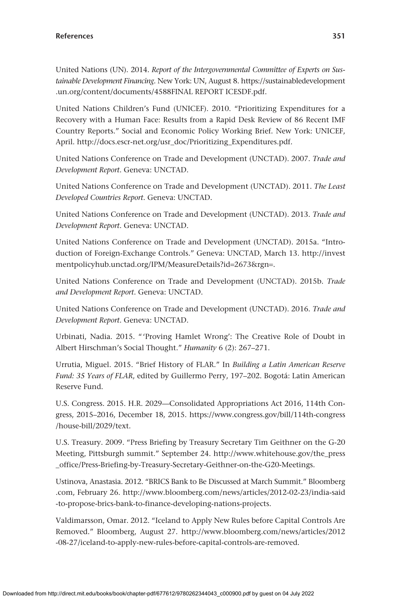United Nations (UN). 2014. *Report of the Intergovernmental Committee of Experts on Sustainable Development Financing*. New York: UN, August 8. [https://sustainabledevelopment](https://sustainabledevelopment.un.org/content/documents/4588FINAL) [.un.org/content/documents/4588FINAL](https://sustainabledevelopment.un.org/content/documents/4588FINAL) REPORT ICESDF.pdf.

United Nations Children's Fund (UNICEF). 2010. "Prioritizing Expenditures for a Recovery with a Human Face: Results from a Rapid Desk Review of 86 Recent IMF Country Reports." Social and Economic Policy Working Brief. New York: UNICEF, April. [http://docs.escr-net.org/usr\\_doc/Prioritizing\\_Expenditures.pdf.](http://docs.escr-net.org/usr_doc/Prioritizing_Expenditures.pdf)

United Nations Conference on Trade and Development (UNCTAD). 2007. *Trade and Development Report*. Geneva: UNCTAD.

United Nations Conference on Trade and Development (UNCTAD). 2011. *The Least Developed Countries Report*. Geneva: UNCTAD.

United Nations Conference on Trade and Development (UNCTAD). 2013. *Trade and Development Report*. Geneva: UNCTAD.

United Nations Conference on Trade and Development (UNCTAD). 2015a. "Introduction of Foreign-Exchange Controls." Geneva: UNCTAD, March 13. [http://invest](http://investmentpolicyhub.unctad.org/IPM/MeasureDetails?id=2673&rgn=) [mentpolicyhub.unctad.org/IPM/MeasureDetails?id](http://investmentpolicyhub.unctad.org/IPM/MeasureDetails?id=2673&rgn=)=2673&rgn=.

United Nations Conference on Trade and Development (UNCTAD). 2015b. *Trade and Development Report*. Geneva: UNCTAD.

United Nations Conference on Trade and Development (UNCTAD). 2016. *Trade and Development Report*. Geneva: UNCTAD.

Urbinati, Nadia. 2015. "'Proving Hamlet Wrong': The Creative Role of Doubt in Albert Hirschman's Social Thought." *Humanity* 6 (2): 267–271.

Urrutia, Miguel. 2015. "Brief History of FLAR." In *Building a Latin American Reserve Fund: 35 Years of FLAR*, edited by Guillermo Perry, 197–202. Bogotá: Latin American Reserve Fund.

U.S. Congress. 2015. H.R. 2029—Consolidated Appropriations Act 2016, 114th Congress, 2015–2016, December 18, 2015. [https://www.congress.gov/bill/114th-congress](https://www.congress.gov/bill/114th-congress/house-bill/2029/text) [/house-bill/2029/text.](https://www.congress.gov/bill/114th-congress/house-bill/2029/text)

U.S. Treasury. 2009. "Press Briefing by Treasury Secretary Tim Geithner on the G-20 Meeting, Pittsburgh summit." September 24. [http://www.whitehouse.gov/the\\_press](http://www.whitehouse.gov/the_press_office/Press-Briefing-by-Treasury-Secretary-Geithner-on-the-G20-Meetings) [\\_office/Press-Briefing-by-Treasury-Secretary-Geithner-on-the-G20-Meetings](http://www.whitehouse.gov/the_press_office/Press-Briefing-by-Treasury-Secretary-Geithner-on-the-G20-Meetings).

Ustinova, Anastasia. 2012. "BRICS Bank to Be Discussed at March Summit." [Bloomberg](http://Bloomberg.com) [.com](http://Bloomberg.com), February 26. [http://www.bloomberg.com/news/articles/2012-02-23/india-said](http://www.bloomberg.com/news/articles/2012-02-23/india-said-to-propose-brics-bank-to-finance-developing-nations-projects) [-to-propose-brics-bank-to-finance-developing-nations-projects.](http://www.bloomberg.com/news/articles/2012-02-23/india-said-to-propose-brics-bank-to-finance-developing-nations-projects)

Valdimarsson, Omar. 2012. "Iceland to Apply New Rules before Capital Controls Are Removed." Bloomberg, August 27. [http://www.bloomberg.com/news/articles/2012](http://www.bloomberg.com/news/articles/2012-08-27/iceland-to-apply-new-rules-before-capital-controls-are-removed) [-08-27/iceland-to-apply-new-rules-before-capital-controls-are-removed](http://www.bloomberg.com/news/articles/2012-08-27/iceland-to-apply-new-rules-before-capital-controls-are-removed).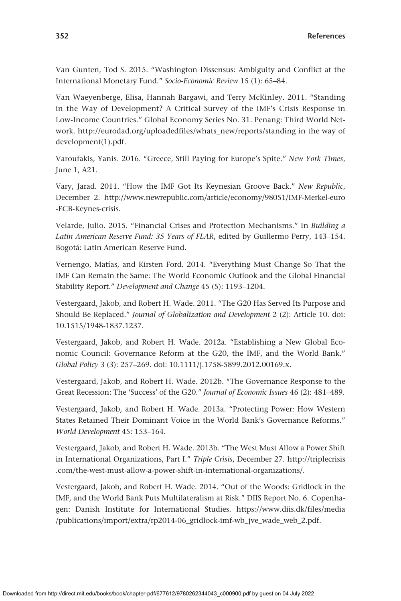Van Gunten, Tod S. 2015. "Washington Dissensus: Ambiguity and Conflict at the International Monetary Fund." *Socio-Economic Review* 15 (1): 65–84.

Van Waeyenberge, Elisa, Hannah Bargawi, and Terry McKinley. 2011. "Standing in the Way of Development? A Critical Survey of the IMF's Crisis Response in Low-Income Countries." Global Economy Series No. 31. Penang: Third World Network. [http://eurodad.org/uploadedfiles/whats\\_new/reports/standing](http://eurodad.org/uploadedfiles/whats_new/reports/standing) in the way of development(1).pdf.

Varoufakis, Yanis. 2016. "Greece, Still Paying for Europe's Spite." *New York Times*, June 1, A21.

Vary, Jarad. 2011. "How the IMF Got Its Keynesian Groove Back." *New Republic*, December 2. [http://www.newrepublic.com/article/economy/98051/IMF-Merkel-euro](http://www.newrepublic.com/article/economy/98051/IMF-Merkel-euro-ECB-Keynes-crisis) [-ECB-Keynes-crisis.](http://www.newrepublic.com/article/economy/98051/IMF-Merkel-euro-ECB-Keynes-crisis)

Velarde, Julio. 2015. "Financial Crises and Protection Mechanisms." In *Building a Latin American Reserve Fund: 35 Years of FLAR*, edited by Guillermo Perry, 143–154. Bogotá: Latin American Reserve Fund.

Vernengo, Matías, and Kirsten Ford. 2014. "Everything Must Change So That the IMF Can Remain the Same: The World Economic Outlook and the Global Financial Stability Report." *Development and Change* 45 (5): 1193–1204.

Vestergaard, Jakob, and Robert H. Wade. 2011. "The G20 Has Served Its Purpose and Should Be Replaced." *Journal of Globalization and Development* 2 (2): Article 10. doi: 10.1515/1948-1837.1237.

Vestergaard, Jakob, and Robert H. Wade. 2012a. "Establishing a New Global Economic Council: Governance Reform at the G20, the IMF, and the World Bank." *Global Policy* 3 (3): 257–269. doi: 10.1111/j.1758-5899.2012.00169.x.

Vestergaard, Jakob, and Robert H. Wade. 2012b. "The Governance Response to the Great Recession: The 'Success' of the G20." *Journal of Economic Issues* 46 (2): 481–489.

Vestergaard, Jakob, and Robert H. Wade. 2013a. "Protecting Power: How Western States Retained Their Dominant Voice in the World Bank's Governance Reforms." *World Development* 45: 153–164.

Vestergaard, Jakob, and Robert H. Wade. 2013b. "The West Must Allow a Power Shift in International Organizations, Part I." *Triple Crisis*, December 27. [http://triplecrisis](http://triplecrisis.com/the-west-must-allow-a-power-shift-in-international-organizations/) [.com/the-west-must-allow-a-power-shift-in-international-organizations/](http://triplecrisis.com/the-west-must-allow-a-power-shift-in-international-organizations/).

Vestergaard, Jakob, and Robert H. Wade. 2014. "Out of the Woods: Gridlock in the IMF, and the World Bank Puts Multilateralism at Risk." DIIS Report No. 6. Copenhagen: Danish Institute for International Studies. [https://www.diis.dk/files/media](https://www.diis.dk/files/media/publications/import/extra/rp2014-06_gridlock-imf-wb_jve_wade_web_2.pdf) [/publications/import/extra/rp2014-06\\_gridlock-imf-wb\\_jve\\_wade\\_web\\_2.pdf.](https://www.diis.dk/files/media/publications/import/extra/rp2014-06_gridlock-imf-wb_jve_wade_web_2.pdf)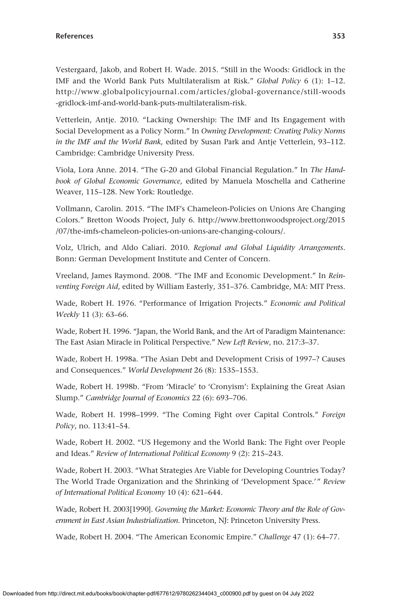Vestergaard, Jakob, and Robert H. Wade. 2015. "Still in the Woods: Gridlock in the IMF and the World Bank Puts Multilateralism at Risk." *Global Policy* 6 (1): 1–12. [http://www.globalpolicyjournal.com/articles/global-governance/still-woods](http://www.globalpolicyjournal.com/articles/global-governance/still-woods-gridlock-imf-and-world-bank-puts-multilateralism-risk) [-gridlock-imf-and-world-bank-puts-multilateralism-risk.](http://www.globalpolicyjournal.com/articles/global-governance/still-woods-gridlock-imf-and-world-bank-puts-multilateralism-risk)

Vetterlein, Antje. 2010. "Lacking Ownership: The IMF and Its Engagement with Social Development as a Policy Norm." In *Owning Development: Creating Policy Norms in the IMF and the World Bank*, edited by Susan Park and Antje Vetterlein, 93–112. Cambridge: Cambridge University Press.

Viola, Lora Anne. 2014. "The G-20 and Global Financial Regulation." In *The Handbook of Global Economic Governance*, edited by Manuela Moschella and Catherine Weaver, 115–128. New York: Routledge.

Vollmann, Carolin. 2015. "The IMF's Chameleon-Policies on Unions Are Changing Colors." Bretton Woods Project, July 6. [http://www.brettonwoodsproject.org/2015](http://www.brettonwoodsproject.org/2015/07/the-imfs-chameleon-policies-on-unions-are-changing-colours/) [/07/the-imfs-chameleon-policies-on-unions-are-changing-colours/](http://www.brettonwoodsproject.org/2015/07/the-imfs-chameleon-policies-on-unions-are-changing-colours/).

Volz, Ulrich, and Aldo Caliari. 2010. *Regional and Global Liquidity Arrangements*. Bonn: German Development Institute and Center of Concern.

Vreeland, James Raymond. 2008. "The IMF and Economic Development." In *Reinventing Foreign Aid*, edited by William Easterly, 351–376. Cambridge, MA: MIT Press.

Wade, Robert H. 1976. "Performance of Irrigation Projects." *Economic and Political Weekly* 11 (3): 63–66.

Wade, Robert H. 1996. "Japan, the World Bank, and the Art of Paradigm Maintenance: The East Asian Miracle in Political Perspective." *New Left Review*, no. 217:3–37.

Wade, Robert H. 1998a. "The Asian Debt and Development Crisis of 1997–? Causes and Consequences." *World Development* 26 (8): 1535–1553.

Wade, Robert H. 1998b. "From 'Miracle' to 'Cronyism': Explaining the Great Asian Slump." *Cambridge Journal of Economics* 22 (6): 693–706.

Wade, Robert H. 1998–1999. "The Coming Fight over Capital Controls." *Foreign Policy*, no. 113:41–54.

Wade, Robert H. 2002. "US Hegemony and the World Bank: The Fight over People and Ideas." *Review of International Political Economy* 9 (2): 215–243.

Wade, Robert H. 2003. "What Strategies Are Viable for Developing Countries Today? The World Trade Organization and the Shrinking of 'Development Space.'" *Review of International Political Economy* 10 (4): 621–644.

Wade, Robert H. 2003[1990]. *Governing the Market: Economic Theory and the Role of Government in East Asian Industrialization*. Princeton, NJ: Princeton University Press.

Wade, Robert H. 2004. "The American Economic Empire." *Challenge* 47 (1): 64–77.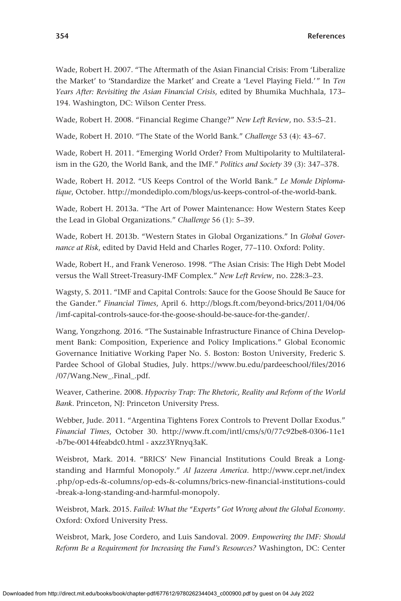Wade, Robert H. 2007. "The Aftermath of the Asian Financial Crisis: From 'Liberalize the Market' to 'Standardize the Market' and Create a 'Level Playing Field.'" In *Ten Years After: Revisiting the Asian Financial Crisis*, edited by Bhumika Muchhala, 173– 194. Washington, DC: Wilson Center Press.

Wade, Robert H. 2008. "Financial Regime Change?" *New Left Review*, no. 53:5–21.

Wade, Robert H. 2010. "The State of the World Bank." *Challenge* 53 (4): 43–67.

Wade, Robert H. 2011. "Emerging World Order? From Multipolarity to Multilateralism in the G20, the World Bank, and the IMF." *Politics and Society* 39 (3): 347–378.

Wade, Robert H. 2012. "US Keeps Control of the World Bank." *Le Monde Diplomatique*, October. [http://mondediplo.com/blogs/us-keeps-control-of-the-world-bank.](http://mondediplo.com/blogs/us-keeps-control-of-the-world-bank)

Wade, Robert H. 2013a. "The Art of Power Maintenance: How Western States Keep the Lead in Global Organizations." *Challenge* 56 (1): 5–39.

Wade, Robert H. 2013b. "Western States in Global Organizations." In *Global Governance at Risk*, edited by David Held and Charles Roger, 77–110. Oxford: Polity.

Wade, Robert H., and Frank Veneroso. 1998. "The Asian Crisis: The High Debt Model versus the Wall Street-Treasury-IMF Complex." *New Left Review*, no. 228:3–23.

Wagsty, S. 2011. "IMF and Capital Controls: Sauce for the Goose Should Be Sauce for the Gander." *Financial Times*, April 6. [http://blogs.ft.com/beyond-brics/2011/04/06](http://blogs.ft.com/beyond-brics/2011/04/06/imf-capital-controls-sauce-for-the-goose-should-be-sauce-for-the-gander/) [/imf-capital-controls-sauce-for-the-goose-should-be-sauce-for-the-gander/](http://blogs.ft.com/beyond-brics/2011/04/06/imf-capital-controls-sauce-for-the-goose-should-be-sauce-for-the-gander/).

Wang, Yongzhong. 2016. "The Sustainable Infrastructure Finance of China Development Bank: Composition, Experience and Policy Implications." Global Economic Governance Initiative Working Paper No. 5. Boston: Boston University, Frederic S. Pardee School of Global Studies, July. [https://www.bu.edu/pardeeschool/files/2016](https://www.bu.edu/pardeeschool/files/2016/07/Wang.New_.Final_.pdf) [/07/Wang.New\\_.Final\\_.pdf.](https://www.bu.edu/pardeeschool/files/2016/07/Wang.New_.Final_.pdf)

Weaver, Catherine. 2008. *Hypocrisy Trap: The Rhetoric, Reality and Reform of the World Bank*. Princeton, NJ: Princeton University Press.

Webber, Jude. 2011. "Argentina Tightens Forex Controls to Prevent Dollar Exodus." *Financial Times*, October 30. [http://www.ft.com/intl/cms/s/0/77c92be8-0306-11e1](http://www.ft.com/intl/cms/s/0/77c92be8-0306-11e1-b7be-00144feabdc0.html) [-b7be-00144feabdc0.html](http://www.ft.com/intl/cms/s/0/77c92be8-0306-11e1-b7be-00144feabdc0.html) - axzz3YRnyq3aK.

Weisbrot, Mark. 2014. "BRICS' New Financial Institutions Could Break a Longstanding and Harmful Monopoly." *Al Jazeera America*. [http://www.cepr.net/index](http://www.cepr.net/index.php/op-eds-&-columns/op-eds-&-columns/brics-new-financial-institutions-could-break-a-long-standing-and-harmful-monopoly) [.php/op-eds-&-columns/op-eds-&-columns/brics-new-financial-institutions-could](http://www.cepr.net/index.php/op-eds-&-columns/op-eds-&-columns/brics-new-financial-institutions-could-break-a-long-standing-and-harmful-monopoly) [-break-a-long-standing-and-harmful-monopoly.](http://www.cepr.net/index.php/op-eds-&-columns/op-eds-&-columns/brics-new-financial-institutions-could-break-a-long-standing-and-harmful-monopoly)

Weisbrot, Mark. 2015. *Failed: What the "Experts" Got Wrong about the Global Economy*. Oxford: Oxford University Press.

Weisbrot, Mark, Jose Cordero, and Luis Sandoval. 2009. *Empowering the IMF: Should Reform Be a Requirement for Increasing the Fund's Resources?* Washington, DC: Center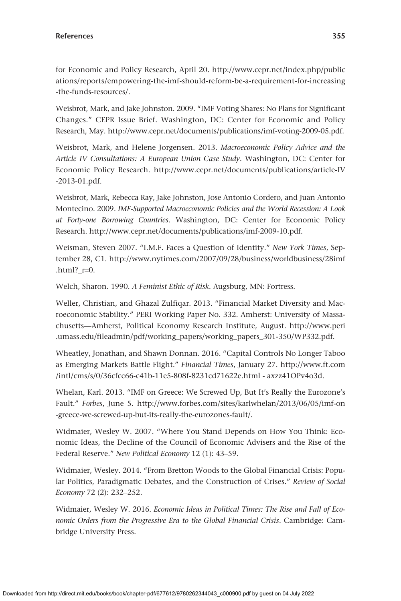for Economic and Policy Research, April 20. [http://www.cepr.net/index.php/public](http://www.cepr.net/index.php/publications/reports/empowering-the-imf-should-reform-be-a-requirement-for-increasing-the-funds-resources/) [ations/reports/empowering-the-imf-should-reform-be-a-requirement-for-increasing](http://www.cepr.net/index.php/publications/reports/empowering-the-imf-should-reform-be-a-requirement-for-increasing-the-funds-resources/) [-the-funds-resources/](http://www.cepr.net/index.php/publications/reports/empowering-the-imf-should-reform-be-a-requirement-for-increasing-the-funds-resources/).

Weisbrot, Mark, and Jake Johnston. 2009. "IMF Voting Shares: No Plans for Significant Changes." CEPR Issue Brief. Washington, DC: Center for Economic and Policy Research, May. [http://www.cepr.net/documents/publications/imf-voting-2009-05.pdf.](http://www.cepr.net/documents/publications/imf-voting-2009-05.pdf)

Weisbrot, Mark, and Helene Jorgensen. 2013. *Macroeconomic Policy Advice and the Article IV Consultations: A European Union Case Study*. Washington, DC: Center for Economic Policy Research. [http://www.cepr.net/documents/publications/article-IV](http://www.cepr.net/documents/publications/article-IV-2013-01.pdf) [-2013-01.pdf](http://www.cepr.net/documents/publications/article-IV-2013-01.pdf).

Weisbrot, Mark, Rebecca Ray, Jake Johnston, Jose Antonio Cordero, and Juan Antonio Montecino. 2009. *IMF-Supported Macroeconomic Policies and the World Recession: A Look at Forty-one Borrowing Countries*. Washington, DC: Center for Economic Policy Research. [http://www.cepr.net/documents/publications/imf-2009-10.pdf.](http://www.cepr.net/documents/publications/imf-2009-10.pdf)

Weisman, Steven 2007. "I.M.F. Faces a Question of Identity." *New York Times*, September 28, C1. [http://www.nytimes.com/2007/09/28/business/worldbusiness/28imf](http://www.nytimes.com/2007/09/28/business/worldbusiness/28imf.html?_r=0) .html? $r=0$ .

Welch, Sharon. 1990. *A Feminist Ethic of Risk*. Augsburg, MN: Fortress.

Weller, Christian, and Ghazal Zulfiqar. 2013. "Financial Market Diversity and Macroeconomic Stability." PERI Working Paper No. 332. Amherst: University of Massachusetts—Amherst, Political Economy Research Institute, August. [http://www.peri](http://www.peri.umass.edu/fileadmin/pdf/working_papers/working_papers_301-350/WP332.pdf) [.umass.edu/fileadmin/pdf/working\\_papers/working\\_papers\\_301-350/WP332.pdf](http://www.peri.umass.edu/fileadmin/pdf/working_papers/working_papers_301-350/WP332.pdf).

Wheatley, Jonathan, and Shawn Donnan. 2016. "Capital Controls No Longer Taboo as Emerging Markets Battle Flight." *Financial Times*, January 27. [http://www.ft.com](http://www.ft.com/intl/cms/s/0/36cfcc66-c41b-11e5-808f-8231cd71622e.html) [/intl/cms/s/0/36cfcc66-c41b-11e5-808f-8231cd71622e.html](http://www.ft.com/intl/cms/s/0/36cfcc66-c41b-11e5-808f-8231cd71622e.html) - axzz41OPv4o3d.

Whelan, Karl. 2013. "IMF on Greece: We Screwed Up, But It's Really the Eurozone's Fault." *Forbes*, June 5. [http://www.forbes.com/sites/karlwhelan/2013/06/05/imf-on](http://www.forbes.com/sites/karlwhelan/2013/06/05/imf-on-greece-we-screwed-up-but-its-really-the-eurozones-fault/) [-greece-we-screwed-up-but-its-really-the-eurozones-fault/](http://www.forbes.com/sites/karlwhelan/2013/06/05/imf-on-greece-we-screwed-up-but-its-really-the-eurozones-fault/).

Widmaier, Wesley W. 2007. "Where You Stand Depends on How You Think: Economic Ideas, the Decline of the Council of Economic Advisers and the Rise of the Federal Reserve." *New Political Economy* 12 (1): 43–59.

Widmaier, Wesley. 2014. "From Bretton Woods to the Global Financial Crisis: Popular Politics, Paradigmatic Debates, and the Construction of Crises." *Review of Social Economy* 72 (2): 232–252.

Widmaier, Wesley W. 2016. *Economic Ideas in Political Times: The Rise and Fall of Economic Orders from the Progressive Era to the Global Financial Crisis*. Cambridge: Cambridge University Press.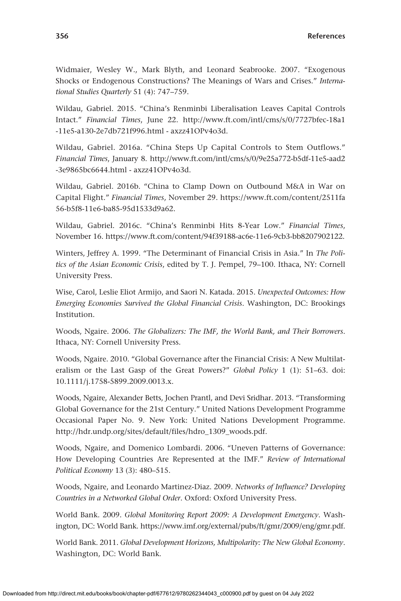Widmaier, Wesley W., Mark Blyth, and Leonard Seabrooke. 2007. "Exogenous Shocks or Endogenous Constructions? The Meanings of Wars and Crises." *International Studies Quarterly* 51 (4): 747–759.

Wildau, Gabriel. 2015. "China's Renminbi Liberalisation Leaves Capital Controls Intact." *Financial Times*, June 22. [http://www.ft.com/intl/cms/s/0/7727bfec-18a1](http://www.ft.com/intl/cms/s/0/7727bfec-18a1-11e5-a130-2e7db721f996.html) [-11e5-a130-2e7db721f996.html](http://www.ft.com/intl/cms/s/0/7727bfec-18a1-11e5-a130-2e7db721f996.html) - axzz41OPv4o3d.

Wildau, Gabriel. 2016a. "China Steps Up Capital Controls to Stem Outflows." *Financial Times*, January 8. [http://www.ft.com/intl/cms/s/0/9e25a772-b5df-11e5-aad2](http://www.ft.com/intl/cms/s/0/9e25a772-b5df-11e5-aad2-3e9865bc6644.html) [-3e9865bc6644.html](http://www.ft.com/intl/cms/s/0/9e25a772-b5df-11e5-aad2-3e9865bc6644.html) - axzz41OPv4o3d.

Wildau, Gabriel. 2016b. "China to Clamp Down on Outbound M&A in War on Capital Flight." *Financial Times*, November 29. [https://www.ft.com/content/2511fa](https://www.ft.com/content/2511fa56-b5f8-11e6-ba85-95d1533d9a62) [56-b5f8-11e6-ba85-95d1533d9a62.](https://www.ft.com/content/2511fa56-b5f8-11e6-ba85-95d1533d9a62)

Wildau, Gabriel. 2016c. "China's Renminbi Hits 8-Year Low." *Financial Times*, November 16. <https://www.ft.com/content/94f39188-ac6e-11e6-9cb3-bb8207902122>.

Winters, Jeffrey A. 1999. "The Determinant of Financial Crisis in Asia." In *The Politics of the Asian Economic Crisis*, edited by T. J. Pempel, 79–100. Ithaca, NY: Cornell University Press.

Wise, Carol, Leslie Eliot Armijo, and Saori N. Katada. 2015. *Unexpected Outcomes: How Emerging Economies Survived the Global Financial Crisis*. Washington, DC: Brookings Institution.

Woods, Ngaire. 2006. *The Globalizers: The IMF, the World Bank, and Their Borrowers*. Ithaca, NY: Cornell University Press.

Woods, Ngaire. 2010. "Global Governance after the Financial Crisis: A New Multilateralism or the Last Gasp of the Great Powers?" *Global Policy* 1 (1): 51–63. doi: 10.1111/j.1758-5899.2009.0013.x.

Woods, Ngaire, Alexander Betts, Jochen Prantl, and Devi Sridhar. 2013. "Transforming Global Governance for the 21st Century." United Nations Development Programme Occasional Paper No. 9. New York: United Nations Development Programme. [http://hdr.undp.org/sites/default/files/hdro\\_1309\\_woods.pdf.](http://hdr.undp.org/sites/default/files/hdro_1309_woods.pdf)

Woods, Ngaire, and Domenico Lombardi. 2006. "Uneven Patterns of Governance: How Developing Countries Are Represented at the IMF." *Review of International Political Economy* 13 (3): 480–515.

Woods, Ngaire, and Leonardo Martinez-Diaz. 2009. *Networks of Influence? Developing Countries in a Networked Global Order*. Oxford: Oxford University Press.

World Bank. 2009. *Global Monitoring Report 2009: A Development Emergency*. Washington, DC: World Bank. [https://www.imf.org/external/pubs/ft/gmr/2009/eng/gmr.pdf.](https://www.imf.org/external/pubs/ft/gmr/2009/eng/gmr.pdf)

World Bank. 2011. *Global Development Horizons, Multipolarity: The New Global Economy*. Washington, DC: World Bank.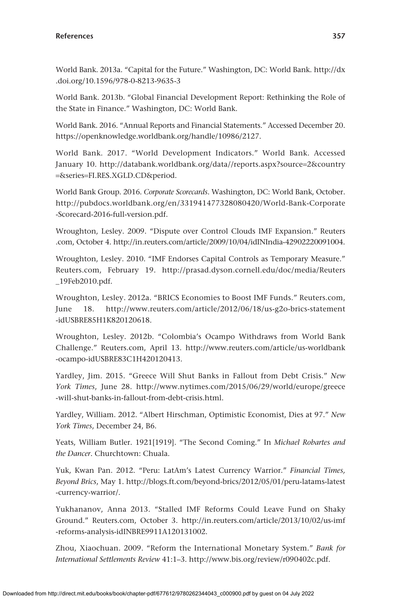World Bank. 2013a. "Capital for the Future." Washington, DC: World Bank. [http://dx](http://dx.doi.org/10.1596/978-0-8213-9635-3) [.doi.org/10.1596/978-0-8213-9635-3](http://dx.doi.org/10.1596/978-0-8213-9635-3)

World Bank. 2013b. "Global Financial Development Report: Rethinking the Role of the State in Finance." Washington, DC: World Bank.

World Bank. 2016. "Annual Reports and Financial Statements." Accessed December 20. <https://openknowledge.worldbank.org/handle/10986/2127>.

World Bank. 2017. "World Development Indicators." World Bank. Accessed January 10. [http://databank.worldbank.org/data//reports.aspx?source](http://databank.worldbank.org/data//reports.aspx?source=2&country=&series=FI.RES.XGLD.CD&period)=2&country =&series=[FI.RES.XGLD.CD&period](http://databank.worldbank.org/data//reports.aspx?source=2&country=&series=FI.RES.XGLD.CD&period).

World Bank Group. 2016. *Corporate Scorecards*. Washington, DC: World Bank, October. [http://pubdocs.worldbank.org/en/331941477328080420/World-Bank-Corporate](http://pubdocs.worldbank.org/en/331941477328080420/World-Bank-Corporate-Scorecard-2016-full-version.pdf) [-Scorecard-2016-full-version.pdf.](http://pubdocs.worldbank.org/en/331941477328080420/World-Bank-Corporate-Scorecard-2016-full-version.pdf)

Wroughton, Lesley. 2009. "Dispute over Control Clouds IMF Expansion." [Reuters](http://Reuters.com) [.com,](http://Reuters.com) October 4. [http://in.reuters.com/article/2009/10/04/idINIndia-42902220091004.](http://in.reuters.com/article/2009/10/04/idINIndia-42902220091004)

Wroughton, Lesley. 2010. "IMF Endorses Capital Controls as Temporary Measure." [Reuters.com](http://Reuters.com), February 19. [http://prasad.dyson.cornell.edu/doc/media/Reuters](http://prasad.dyson.cornell.edu/doc/media/Reuters_19Feb2010.pdf) [\\_19Feb2010.pdf.](http://prasad.dyson.cornell.edu/doc/media/Reuters_19Feb2010.pdf)

Wroughton, Lesley. 2012a. "BRICS Economies to Boost IMF Funds." [Reuters.com,](http://Reuters.com) June 18. [http://www.reuters.com/article/2012/06/18/us-g2o-brics-statement](http://www.reuters.com/article/2012/06/18/us-g2o-brics-statement-idUSBRE85H1K820120618) [-idUSBRE85H1K820120618](http://www.reuters.com/article/2012/06/18/us-g2o-brics-statement-idUSBRE85H1K820120618).

Wroughton, Lesley. 2012b. "Colombia's Ocampo Withdraws from World Bank Challenge." [Reuters.com](http://Reuters.com), April 13. [http://www.reuters.com/article/us-worldbank](http://www.reuters.com/article/us-worldbank-ocampo-idUSBRE83C1H420120413) [-ocampo-idUSBRE83C1H420120413](http://www.reuters.com/article/us-worldbank-ocampo-idUSBRE83C1H420120413).

Yardley, Jim. 2015. "Greece Will Shut Banks in Fallout from Debt Crisis." *New York Times*, June 28. [http://www.nytimes.com/2015/06/29/world/europe/greece](http://www.nytimes.com/2015/06/29/world/europe/greece-will-shut-banks-in-fallout-from-debt-crisis.html) [-will-shut-banks-in-fallout-from-debt-crisis.html.](http://www.nytimes.com/2015/06/29/world/europe/greece-will-shut-banks-in-fallout-from-debt-crisis.html)

Yardley, William. 2012. "Albert Hirschman, Optimistic Economist, Dies at 97." *New York Times*, December 24, B6.

Yeats, William Butler. 1921[1919]. "The Second Coming." In *Michael Robartes and the Dancer*. Churchtown: Chuala.

Yuk, Kwan Pan. 2012. "Peru: LatAm's Latest Currency Warrior." *Financial Times, Beyond Brics*, May 1. [http://blogs.ft.com/beyond-brics/2012/05/01/peru-latams-latest](http://blogs.ft.com/beyond-brics/2012/05/01/peru-latams-latest-currency-warrior/) [-currency-warrior/.](http://blogs.ft.com/beyond-brics/2012/05/01/peru-latams-latest-currency-warrior/)

Yukhananov, Anna 2013. "Stalled IMF Reforms Could Leave Fund on Shaky Ground." [Reuters.com,](http://Reuters.com) October 3. [http://in.reuters.com/article/2013/10/02/us-imf](http://in.reuters.com/article/2013/10/02/us-imf-reforms-analysis-idINBRE9911A120131002) [-reforms-analysis-idINBRE9911A120131002](http://in.reuters.com/article/2013/10/02/us-imf-reforms-analysis-idINBRE9911A120131002).

Zhou, Xiaochuan. 2009. "Reform the International Monetary System." *Bank for International Settlements Review* 41:1–3. [http://www.bis.org/review/r090402c.pdf.](http://www.bis.org/review/r090402c.pdf)